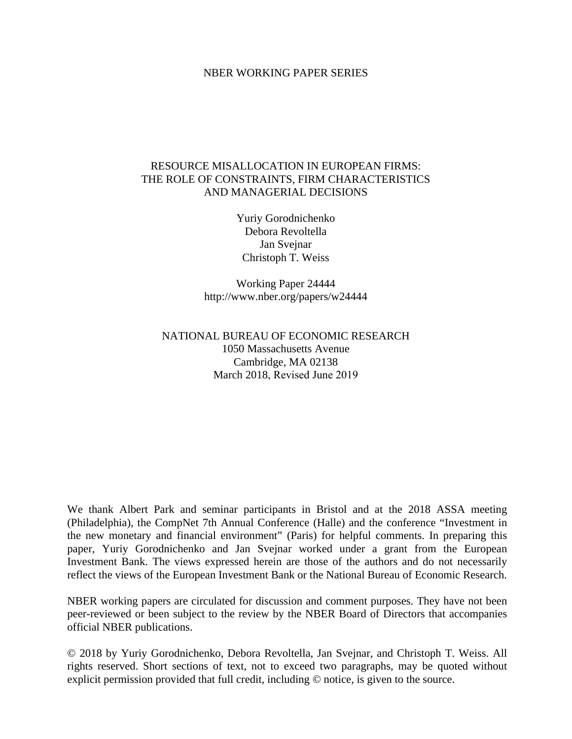#### NBER WORKING PAPER SERIES

#### RESOURCE MISALLOCATION IN EUROPEAN FIRMS: THE ROLE OF CONSTRAINTS, FIRM CHARACTERISTICS AND MANAGERIAL DECISIONS

Yuriy Gorodnichenko Debora Revoltella Jan Svejnar Christoph T. Weiss

Working Paper 24444 http://www.nber.org/papers/w24444

### NATIONAL BUREAU OF ECONOMIC RESEARCH 1050 Massachusetts Avenue Cambridge, MA 02138 March 2018, Revised June 2019

We thank Albert Park and seminar participants in Bristol and at the 2018 ASSA meeting (Philadelphia), the CompNet 7th Annual Conference (Halle) and the conference "Investment in the new monetary and financial environment" (Paris) for helpful comments. In preparing this paper, Yuriy Gorodnichenko and Jan Svejnar worked under a grant from the European Investment Bank. The views expressed herein are those of the authors and do not necessarily reflect the views of the European Investment Bank or the National Bureau of Economic Research.

NBER working papers are circulated for discussion and comment purposes. They have not been peer-reviewed or been subject to the review by the NBER Board of Directors that accompanies official NBER publications.

© 2018 by Yuriy Gorodnichenko, Debora Revoltella, Jan Svejnar, and Christoph T. Weiss. All rights reserved. Short sections of text, not to exceed two paragraphs, may be quoted without explicit permission provided that full credit, including © notice, is given to the source.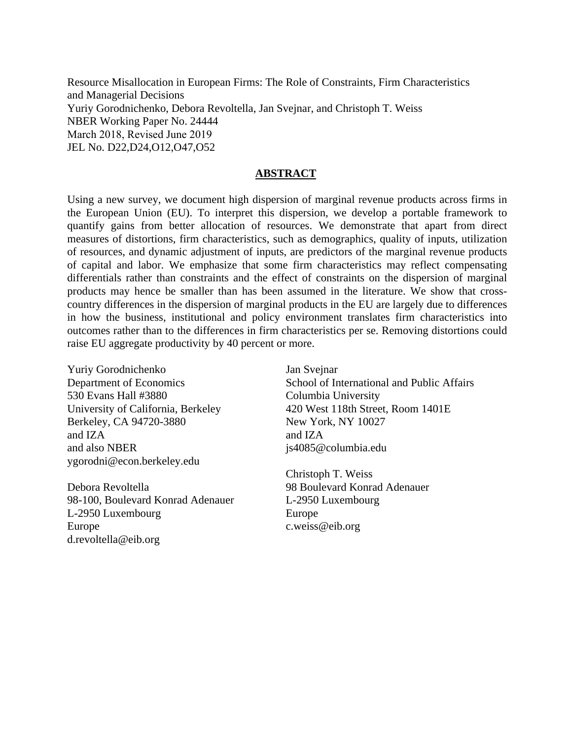Resource Misallocation in European Firms: The Role of Constraints, Firm Characteristics and Managerial Decisions Yuriy Gorodnichenko, Debora Revoltella, Jan Svejnar, and Christoph T. Weiss NBER Working Paper No. 24444 March 2018, Revised June 2019 JEL No. D22,D24,O12,O47,O52

#### **ABSTRACT**

Using a new survey, we document high dispersion of marginal revenue products across firms in the European Union (EU). To interpret this dispersion, we develop a portable framework to quantify gains from better allocation of resources. We demonstrate that apart from direct measures of distortions, firm characteristics, such as demographics, quality of inputs, utilization of resources, and dynamic adjustment of inputs, are predictors of the marginal revenue products of capital and labor. We emphasize that some firm characteristics may reflect compensating differentials rather than constraints and the effect of constraints on the dispersion of marginal products may hence be smaller than has been assumed in the literature. We show that crosscountry differences in the dispersion of marginal products in the EU are largely due to differences in how the business, institutional and policy environment translates firm characteristics into outcomes rather than to the differences in firm characteristics per se. Removing distortions could raise EU aggregate productivity by 40 percent or more.

Yuriy Gorodnichenko Department of Economics 530 Evans Hall #3880 University of California, Berkeley Berkeley, CA 94720-3880 and IZA and also NBER ygorodni@econ.berkeley.edu

Debora Revoltella 98-100, Boulevard Konrad Adenauer L-2950 Luxembourg Europe d.revoltella@eib.org

Jan Svejnar School of International and Public Affairs Columbia University 420 West 118th Street, Room 1401E New York, NY 10027 and IZA js4085@columbia.edu

Christoph T. Weiss 98 Boulevard Konrad Adenauer L-2950 Luxembourg Europe c.weiss@eib.org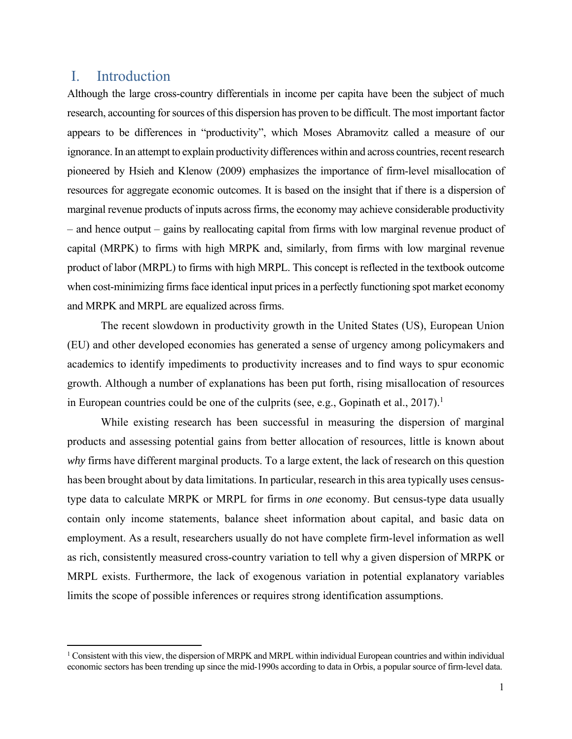## I. Introduction

Although the large cross-country differentials in income per capita have been the subject of much research, accounting for sources of this dispersion has proven to be difficult. The most important factor appears to be differences in "productivity", which Moses Abramovitz called a measure of our ignorance. In an attempt to explain productivity differences within and across countries, recent research pioneered by Hsieh and Klenow (2009) emphasizes the importance of firm-level misallocation of resources for aggregate economic outcomes. It is based on the insight that if there is a dispersion of marginal revenue products of inputs across firms, the economy may achieve considerable productivity – and hence output – gains by reallocating capital from firms with low marginal revenue product of capital (MRPK) to firms with high MRPK and, similarly, from firms with low marginal revenue product of labor (MRPL) to firms with high MRPL. This concept is reflected in the textbook outcome when cost-minimizing firms face identical input prices in a perfectly functioning spot market economy and MRPK and MRPL are equalized across firms.

The recent slowdown in productivity growth in the United States (US), European Union (EU) and other developed economies has generated a sense of urgency among policymakers and academics to identify impediments to productivity increases and to find ways to spur economic growth. Although a number of explanations has been put forth, rising misallocation of resources in European countries could be one of the culprits (see, e.g., Gopinath et al., 2017).<sup>1</sup>

While existing research has been successful in measuring the dispersion of marginal products and assessing potential gains from better allocation of resources, little is known about *why* firms have different marginal products. To a large extent, the lack of research on this question has been brought about by data limitations. In particular, research in this area typically uses censustype data to calculate MRPK or MRPL for firms in *one* economy. But census-type data usually contain only income statements, balance sheet information about capital, and basic data on employment. As a result, researchers usually do not have complete firm-level information as well as rich, consistently measured cross-country variation to tell why a given dispersion of MRPK or MRPL exists. Furthermore, the lack of exogenous variation in potential explanatory variables limits the scope of possible inferences or requires strong identification assumptions.

<sup>&</sup>lt;sup>1</sup> Consistent with this view, the dispersion of MRPK and MRPL within individual European countries and within individual economic sectors has been trending up since the mid-1990s according to data in Orbis, a popular source of firm-level data.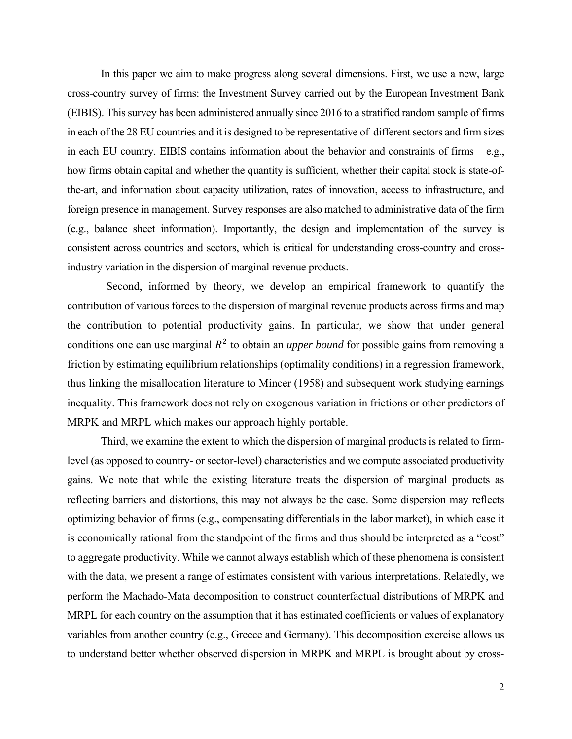In this paper we aim to make progress along several dimensions. First, we use a new, large cross-country survey of firms: the Investment Survey carried out by the European Investment Bank (EIBIS). This survey has been administered annually since 2016 to a stratified random sample of firms in each of the 28 EU countries and it is designed to be representative of different sectors and firm sizes in each EU country. EIBIS contains information about the behavior and constraints of firms – e.g., how firms obtain capital and whether the quantity is sufficient, whether their capital stock is state-ofthe-art, and information about capacity utilization, rates of innovation, access to infrastructure, and foreign presence in management. Survey responses are also matched to administrative data of the firm (e.g., balance sheet information). Importantly, the design and implementation of the survey is consistent across countries and sectors, which is critical for understanding cross-country and crossindustry variation in the dispersion of marginal revenue products.

 Second, informed by theory, we develop an empirical framework to quantify the contribution of various forces to the dispersion of marginal revenue products across firms and map the contribution to potential productivity gains. In particular, we show that under general conditions one can use marginal  $R^2$  to obtain an *upper bound* for possible gains from removing a friction by estimating equilibrium relationships (optimality conditions) in a regression framework, thus linking the misallocation literature to Mincer (1958) and subsequent work studying earnings inequality. This framework does not rely on exogenous variation in frictions or other predictors of MRPK and MRPL which makes our approach highly portable.

Third, we examine the extent to which the dispersion of marginal products is related to firmlevel (as opposed to country- or sector-level) characteristics and we compute associated productivity gains. We note that while the existing literature treats the dispersion of marginal products as reflecting barriers and distortions, this may not always be the case. Some dispersion may reflects optimizing behavior of firms (e.g., compensating differentials in the labor market), in which case it is economically rational from the standpoint of the firms and thus should be interpreted as a "cost" to aggregate productivity. While we cannot always establish which of these phenomena is consistent with the data, we present a range of estimates consistent with various interpretations. Relatedly, we perform the Machado-Mata decomposition to construct counterfactual distributions of MRPK and MRPL for each country on the assumption that it has estimated coefficients or values of explanatory variables from another country (e.g., Greece and Germany). This decomposition exercise allows us to understand better whether observed dispersion in MRPK and MRPL is brought about by cross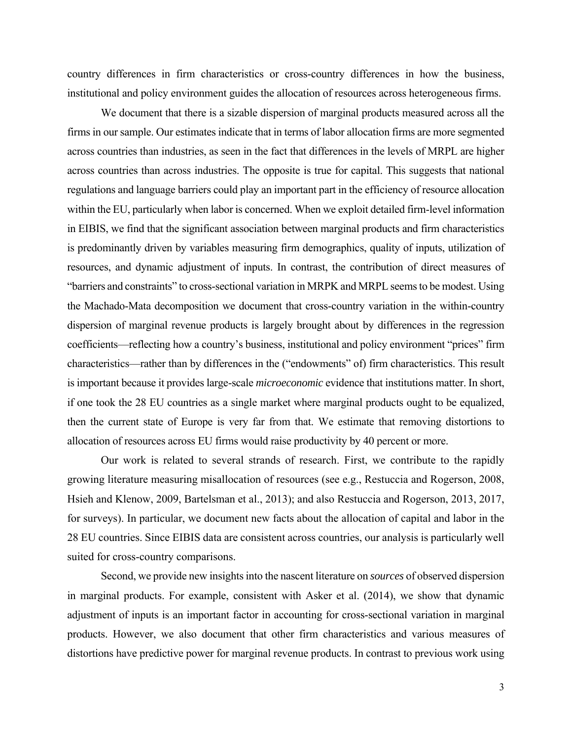country differences in firm characteristics or cross-country differences in how the business, institutional and policy environment guides the allocation of resources across heterogeneous firms.

We document that there is a sizable dispersion of marginal products measured across all the firms in our sample. Our estimates indicate that in terms of labor allocation firms are more segmented across countries than industries, as seen in the fact that differences in the levels of MRPL are higher across countries than across industries. The opposite is true for capital. This suggests that national regulations and language barriers could play an important part in the efficiency of resource allocation within the EU, particularly when labor is concerned. When we exploit detailed firm-level information in EIBIS, we find that the significant association between marginal products and firm characteristics is predominantly driven by variables measuring firm demographics, quality of inputs, utilization of resources, and dynamic adjustment of inputs. In contrast, the contribution of direct measures of "barriers and constraints" to cross-sectional variation in MRPK and MRPL seems to be modest. Using the Machado-Mata decomposition we document that cross-country variation in the within-country dispersion of marginal revenue products is largely brought about by differences in the regression coefficients—reflecting how a country's business, institutional and policy environment "prices" firm characteristics—rather than by differences in the ("endowments" of) firm characteristics. This result is important because it provides large-scale *microeconomic* evidence that institutions matter. In short, if one took the 28 EU countries as a single market where marginal products ought to be equalized, then the current state of Europe is very far from that. We estimate that removing distortions to allocation of resources across EU firms would raise productivity by 40 percent or more.

Our work is related to several strands of research. First, we contribute to the rapidly growing literature measuring misallocation of resources (see e.g., Restuccia and Rogerson, 2008, Hsieh and Klenow, 2009, Bartelsman et al., 2013); and also Restuccia and Rogerson, 2013, 2017, for surveys). In particular, we document new facts about the allocation of capital and labor in the 28 EU countries. Since EIBIS data are consistent across countries, our analysis is particularly well suited for cross-country comparisons.

Second, we provide new insights into the nascent literature on *sources* of observed dispersion in marginal products. For example, consistent with Asker et al. (2014), we show that dynamic adjustment of inputs is an important factor in accounting for cross-sectional variation in marginal products. However, we also document that other firm characteristics and various measures of distortions have predictive power for marginal revenue products. In contrast to previous work using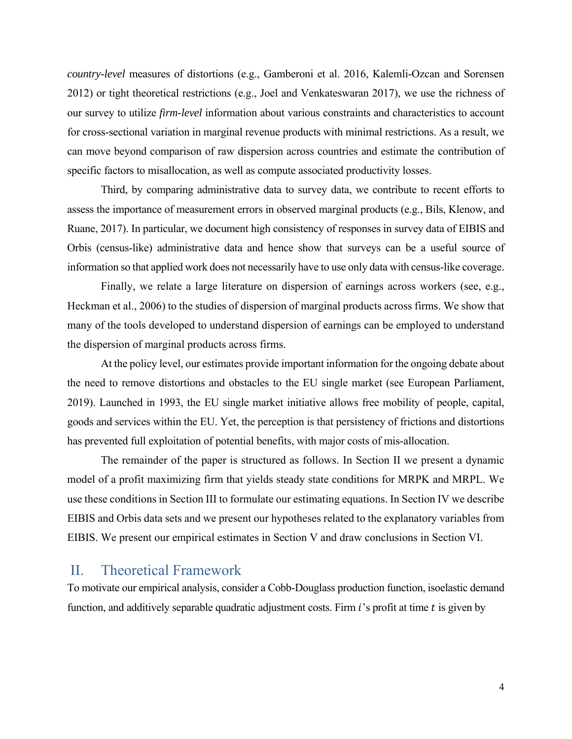*country-level* measures of distortions (e.g., Gamberoni et al. 2016, Kalemli-Ozcan and Sorensen 2012) or tight theoretical restrictions (e.g., Joel and Venkateswaran 2017), we use the richness of our survey to utilize *firm-level* information about various constraints and characteristics to account for cross-sectional variation in marginal revenue products with minimal restrictions. As a result, we can move beyond comparison of raw dispersion across countries and estimate the contribution of specific factors to misallocation, as well as compute associated productivity losses.

Third, by comparing administrative data to survey data, we contribute to recent efforts to assess the importance of measurement errors in observed marginal products (e.g., Bils, Klenow, and Ruane, 2017). In particular, we document high consistency of responses in survey data of EIBIS and Orbis (census-like) administrative data and hence show that surveys can be a useful source of information so that applied work does not necessarily have to use only data with census-like coverage.

Finally, we relate a large literature on dispersion of earnings across workers (see, e.g., Heckman et al., 2006) to the studies of dispersion of marginal products across firms. We show that many of the tools developed to understand dispersion of earnings can be employed to understand the dispersion of marginal products across firms.

At the policy level, our estimates provide important information for the ongoing debate about the need to remove distortions and obstacles to the EU single market (see European Parliament, 2019). Launched in 1993, the EU single market initiative allows free mobility of people, capital, goods and services within the EU. Yet, the perception is that persistency of frictions and distortions has prevented full exploitation of potential benefits, with major costs of mis-allocation.

The remainder of the paper is structured as follows. In Section II we present a dynamic model of a profit maximizing firm that yields steady state conditions for MRPK and MRPL. We use these conditions in Section III to formulate our estimating equations. In Section IV we describe EIBIS and Orbis data sets and we present our hypotheses related to the explanatory variables from EIBIS. We present our empirical estimates in Section V and draw conclusions in Section VI.

## II. Theoretical Framework

To motivate our empirical analysis, consider a Cobb-Douglass production function, isoelastic demand function, and additively separable quadratic adjustment costs. Firm  $i$ 's profit at time  $t$  is given by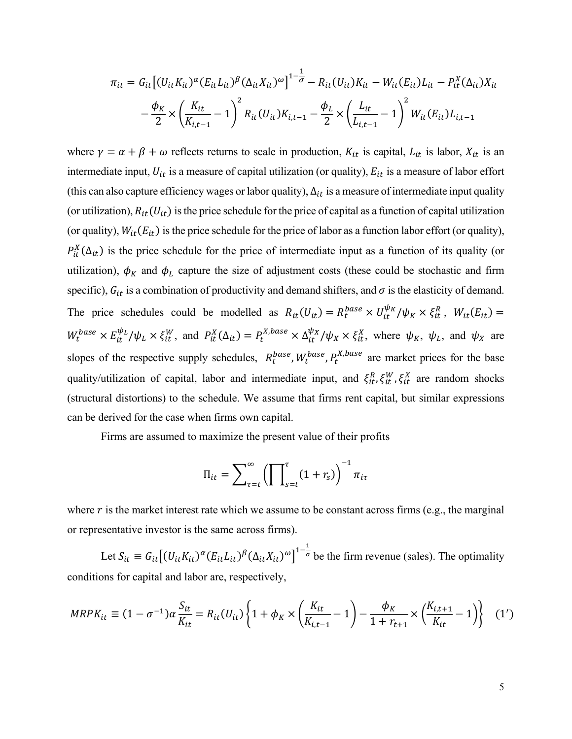$$
\pi_{it} = G_{it} \left[ (U_{it} K_{it})^{\alpha} (E_{it} L_{it})^{\beta} (\Delta_{it} X_{it})^{\omega} \right]^{1 - \frac{1}{\sigma}} - R_{it} (U_{it}) K_{it} - W_{it} (E_{it}) L_{it} - P_{it}^{X} (\Delta_{it}) X_{it}
$$

$$
- \frac{\phi_K}{2} \times \left( \frac{K_{it}}{K_{i,t-1}} - 1 \right)^2 R_{it} (U_{it}) K_{i,t-1} - \frac{\phi_L}{2} \times \left( \frac{L_{it}}{L_{i,t-1}} - 1 \right)^2 W_{it} (E_{it}) L_{i,t-1}
$$

where  $\gamma = \alpha + \beta + \omega$  reflects returns to scale in production,  $K_{it}$  is capital,  $L_{it}$  is labor,  $X_{it}$  is an intermediate input,  $U_{it}$  is a measure of capital utilization (or quality),  $E_{it}$  is a measure of labor effort (this can also capture efficiency wages or labor quality),  $\Delta_{it}$  is a measure of intermediate input quality (or utilization),  $R_{it}(U_{it})$  is the price schedule for the price of capital as a function of capital utilization (or quality),  $W_{it}(E_{it})$  is the price schedule for the price of labor as a function labor effort (or quality),  $P_{it}^{X}(\Delta_{it})$  is the price schedule for the price of intermediate input as a function of its quality (or utilization),  $\phi_K$  and  $\phi_L$  capture the size of adjustment costs (these could be stochastic and firm specific),  $G_{it}$  is a combination of productivity and demand shifters, and  $\sigma$  is the elasticity of demand. The price schedules could be modelled as  $R_{it}(U_{it}) = R_t^{base} \times U_{it}^{\psi_K}/\psi_K \times \xi_{it}^R$ ,  $W_{it}(E_{it}) =$  $W_t^{base} \times E_{it}^{\psi_L}/\psi_L \times \xi_{it}^W$ , and  $P_{it}^X(\Delta_{it}) = P_t^{X,base} \times \Delta_{it}^{\psi_X}/\psi_X \times \xi_{it}^X$ , where  $\psi_K$ ,  $\psi_L$ , and  $\psi_X$  are slopes of the respective supply schedules,  $R_t^{base}$ ,  $W_t^{base}$ ,  $P_t^{X,base}$  are market prices for the base quality/utilization of capital, labor and intermediate input, and  $\xi_{it}^R$ ,  $\xi_{it}^W$ ,  $\xi_{it}^X$  are random shocks (structural distortions) to the schedule. We assume that firms rent capital, but similar expressions can be derived for the case when firms own capital.

Firms are assumed to maximize the present value of their profits

$$
\Pi_{it} = \sum_{\tau=t}^{\infty} \left( \prod_{s=t}^{\tau} (1 + r_s) \right)^{-1} \pi_{it}
$$

where  $r$  is the market interest rate which we assume to be constant across firms (e.g., the marginal or representative investor is the same across firms).

Let  $S_{it} \equiv G_{it} \left[ (U_{it} K_{it})^{\alpha} (E_{it} L_{it})^{\beta} (\Delta_{it} X_{it})^{\omega} \right]^{1-\frac{1}{\sigma}}$  $\sigma$  be the firm revenue (sales). The optimality conditions for capital and labor are, respectively,

$$
MRPK_{it} \equiv (1 - \sigma^{-1})\alpha \frac{S_{it}}{K_{it}} = R_{it}(U_{it}) \left\{ 1 + \phi_K \times \left( \frac{K_{it}}{K_{i,t-1}} - 1 \right) - \frac{\phi_K}{1 + r_{t+1}} \times \left( \frac{K_{i,t+1}}{K_{it}} - 1 \right) \right\} \tag{1'}
$$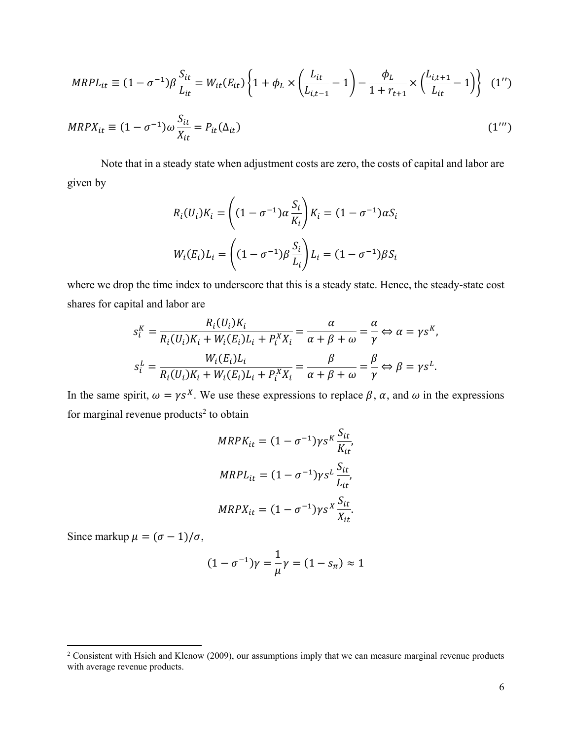$$
MRPL_{it} \equiv (1 - \sigma^{-1})\beta \frac{S_{it}}{L_{it}} = W_{it}(E_{it}) \left\{ 1 + \phi_L \times \left( \frac{L_{it}}{L_{i,t-1}} - 1 \right) - \frac{\phi_L}{1 + r_{t+1}} \times \left( \frac{L_{i,t+1}}{L_{it}} - 1 \right) \right\} (1'')
$$

$$
MRPX_{it} \equiv (1 - \sigma^{-1})\omega \frac{S_{it}}{X_{it}} = P_{it}(\Delta_{it})
$$
\n(1''')

Note that in a steady state when adjustment costs are zero, the costs of capital and labor are given by

$$
R_i(U_i)K_i = \left((1 - \sigma^{-1})\alpha \frac{S_i}{K_i}\right)K_i = (1 - \sigma^{-1})\alpha S_i
$$
  

$$
W_i(E_i)L_i = \left((1 - \sigma^{-1})\beta \frac{S_i}{L_i}\right)L_i = (1 - \sigma^{-1})\beta S_i
$$

where we drop the time index to underscore that this is a steady state. Hence, the steady-state cost shares for capital and labor are

$$
s_i^K = \frac{R_i(U_i)K_i}{R_i(U_i)K_i + W_i(E_i)L_i + P_i^X X_i} = \frac{\alpha}{\alpha + \beta + \omega} = \frac{\alpha}{\gamma} \Leftrightarrow \alpha = \gamma s^K,
$$
  

$$
s_i^L = \frac{W_i(E_i)L_i}{R_i(U_i)K_i + W_i(E_i)L_i + P_i^X X_i} = \frac{\beta}{\alpha + \beta + \omega} = \frac{\beta}{\gamma} \Leftrightarrow \beta = \gamma s^L.
$$

In the same spirit,  $\omega = \gamma s^X$ . We use these expressions to replace  $\beta$ ,  $\alpha$ , and  $\omega$  in the expressions for marginal revenue products<sup>2</sup> to obtain

$$
MRPK_{it} = (1 - \sigma^{-1})\gamma s^K \frac{S_{it}}{K_{it}},
$$
  

$$
MRPL_{it} = (1 - \sigma^{-1})\gamma s^L \frac{S_{it}}{L_{it}},
$$
  

$$
MRPX_{it} = (1 - \sigma^{-1})\gamma s^K \frac{S_{it}}{X_{it}}.
$$

Since markup  $\mu = (\sigma - 1)/\sigma$ ,

$$
(1 - \sigma^{-1})\gamma = \frac{1}{\mu}\gamma = (1 - s_{\pi}) \approx 1
$$

<sup>&</sup>lt;sup>2</sup> Consistent with Hsieh and Klenow (2009), our assumptions imply that we can measure marginal revenue products with average revenue products.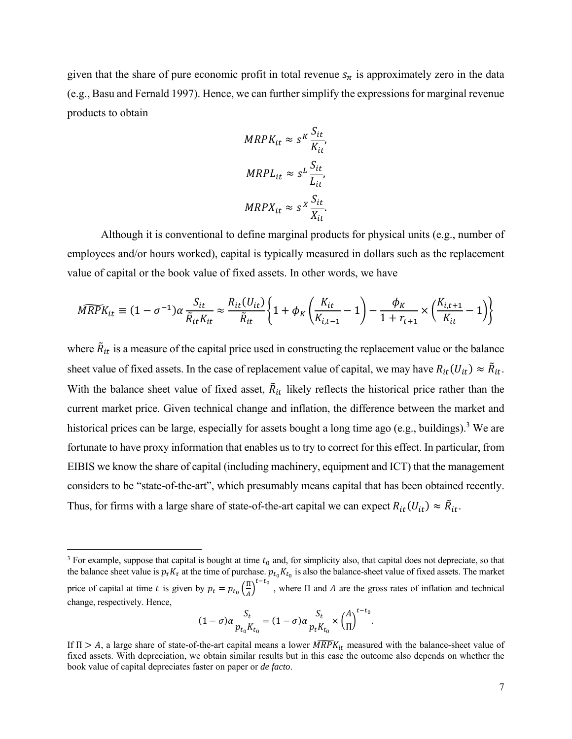given that the share of pure economic profit in total revenue  $s_{\pi}$  is approximately zero in the data (e.g., Basu and Fernald 1997). Hence, we can further simplify the expressions for marginal revenue products to obtain

$$
MRPK_{it} \approx s^K \frac{S_{it}}{K_{it}},
$$
  

$$
MRPL_{it} \approx s^L \frac{S_{it}}{L_{it}},
$$
  

$$
MRPX_{it} \approx s^X \frac{S_{it}}{X_{it}}.
$$

Although it is conventional to define marginal products for physical units (e.g., number of employees and/or hours worked), capital is typically measured in dollars such as the replacement value of capital or the book value of fixed assets. In other words, we have

$$
\widehat{MRPK}_{it} \equiv (1 - \sigma^{-1})\alpha \frac{S_{it}}{\tilde{R}_{it}K_{it}} \approx \frac{R_{it}(U_{it})}{\tilde{R}_{it}} \left\{ 1 + \phi_K \left( \frac{K_{it}}{K_{i,t-1}} - 1 \right) - \frac{\phi_K}{1 + r_{t+1}} \times \left( \frac{K_{i,t+1}}{K_{it}} - 1 \right) \right\}
$$

where  $\tilde{R}_{it}$  is a measure of the capital price used in constructing the replacement value or the balance sheet value of fixed assets. In the case of replacement value of capital, we may have  $R_{it}(U_{it}) \approx \tilde{R}_{it}$ . With the balance sheet value of fixed asset,  $\tilde{R}_{it}$  likely reflects the historical price rather than the current market price. Given technical change and inflation, the difference between the market and historical prices can be large, especially for assets bought a long time ago (e.g., buildings).<sup>3</sup> We are fortunate to have proxy information that enables us to try to correct for this effect. In particular, from EIBIS we know the share of capital (including machinery, equipment and ICT) that the management considers to be "state-of-the-art", which presumably means capital that has been obtained recently. Thus, for firms with a large share of state-of-the-art capital we can expect  $R_{it}(U_{it}) \approx \tilde{R}_{it}$ .

$$
(1 - \sigma)\alpha \frac{S_t}{p_{t_0} K_{t_0}} = (1 - \sigma)\alpha \frac{S_t}{p_t K_{t_0}} \times \left(\frac{A}{\Pi}\right)^{t - t_0}.
$$

<sup>&</sup>lt;sup>3</sup> For example, suppose that capital is bought at time  $t_0$  and, for simplicity also, that capital does not depreciate, so that the balance sheet value is  $p_{\tau}K_{\tau}$  at the time of purchase.  $p_{t_0}K_{t_0}$  is also the balance-sheet value of fixed assets. The market price of capital at time t is given by  $p_t = p_{t_0} \left( \frac{\Pi}{A} \right)$  $\frac{\pi}{4}$ <sup>t-t<sub>o</sub></sup>, where  $\Pi$  and A are the gross rates of inflation and technical change, respectively. Hence,

If  $\Pi > A$ , a large share of state-of-the-art capital means a lower  $\widehat{MRPK}_{it}$  measured with the balance-sheet value of fixed assets. With depreciation, we obtain similar results but in this case the outcome also depends on whether the book value of capital depreciates faster on paper or *de facto*.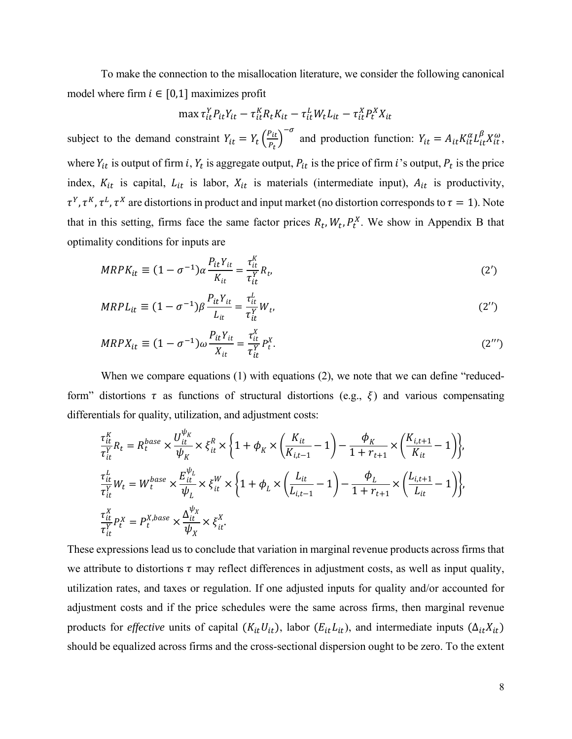To make the connection to the misallocation literature, we consider the following canonical model where firm  $i \in [0,1]$  maximizes profit

$$
\max \tau_{it}^Y P_{it} Y_{it} - \tau_{it}^K R_t K_{it} - \tau_{it}^L W_t L_{it} - \tau_{it}^X P_t^X X_{it}
$$

subject to the demand constraint  $Y_{it} = Y_t \left(\frac{P_{it}}{P}\right)$  $\left( \frac{P_{it}}{P_t} \right)^{-\sigma}$  and production function:  $Y_{it} = A_{it} K_{it}^{\alpha} L_{it}^{\beta} X_{it}^{\omega}$ , where  $Y_{it}$  is output of firm i,  $Y_t$  is aggregate output,  $P_{it}$  is the price of firm i's output,  $P_t$  is the price index,  $K_{it}$  is capital,  $L_{it}$  is labor,  $X_{it}$  is materials (intermediate input),  $A_{it}$  is productivity,  $\tau^Y$ ,  $\tau^K$ ,  $\tau^L$ ,  $\tau^X$  are distortions in product and input market (no distortion corresponds to  $\tau = 1$ ). Note that in this setting, firms face the same factor prices  $R_t$ ,  $W_t$ ,  $P_t^X$ . We show in Appendix B that optimality conditions for inputs are

$$
MRPK_{it} \equiv (1 - \sigma^{-1})\alpha \frac{P_{it}Y_{it}}{K_{it}} = \frac{\tau_{it}^K}{\tau_{it}^Y} R_t,
$$
\n
$$
(2')
$$

$$
MRPL_{it} \equiv (1 - \sigma^{-1})\beta \frac{P_{it}Y_{it}}{L_{it}} = \frac{\tau_{it}^L}{\tau_{it}^Y} W_t,
$$
\n
$$
(2'')
$$

$$
MRPX_{it} \equiv (1 - \sigma^{-1})\omega \frac{P_{it}Y_{it}}{X_{it}} = \frac{\tau_{it}^X}{\tau_{it}^Y} P_t^X.
$$
\n
$$
(2^{\prime\prime\prime})
$$

When we compare equations (1) with equations (2), we note that we can define "reducedform" distortions  $\tau$  as functions of structural distortions (e.g.,  $\xi$ ) and various compensating differentials for quality, utilization, and adjustment costs:

$$
\begin{split} &\frac{\tau_{it}^K}{\tau_{it}^Y}R_t=R_t^{base}\times\frac{U_{it}^{\psi_K}}{\psi_K}\times\xi_{it}^R\times\left\{1+\phi_K\times\left(\frac{K_{it}}{K_{i,t-1}}-1\right)-\frac{\phi_K}{1+r_{t+1}}\times\left(\frac{K_{i,t+1}}{K_{it}}-1\right)\right\},\\ &\frac{\tau_{it}^L}{\tau_{it}^Y}W_t=W_t^{base}\times\frac{E_{it}^{\psi_L}}{\psi_L}\times\xi_{it}^W\times\left\{1+\phi_L\times\left(\frac{L_{it}}{L_{i,t-1}}-1\right)-\frac{\phi_L}{1+r_{t+1}}\times\left(\frac{L_{i,t+1}}{L_{it}}-1\right)\right\},\\ &\frac{\tau_{it}^X}{\tau_{it}^Y}P_t^X=P_t^{X,base}\times\frac{\Delta_{it}^{\psi_X}}{\psi_X}\times\xi_{it}^X. \end{split}
$$

These expressions lead us to conclude that variation in marginal revenue products across firms that we attribute to distortions  $\tau$  may reflect differences in adjustment costs, as well as input quality, utilization rates, and taxes or regulation. If one adjusted inputs for quality and/or accounted for adjustment costs and if the price schedules were the same across firms, then marginal revenue products for *effective* units of capital  $(K_{it}U_{it})$ , labor  $(E_{it}L_{it})$ , and intermediate inputs  $(\Delta_{it}X_{it})$ should be equalized across firms and the cross-sectional dispersion ought to be zero. To the extent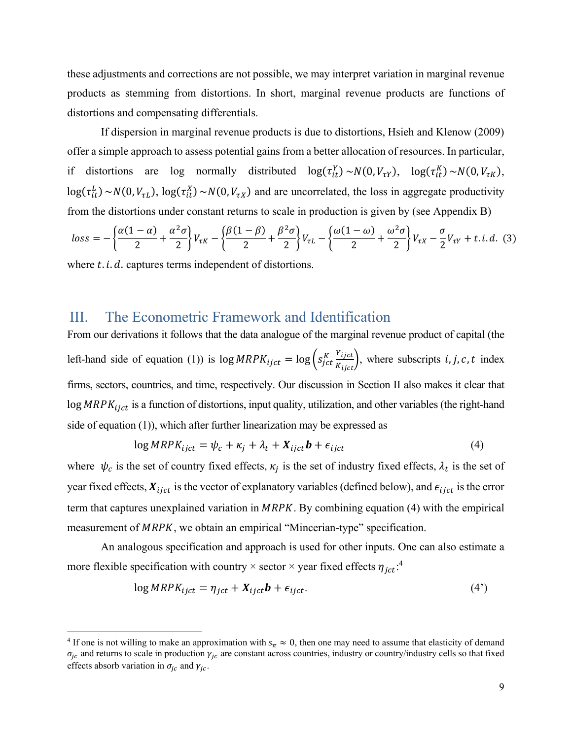these adjustments and corrections are not possible, we may interpret variation in marginal revenue products as stemming from distortions. In short, marginal revenue products are functions of distortions and compensating differentials.

If dispersion in marginal revenue products is due to distortions, Hsieh and Klenow (2009) offer a simple approach to assess potential gains from a better allocation of resources. In particular, if distortions are log normally distributed  $log(\tau_{it}^Y) \sim N(0, V_{\tau Y}), log(\tau_{it}^K) \sim N(0, V_{\tau K}),$  $log(\tau_{it}^L) \sim N(0, V_{\tau L})$ ,  $log(\tau_{it}^X) \sim N(0, V_{\tau X})$  and are uncorrelated, the loss in aggregate productivity from the distortions under constant returns to scale in production is given by (see Appendix B)

$$
loss = -\left\{\frac{\alpha(1-\alpha)}{2} + \frac{\alpha^2\sigma}{2}\right\}V_{\tau K} - \left\{\frac{\beta(1-\beta)}{2} + \frac{\beta^2\sigma}{2}\right\}V_{\tau L} - \left\{\frac{\omega(1-\omega)}{2} + \frac{\omega^2\sigma}{2}\right\}V_{\tau X} - \frac{\sigma}{2}V_{\tau Y} + t.i.d.\tag{3}
$$

where  $t$ .  $i$ .  $d$ . captures terms independent of distortions.

## III. The Econometric Framework and Identification

From our derivations it follows that the data analogue of the marginal revenue product of capital (the left-hand side of equation (1)) is  $\log MRPK_{ijct} = \log \left( s_{jct}^K \frac{Y_{ijct}}{K_{ijct}} \right)$ , where subscripts *i*, *j*, *c*, *t* index firms, sectors, countries, and time, respectively. Our discussion in Section II also makes it clear that  $log MRPK<sub>ijct</sub>$  is a function of distortions, input quality, utilization, and other variables (the right-hand side of equation (1)), which after further linearization may be expressed as

$$
\log MRPK_{ijct} = \psi_c + \kappa_j + \lambda_t + X_{ijct}b + \epsilon_{ijct}
$$
\n<sup>(4)</sup>

where  $\psi_c$  is the set of country fixed effects,  $\kappa_i$  is the set of industry fixed effects,  $\lambda_t$  is the set of year fixed effects,  $X_{ijct}$  is the vector of explanatory variables (defined below), and  $\epsilon_{ijct}$  is the error term that captures unexplained variation in  $MRPK$ . By combining equation (4) with the empirical measurement of MRPK, we obtain an empirical "Mincerian-type" specification.

An analogous specification and approach is used for other inputs. One can also estimate a more flexible specification with country  $\times$  sector  $\times$  year fixed effects  $\eta_{jct}$ .<sup>4</sup>

$$
\log MRPK_{ijct} = \eta_{jct} + X_{ijct}b + \epsilon_{ijct}.
$$
\n(4')

<sup>&</sup>lt;sup>4</sup> If one is not willing to make an approximation with  $s_n \approx 0$ , then one may need to assume that elasticity of demand  $\sigma_{jc}$  and returns to scale in production  $\gamma_{jc}$  are constant across countries, industry or country/industry cells so that fixed effects absorb variation in  $\sigma_{jc}$  and  $\gamma_{jc}$ .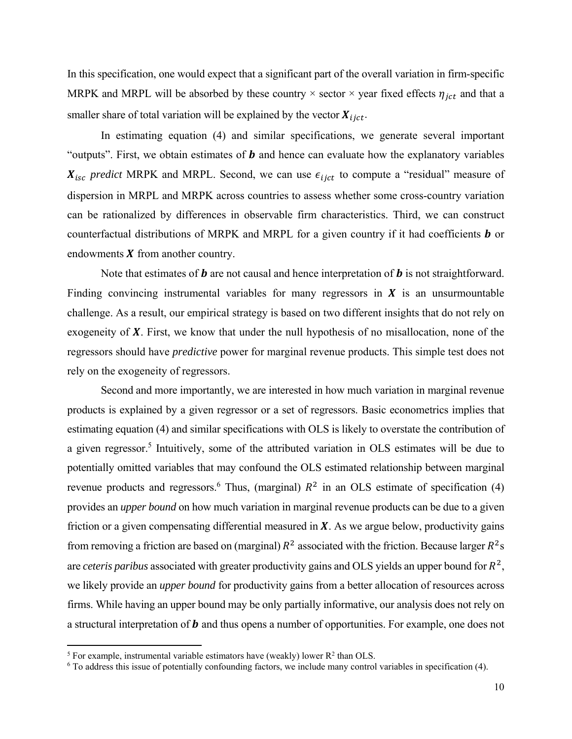In this specification, one would expect that a significant part of the overall variation in firm-specific MRPK and MRPL will be absorbed by these country  $\times$  sector  $\times$  year fixed effects  $\eta_{ict}$  and that a smaller share of total variation will be explained by the vector  $X_{i, i, c}$ .

 In estimating equation (4) and similar specifications, we generate several important "outputs". First, we obtain estimates of  **and hence can evaluate how the explanatory variables**  $X_{\text{isc}}$  predict MRPK and MRPL. Second, we can use  $\epsilon_{\text{iict}}$  to compute a "residual" measure of dispersion in MRPL and MRPK across countries to assess whether some cross-country variation can be rationalized by differences in observable firm characteristics. Third, we can construct counterfactual distributions of MRPK and MRPL for a given country if it had coefficients  $\boldsymbol{b}$  or endowments  $X$  from another country.

Note that estimates of  **are not causal and hence interpretation of**  $**b**$  **is not straightforward.** Finding convincing instrumental variables for many regressors in  $X$  is an unsurmountable challenge. As a result, our empirical strategy is based on two different insights that do not rely on exogeneity of  $X$ . First, we know that under the null hypothesis of no misallocation, none of the regressors should have *predictive* power for marginal revenue products. This simple test does not rely on the exogeneity of regressors.

Second and more importantly, we are interested in how much variation in marginal revenue products is explained by a given regressor or a set of regressors. Basic econometrics implies that estimating equation (4) and similar specifications with OLS is likely to overstate the contribution of a given regressor.<sup>5</sup> Intuitively, some of the attributed variation in OLS estimates will be due to potentially omitted variables that may confound the OLS estimated relationship between marginal revenue products and regressors.<sup>6</sup> Thus, (marginal)  $R^2$  in an OLS estimate of specification (4) provides an *upper bound* on how much variation in marginal revenue products can be due to a given friction or a given compensating differential measured in  $X$ . As we argue below, productivity gains from removing a friction are based on (marginal)  $R^2$  associated with the friction. Because larger  $R^2$ s are *ceteris paribus* associated with greater productivity gains and OLS yields an upper bound for  $R^2$ , we likely provide an *upper bound* for productivity gains from a better allocation of resources across firms. While having an upper bound may be only partially informative, our analysis does not rely on a structural interpretation of  **and thus opens a number of opportunities. For example, one does not** 

<sup>&</sup>lt;sup>5</sup> For example, instrumental variable estimators have (weakly) lower  $R^2$  than OLS.

<sup>&</sup>lt;sup>6</sup> To address this issue of potentially confounding factors, we include many control variables in specification (4).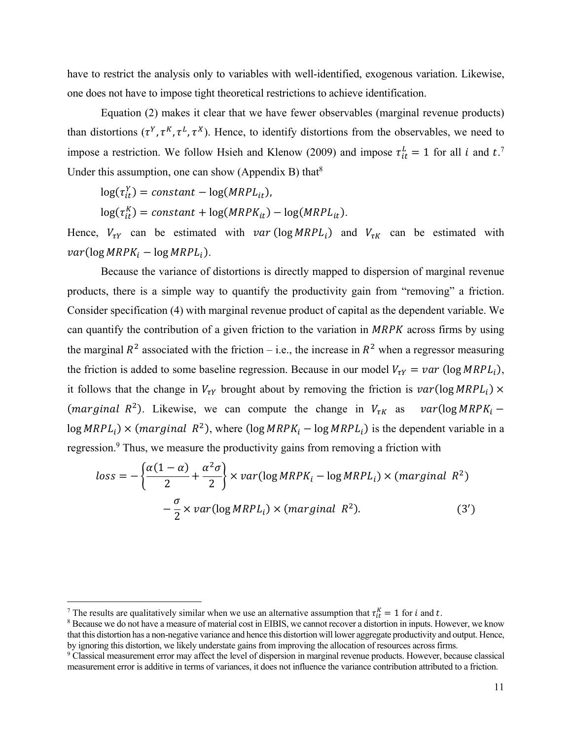have to restrict the analysis only to variables with well-identified, exogenous variation. Likewise, one does not have to impose tight theoretical restrictions to achieve identification.

Equation (2) makes it clear that we have fewer observables (marginal revenue products) than distortions  $(\tau^Y, \tau^K, \tau^L, \tau^X)$ . Hence, to identify distortions from the observables, we need to impose a restriction. We follow Hsieh and Klenow (2009) and impose  $\tau_{it}^L = 1$  for all *i* and *t*.<sup>7</sup> Under this assumption, one can show (Appendix B) that $8$ 

 $log(\tau_{it}^Y) = constant - log(MRPL_{it}),$ 

 $log(\tau_{it}^K) = constant + log(MRPK_{it}) - log(MRPL_{it}).$ 

Hence,  $V_{\tau Y}$  can be estimated with  $var(\log M RPL_i)$  and  $V_{\tau K}$  can be estimated with  $var(\log MRPK_i - \log MRPL_i).$ 

Because the variance of distortions is directly mapped to dispersion of marginal revenue products, there is a simple way to quantify the productivity gain from "removing" a friction. Consider specification (4) with marginal revenue product of capital as the dependent variable. We can quantify the contribution of a given friction to the variation in  $MRPK$  across firms by using the marginal  $R^2$  associated with the friction – i.e., the increase in  $R^2$  when a regressor measuring the friction is added to some baseline regression. Because in our model  $V_{\tau Y} = \nu a r$  (log  $MRPL_i$ ), it follows that the change in  $V_{\tau Y}$  brought about by removing the friction is  $var(log M RPL_i) \times$ (marginal R<sup>2</sup>). Likewise, we can compute the change in  $V_{\tau K}$  as  $var(log M R P K_i$  –  $log M RPL_i$ ) × (marginal  $R^2$ ), where (log  $MRPK_i - log M RPL_i$ ) is the dependent variable in a regression.<sup>9</sup> Thus, we measure the productivity gains from removing a friction with

$$
loss = -\left\{\frac{\alpha(1-\alpha)}{2} + \frac{\alpha^2 \sigma}{2}\right\} \times var(\log MRPK_i - \log MRPL_i) \times (marginal R^2)
$$

$$
-\frac{\sigma}{2} \times var(\log MRPL_i) \times (marginal R^2). \tag{3'}
$$

The results are qualitatively similar when we use an alternative assumption that  $\tau_{it}^k = 1$  for *i* and *t*.<br><sup>8</sup> Because we do not have a measure of material cost in EIBIS, we cannot recover a distortion in inputs. Ho

<sup>&</sup>lt;sup>8</sup> Because we do not have a measure of material cost in EIBIS, we cannot recover a distortion in inputs. However, we know that this distortion has a non-negative variance and hence this distortion will lower aggregate productivity and output. Hence, by ignoring this distortion, we likely understate gains from improving the allocation of resources across firms.

<sup>&</sup>lt;sup>9</sup> Classical measurement error may affect the level of dispersion in marginal revenue products. However, because classical measurement error is additive in terms of variances, it does not influence the variance contribution attributed to a friction.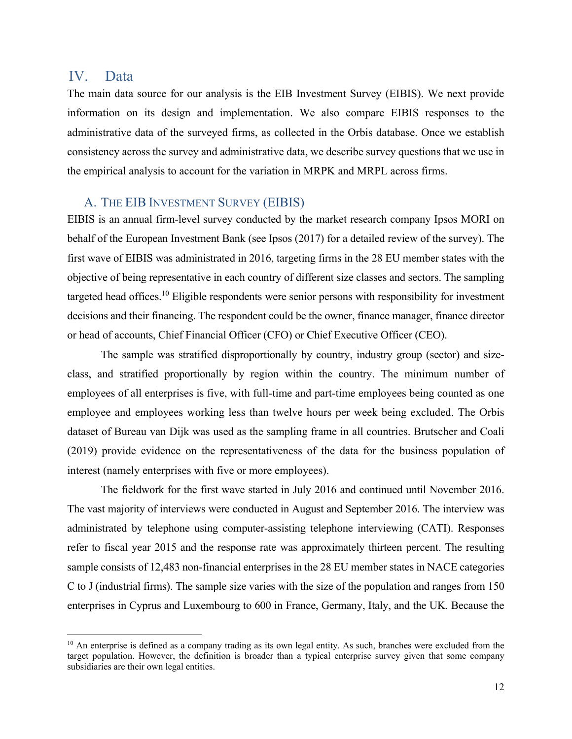## IV. Data

The main data source for our analysis is the EIB Investment Survey (EIBIS). We next provide information on its design and implementation. We also compare EIBIS responses to the administrative data of the surveyed firms, as collected in the Orbis database. Once we establish consistency across the survey and administrative data, we describe survey questions that we use in the empirical analysis to account for the variation in MRPK and MRPL across firms.

#### A. THE EIB INVESTMENT SURVEY (EIBIS)

EIBIS is an annual firm-level survey conducted by the market research company Ipsos MORI on behalf of the European Investment Bank (see Ipsos (2017) for a detailed review of the survey). The first wave of EIBIS was administrated in 2016, targeting firms in the 28 EU member states with the objective of being representative in each country of different size classes and sectors. The sampling targeted head offices.<sup>10</sup> Eligible respondents were senior persons with responsibility for investment decisions and their financing. The respondent could be the owner, finance manager, finance director or head of accounts, Chief Financial Officer (CFO) or Chief Executive Officer (CEO).

The sample was stratified disproportionally by country, industry group (sector) and sizeclass, and stratified proportionally by region within the country. The minimum number of employees of all enterprises is five, with full-time and part-time employees being counted as one employee and employees working less than twelve hours per week being excluded. The Orbis dataset of Bureau van Dijk was used as the sampling frame in all countries. Brutscher and Coali (2019) provide evidence on the representativeness of the data for the business population of interest (namely enterprises with five or more employees).

The fieldwork for the first wave started in July 2016 and continued until November 2016. The vast majority of interviews were conducted in August and September 2016. The interview was administrated by telephone using computer-assisting telephone interviewing (CATI). Responses refer to fiscal year 2015 and the response rate was approximately thirteen percent. The resulting sample consists of 12,483 non-financial enterprises in the 28 EU member states in NACE categories C to J (industrial firms). The sample size varies with the size of the population and ranges from 150 enterprises in Cyprus and Luxembourg to 600 in France, Germany, Italy, and the UK. Because the

 $10$  An enterprise is defined as a company trading as its own legal entity. As such, branches were excluded from the target population. However, the definition is broader than a typical enterprise survey given that some company subsidiaries are their own legal entities.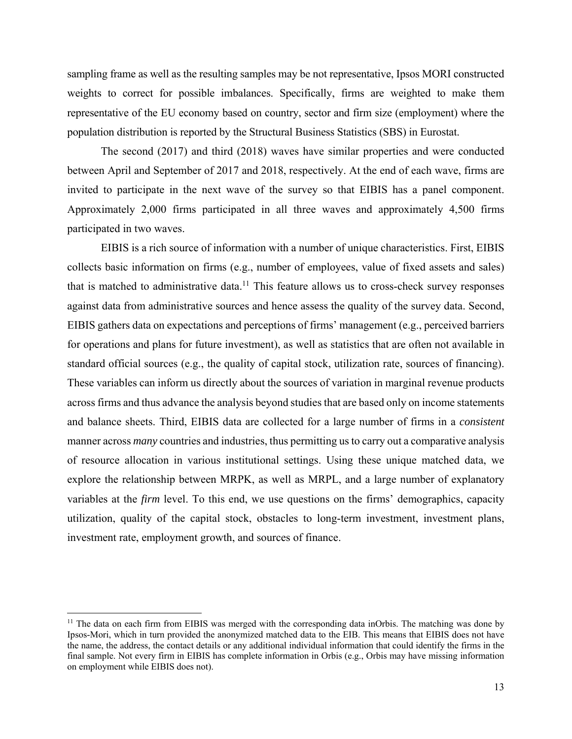sampling frame as well as the resulting samples may be not representative, Ipsos MORI constructed weights to correct for possible imbalances. Specifically, firms are weighted to make them representative of the EU economy based on country, sector and firm size (employment) where the population distribution is reported by the Structural Business Statistics (SBS) in Eurostat.

The second (2017) and third (2018) waves have similar properties and were conducted between April and September of 2017 and 2018, respectively. At the end of each wave, firms are invited to participate in the next wave of the survey so that EIBIS has a panel component. Approximately 2,000 firms participated in all three waves and approximately 4,500 firms participated in two waves.

EIBIS is a rich source of information with a number of unique characteristics. First, EIBIS collects basic information on firms (e.g., number of employees, value of fixed assets and sales) that is matched to administrative data.<sup>11</sup> This feature allows us to cross-check survey responses against data from administrative sources and hence assess the quality of the survey data. Second, EIBIS gathers data on expectations and perceptions of firms' management (e.g., perceived barriers for operations and plans for future investment), as well as statistics that are often not available in standard official sources (e.g., the quality of capital stock, utilization rate, sources of financing). These variables can inform us directly about the sources of variation in marginal revenue products across firms and thus advance the analysis beyond studies that are based only on income statements and balance sheets. Third, EIBIS data are collected for a large number of firms in a *consistent* manner across *many* countries and industries, thus permitting us to carry out a comparative analysis of resource allocation in various institutional settings. Using these unique matched data, we explore the relationship between MRPK, as well as MRPL, and a large number of explanatory variables at the *firm* level. To this end, we use questions on the firms' demographics, capacity utilization, quality of the capital stock, obstacles to long-term investment, investment plans, investment rate, employment growth, and sources of finance.

 $11$  The data on each firm from EIBIS was merged with the corresponding data inOrbis. The matching was done by Ipsos-Mori, which in turn provided the anonymized matched data to the EIB. This means that EIBIS does not have the name, the address, the contact details or any additional individual information that could identify the firms in the final sample. Not every firm in EIBIS has complete information in Orbis (e.g., Orbis may have missing information on employment while EIBIS does not).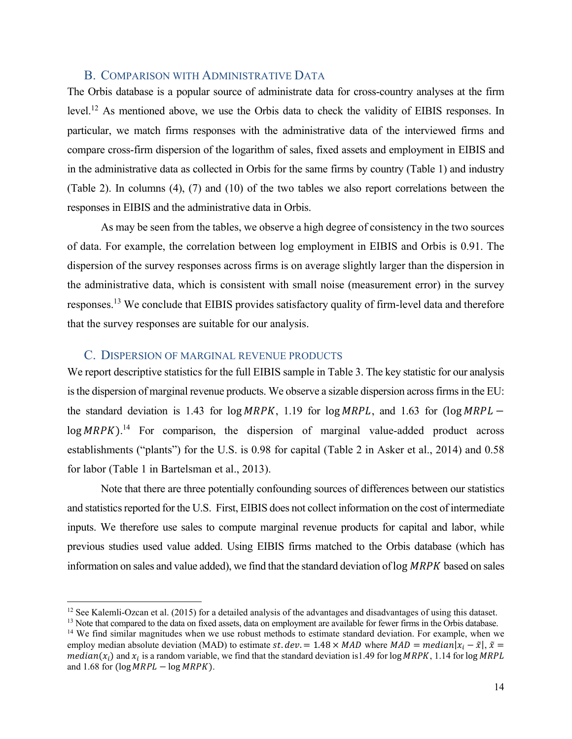#### B. COMPARISON WITH ADMINISTRATIVE DATA

The Orbis database is a popular source of administrate data for cross-country analyses at the firm level.12 As mentioned above, we use the Orbis data to check the validity of EIBIS responses. In particular, we match firms responses with the administrative data of the interviewed firms and compare cross-firm dispersion of the logarithm of sales, fixed assets and employment in EIBIS and in the administrative data as collected in Orbis for the same firms by country (Table 1) and industry (Table 2). In columns (4), (7) and (10) of the two tables we also report correlations between the responses in EIBIS and the administrative data in Orbis.

As may be seen from the tables, we observe a high degree of consistency in the two sources of data. For example, the correlation between log employment in EIBIS and Orbis is 0.91. The dispersion of the survey responses across firms is on average slightly larger than the dispersion in the administrative data, which is consistent with small noise (measurement error) in the survey responses.13 We conclude that EIBIS provides satisfactory quality of firm-level data and therefore that the survey responses are suitable for our analysis.

#### C. DISPERSION OF MARGINAL REVENUE PRODUCTS

We report descriptive statistics for the full EIBIS sample in Table 3. The key statistic for our analysis is the dispersion of marginal revenue products. We observe a sizable dispersion across firms in the EU: the standard deviation is 1.43 for  $log MRPK$ , 1.19 for  $log MRPL$ , and 1.63 for  $(log MRPL$  $log MRPK$ ).<sup>14</sup> For comparison, the dispersion of marginal value-added product across establishments ("plants") for the U.S. is 0.98 for capital (Table 2 in Asker et al., 2014) and 0.58 for labor (Table 1 in Bartelsman et al., 2013).

Note that there are three potentially confounding sources of differences between our statistics and statistics reported for the U.S. First, EIBIS does not collect information on the cost of intermediate inputs. We therefore use sales to compute marginal revenue products for capital and labor, while previous studies used value added. Using EIBIS firms matched to the Orbis database (which has information on sales and value added), we find that the standard deviation of  $\log MRPK$  based on sales

<sup>&</sup>lt;sup>12</sup> See Kalemli-Ozcan et al. (2015) for a detailed analysis of the advantages and disadvantages of using this dataset.<br><sup>13</sup> Note that compared to the data on fixed assets, data on employment are available for fewer firms

<sup>&</sup>lt;sup>14</sup> We find similar magnitudes when we use robust methods to estimate standard deviation. For example, when we employ median absolute deviation (MAD) to estimate st.  $dev = 1.48 \times MAD$  where  $MAD = median|x_i - \tilde{x}|$ ,  $\tilde{x} =$  $median(x_i)$  and  $x_i$  is a random variable, we find that the standard deviation is 1.49 for log MRPK, 1.14 for log MRPL and 1.68 for  $(\log MRPL - \log MRPK)$ .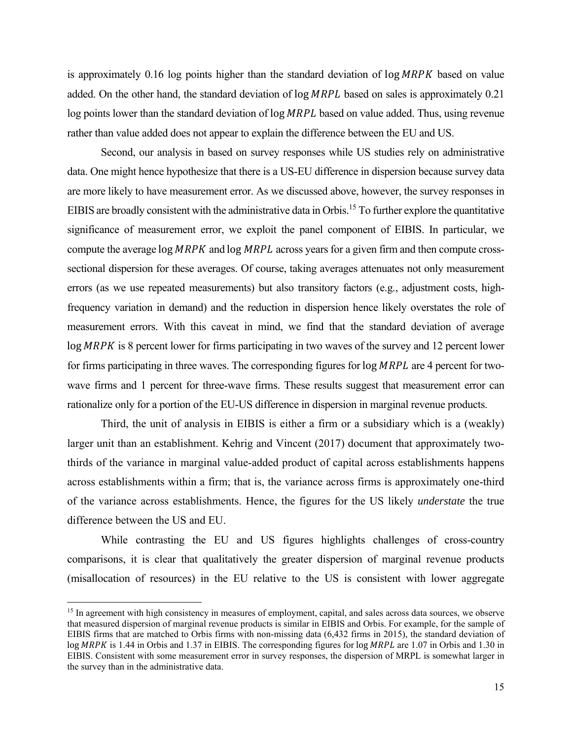is approximately  $0.16$  log points higher than the standard deviation of  $\log MRPK$  based on value added. On the other hand, the standard deviation of  $log MRPL$  based on sales is approximately 0.21 log points lower than the standard deviation of log MRPL based on value added. Thus, using revenue rather than value added does not appear to explain the difference between the EU and US.

Second, our analysis in based on survey responses while US studies rely on administrative data. One might hence hypothesize that there is a US-EU difference in dispersion because survey data are more likely to have measurement error. As we discussed above, however, the survey responses in EIBIS are broadly consistent with the administrative data in Orbis.15 To further explore the quantitative significance of measurement error, we exploit the panel component of EIBIS. In particular, we compute the average  $log MRPK$  and  $log MRPL$  across years for a given firm and then compute crosssectional dispersion for these averages. Of course, taking averages attenuates not only measurement errors (as we use repeated measurements) but also transitory factors (e.g., adjustment costs, highfrequency variation in demand) and the reduction in dispersion hence likely overstates the role of measurement errors. With this caveat in mind, we find that the standard deviation of average  $log MRPK$  is 8 percent lower for firms participating in two waves of the survey and 12 percent lower for firms participating in three waves. The corresponding figures for  $log MRPL$  are 4 percent for twowave firms and 1 percent for three-wave firms. These results suggest that measurement error can rationalize only for a portion of the EU-US difference in dispersion in marginal revenue products.

Third, the unit of analysis in EIBIS is either a firm or a subsidiary which is a (weakly) larger unit than an establishment. Kehrig and Vincent (2017) document that approximately twothirds of the variance in marginal value-added product of capital across establishments happens across establishments within a firm; that is, the variance across firms is approximately one-third of the variance across establishments. Hence, the figures for the US likely *understate* the true difference between the US and EU.

While contrasting the EU and US figures highlights challenges of cross-country comparisons, it is clear that qualitatively the greater dispersion of marginal revenue products (misallocation of resources) in the EU relative to the US is consistent with lower aggregate

<sup>&</sup>lt;sup>15</sup> In agreement with high consistency in measures of employment, capital, and sales across data sources, we observe that measured dispersion of marginal revenue products is similar in EIBIS and Orbis. For example, for the sample of EIBIS firms that are matched to Orbis firms with non-missing data (6,432 firms in 2015), the standard deviation of  $log MRPK$  is 1.44 in Orbis and 1.37 in EIBIS. The corresponding figures for  $log MRPL$  are 1.07 in Orbis and 1.30 in EIBIS. Consistent with some measurement error in survey responses, the dispersion of MRPL is somewhat larger in the survey than in the administrative data.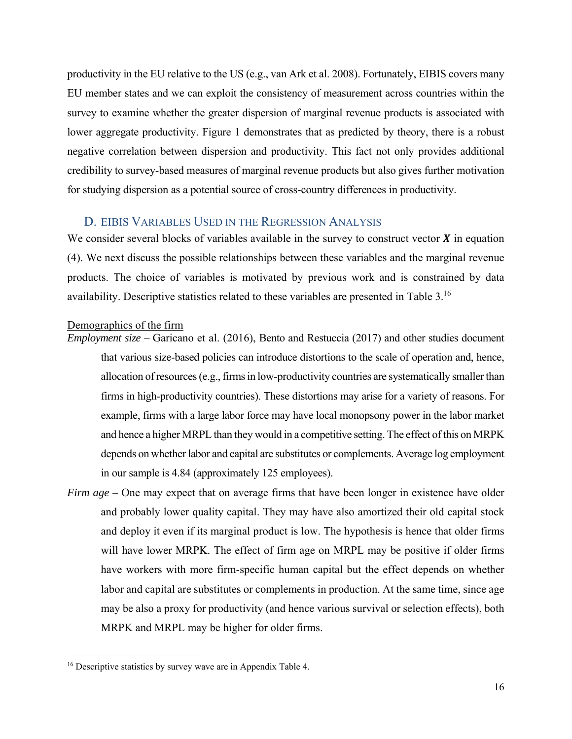productivity in the EU relative to the US (e.g., van Ark et al. 2008). Fortunately, EIBIS covers many EU member states and we can exploit the consistency of measurement across countries within the survey to examine whether the greater dispersion of marginal revenue products is associated with lower aggregate productivity. Figure 1 demonstrates that as predicted by theory, there is a robust negative correlation between dispersion and productivity. This fact not only provides additional credibility to survey-based measures of marginal revenue products but also gives further motivation for studying dispersion as a potential source of cross-country differences in productivity.

## D. EIBIS VARIABLES USED IN THE REGRESSION ANALYSIS

We consider several blocks of variables available in the survey to construct vector  $\boldsymbol{X}$  in equation (4). We next discuss the possible relationships between these variables and the marginal revenue products. The choice of variables is motivated by previous work and is constrained by data availability. Descriptive statistics related to these variables are presented in Table 3.16

#### Demographics of the firm

- *Employment size* Garicano et al. (2016), Bento and Restuccia (2017) and other studies document that various size-based policies can introduce distortions to the scale of operation and, hence, allocation of resources (e.g., firms in low-productivity countries are systematically smaller than firms in high-productivity countries). These distortions may arise for a variety of reasons. For example, firms with a large labor force may have local monopsony power in the labor market and hence a higher MRPL than they would in a competitive setting. The effect of this on MRPK depends on whether labor and capital are substitutes or complements. Average log employment in our sample is 4.84 (approximately 125 employees).
- *Firm age* One may expect that on average firms that have been longer in existence have older and probably lower quality capital. They may have also amortized their old capital stock and deploy it even if its marginal product is low. The hypothesis is hence that older firms will have lower MRPK. The effect of firm age on MRPL may be positive if older firms have workers with more firm-specific human capital but the effect depends on whether labor and capital are substitutes or complements in production. At the same time, since age may be also a proxy for productivity (and hence various survival or selection effects), both MRPK and MRPL may be higher for older firms.

<sup>&</sup>lt;sup>16</sup> Descriptive statistics by survey wave are in Appendix Table 4.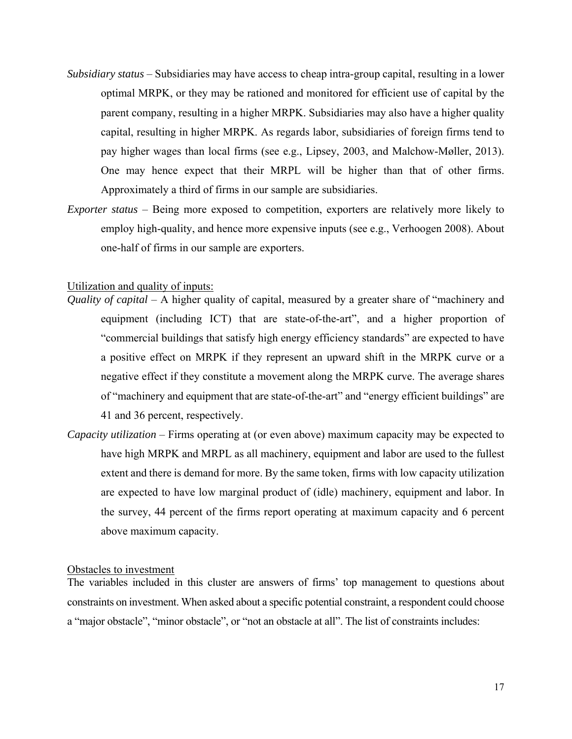- *Subsidiary status* Subsidiaries may have access to cheap intra-group capital, resulting in a lower optimal MRPK, or they may be rationed and monitored for efficient use of capital by the parent company, resulting in a higher MRPK. Subsidiaries may also have a higher quality capital, resulting in higher MRPK. As regards labor, subsidiaries of foreign firms tend to pay higher wages than local firms (see e.g., Lipsey, 2003, and Malchow-Møller, 2013). One may hence expect that their MRPL will be higher than that of other firms. Approximately a third of firms in our sample are subsidiaries.
- *Exporter status* Being more exposed to competition, exporters are relatively more likely to employ high-quality, and hence more expensive inputs (see e.g., Verhoogen 2008). About one-half of firms in our sample are exporters.

#### Utilization and quality of inputs:

- *Quality of capital* A higher quality of capital, measured by a greater share of "machinery and equipment (including ICT) that are state-of-the-art", and a higher proportion of "commercial buildings that satisfy high energy efficiency standards" are expected to have a positive effect on MRPK if they represent an upward shift in the MRPK curve or a negative effect if they constitute a movement along the MRPK curve. The average shares of "machinery and equipment that are state-of-the-art" and "energy efficient buildings" are 41 and 36 percent, respectively.
- *Capacity utilization* Firms operating at (or even above) maximum capacity may be expected to have high MRPK and MRPL as all machinery, equipment and labor are used to the fullest extent and there is demand for more. By the same token, firms with low capacity utilization are expected to have low marginal product of (idle) machinery, equipment and labor. In the survey, 44 percent of the firms report operating at maximum capacity and 6 percent above maximum capacity.

#### Obstacles to investment

The variables included in this cluster are answers of firms' top management to questions about constraints on investment. When asked about a specific potential constraint, a respondent could choose a "major obstacle", "minor obstacle", or "not an obstacle at all". The list of constraints includes: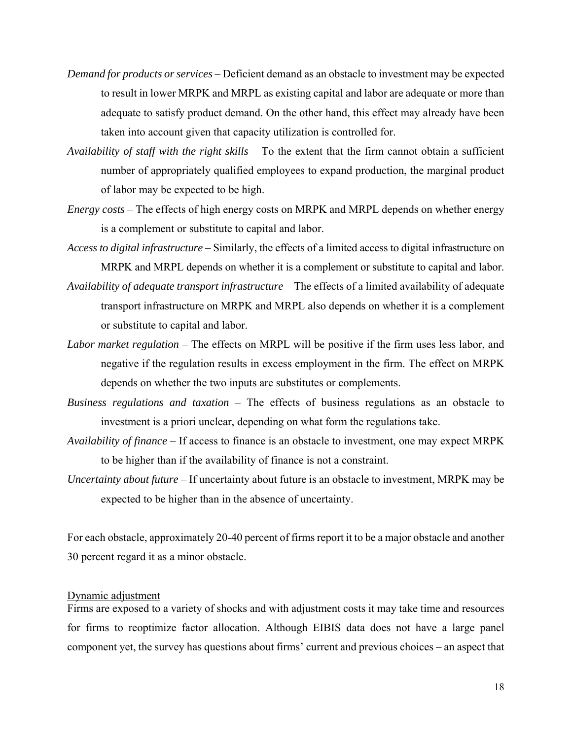- *Demand for products or services* Deficient demand as an obstacle to investment may be expected to result in lower MRPK and MRPL as existing capital and labor are adequate or more than adequate to satisfy product demand. On the other hand, this effect may already have been taken into account given that capacity utilization is controlled for.
- *Availability of staff with the right skills* To the extent that the firm cannot obtain a sufficient number of appropriately qualified employees to expand production, the marginal product of labor may be expected to be high.
- *Energy costs* The effects of high energy costs on MRPK and MRPL depends on whether energy is a complement or substitute to capital and labor.
- *Access to digital infrastructure* Similarly, the effects of a limited access to digital infrastructure on MRPK and MRPL depends on whether it is a complement or substitute to capital and labor.
- *Availability of adequate transport infrastructure* The effects of a limited availability of adequate transport infrastructure on MRPK and MRPL also depends on whether it is a complement or substitute to capital and labor.
- *Labor market regulation* The effects on MRPL will be positive if the firm uses less labor, and negative if the regulation results in excess employment in the firm. The effect on MRPK depends on whether the two inputs are substitutes or complements.
- *Business regulations and taxation* The effects of business regulations as an obstacle to investment is a priori unclear, depending on what form the regulations take.
- *Availability of finance* If access to finance is an obstacle to investment, one may expect MRPK to be higher than if the availability of finance is not a constraint.
- *Uncertainty about future* If uncertainty about future is an obstacle to investment, MRPK may be expected to be higher than in the absence of uncertainty.

For each obstacle, approximately 20-40 percent of firms report it to be a major obstacle and another 30 percent regard it as a minor obstacle.

#### Dynamic adjustment

Firms are exposed to a variety of shocks and with adjustment costs it may take time and resources for firms to reoptimize factor allocation. Although EIBIS data does not have a large panel component yet, the survey has questions about firms' current and previous choices – an aspect that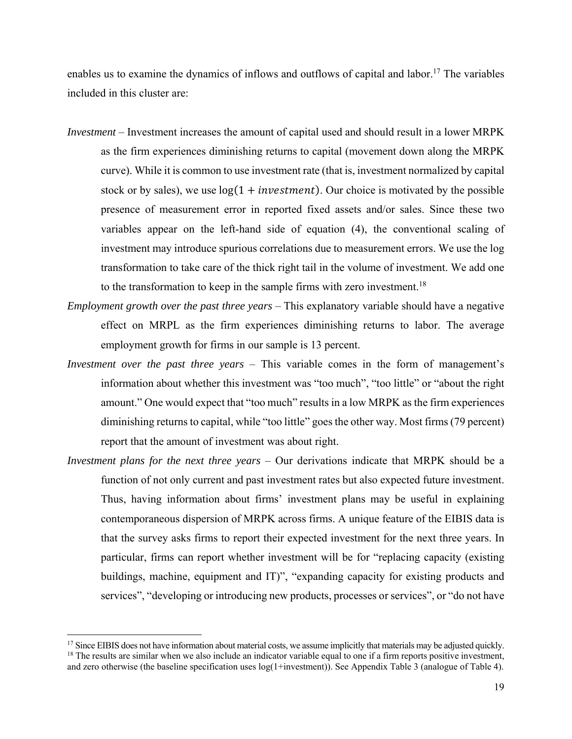enables us to examine the dynamics of inflows and outflows of capital and labor.<sup>17</sup> The variables included in this cluster are:

- *Investment*  Investment increases the amount of capital used and should result in a lower MRPK as the firm experiences diminishing returns to capital (movement down along the MRPK curve). While it is common to use investment rate (that is, investment normalized by capital stock or by sales), we use  $log(1 + investment)$ . Our choice is motivated by the possible presence of measurement error in reported fixed assets and/or sales. Since these two variables appear on the left-hand side of equation (4), the conventional scaling of investment may introduce spurious correlations due to measurement errors. We use the log transformation to take care of the thick right tail in the volume of investment. We add one to the transformation to keep in the sample firms with zero investment.<sup>18</sup>
- *Employment growth over the past three years* This explanatory variable should have a negative effect on MRPL as the firm experiences diminishing returns to labor. The average employment growth for firms in our sample is 13 percent.
- *Investment over the past three years* This variable comes in the form of management's information about whether this investment was "too much", "too little" or "about the right amount." One would expect that "too much" results in a low MRPK as the firm experiences diminishing returns to capital, while "too little" goes the other way. Most firms (79 percent) report that the amount of investment was about right.
- *Investment plans for the next three years*  Our derivations indicate that MRPK should be a function of not only current and past investment rates but also expected future investment. Thus, having information about firms' investment plans may be useful in explaining contemporaneous dispersion of MRPK across firms. A unique feature of the EIBIS data is that the survey asks firms to report their expected investment for the next three years. In particular, firms can report whether investment will be for "replacing capacity (existing buildings, machine, equipment and IT)", "expanding capacity for existing products and services", "developing or introducing new products, processes or services", or "do not have

 $17$  Since EIBIS does not have information about material costs, we assume implicitly that materials may be adjusted quickly.  $18$  The results are similar when we also include an indicator variable equal to one if a firm reports positive investment, and zero otherwise (the baseline specification uses log(1+investment)). See Appendix Table 3 (analogue of Table 4).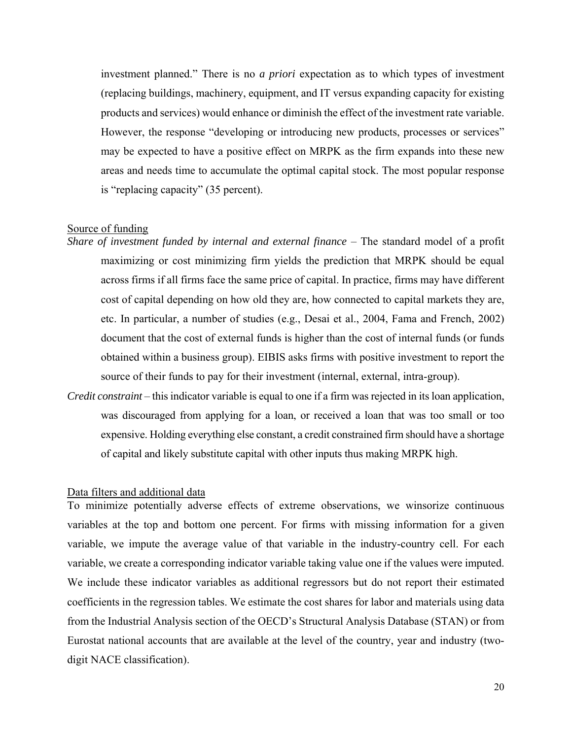investment planned." There is no *a priori* expectation as to which types of investment (replacing buildings, machinery, equipment, and IT versus expanding capacity for existing products and services) would enhance or diminish the effect of the investment rate variable. However, the response "developing or introducing new products, processes or services" may be expected to have a positive effect on MRPK as the firm expands into these new areas and needs time to accumulate the optimal capital stock. The most popular response is "replacing capacity" (35 percent).

#### Source of funding

- *Share of investment funded by internal and external finance* The standard model of a profit maximizing or cost minimizing firm yields the prediction that MRPK should be equal across firms if all firms face the same price of capital. In practice, firms may have different cost of capital depending on how old they are, how connected to capital markets they are, etc. In particular, a number of studies (e.g., Desai et al., 2004, Fama and French, 2002) document that the cost of external funds is higher than the cost of internal funds (or funds obtained within a business group). EIBIS asks firms with positive investment to report the source of their funds to pay for their investment (internal, external, intra-group).
- *Credit constraint* this indicator variable is equal to one if a firm was rejected in its loan application, was discouraged from applying for a loan, or received a loan that was too small or too expensive. Holding everything else constant, a credit constrained firm should have a shortage of capital and likely substitute capital with other inputs thus making MRPK high.

#### Data filters and additional data

To minimize potentially adverse effects of extreme observations, we winsorize continuous variables at the top and bottom one percent. For firms with missing information for a given variable, we impute the average value of that variable in the industry-country cell. For each variable, we create a corresponding indicator variable taking value one if the values were imputed. We include these indicator variables as additional regressors but do not report their estimated coefficients in the regression tables. We estimate the cost shares for labor and materials using data from the Industrial Analysis section of the OECD's Structural Analysis Database (STAN) or from Eurostat national accounts that are available at the level of the country, year and industry (twodigit NACE classification).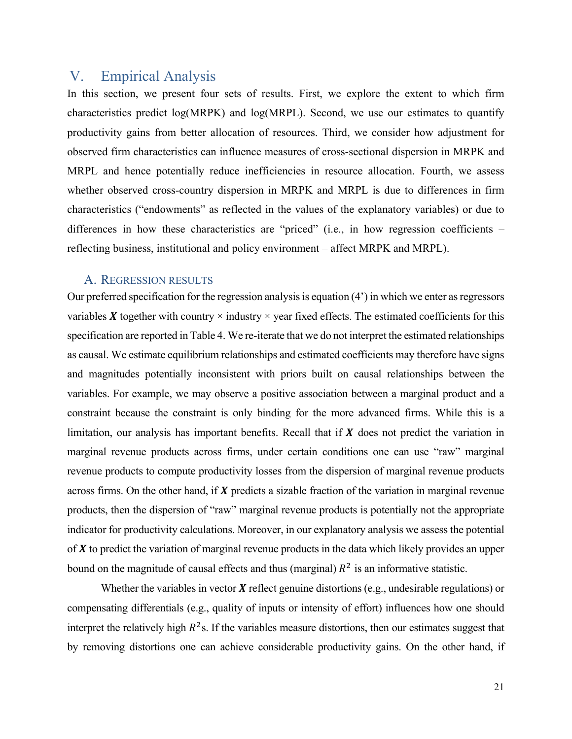# V. Empirical Analysis

In this section, we present four sets of results. First, we explore the extent to which firm characteristics predict log(MRPK) and log(MRPL). Second, we use our estimates to quantify productivity gains from better allocation of resources. Third, we consider how adjustment for observed firm characteristics can influence measures of cross-sectional dispersion in MRPK and MRPL and hence potentially reduce inefficiencies in resource allocation. Fourth, we assess whether observed cross-country dispersion in MRPK and MRPL is due to differences in firm characteristics ("endowments" as reflected in the values of the explanatory variables) or due to differences in how these characteristics are "priced" (i.e., in how regression coefficients – reflecting business, institutional and policy environment – affect MRPK and MRPL).

#### A. REGRESSION RESULTS

Our preferred specification for the regression analysis is equation (4') in which we enter as regressors variables  $X$  together with country  $\times$  industry  $\times$  year fixed effects. The estimated coefficients for this specification are reported in Table 4. We re-iterate that we do not interpret the estimated relationships as causal. We estimate equilibrium relationships and estimated coefficients may therefore have signs and magnitudes potentially inconsistent with priors built on causal relationships between the variables. For example, we may observe a positive association between a marginal product and a constraint because the constraint is only binding for the more advanced firms. While this is a limitation, our analysis has important benefits. Recall that if  $X$  does not predict the variation in marginal revenue products across firms, under certain conditions one can use "raw" marginal revenue products to compute productivity losses from the dispersion of marginal revenue products across firms. On the other hand, if  $X$  predicts a sizable fraction of the variation in marginal revenue products, then the dispersion of "raw" marginal revenue products is potentially not the appropriate indicator for productivity calculations. Moreover, in our explanatory analysis we assess the potential of  $X$  to predict the variation of marginal revenue products in the data which likely provides an upper bound on the magnitude of causal effects and thus (marginal)  $R^2$  is an informative statistic.

Whether the variables in vector  $X$  reflect genuine distortions (e.g., undesirable regulations) or compensating differentials (e.g., quality of inputs or intensity of effort) influences how one should interpret the relatively high  $R^2$ s. If the variables measure distortions, then our estimates suggest that by removing distortions one can achieve considerable productivity gains. On the other hand, if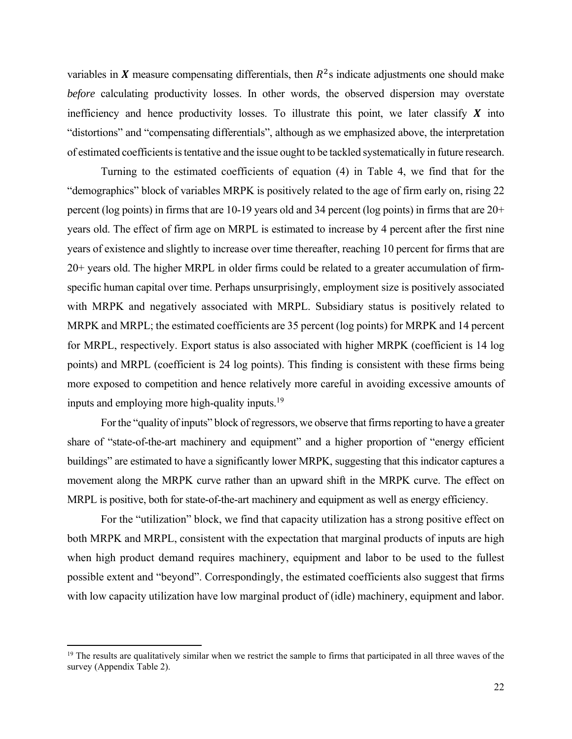variables in X measure compensating differentials, then  $R^2$ s indicate adjustments one should make *before* calculating productivity losses. In other words, the observed dispersion may overstate inefficiency and hence productivity losses. To illustrate this point, we later classify  $\boldsymbol{X}$  into "distortions" and "compensating differentials", although as we emphasized above, the interpretation of estimated coefficients is tentative and the issue ought to be tackled systematically in future research.

Turning to the estimated coefficients of equation (4) in Table 4, we find that for the "demographics" block of variables MRPK is positively related to the age of firm early on, rising 22 percent (log points) in firms that are 10-19 years old and 34 percent (log points) in firms that are 20+ years old. The effect of firm age on MRPL is estimated to increase by 4 percent after the first nine years of existence and slightly to increase over time thereafter, reaching 10 percent for firms that are 20+ years old. The higher MRPL in older firms could be related to a greater accumulation of firmspecific human capital over time. Perhaps unsurprisingly, employment size is positively associated with MRPK and negatively associated with MRPL. Subsidiary status is positively related to MRPK and MRPL; the estimated coefficients are 35 percent (log points) for MRPK and 14 percent for MRPL, respectively. Export status is also associated with higher MRPK (coefficient is 14 log points) and MRPL (coefficient is 24 log points). This finding is consistent with these firms being more exposed to competition and hence relatively more careful in avoiding excessive amounts of inputs and employing more high-quality inputs. $19$ 

For the "quality of inputs" block of regressors, we observe that firms reporting to have a greater share of "state-of-the-art machinery and equipment" and a higher proportion of "energy efficient buildings" are estimated to have a significantly lower MRPK, suggesting that this indicator captures a movement along the MRPK curve rather than an upward shift in the MRPK curve. The effect on MRPL is positive, both for state-of-the-art machinery and equipment as well as energy efficiency.

For the "utilization" block, we find that capacity utilization has a strong positive effect on both MRPK and MRPL, consistent with the expectation that marginal products of inputs are high when high product demand requires machinery, equipment and labor to be used to the fullest possible extent and "beyond". Correspondingly, the estimated coefficients also suggest that firms with low capacity utilization have low marginal product of (idle) machinery, equipment and labor.

<sup>&</sup>lt;sup>19</sup> The results are qualitatively similar when we restrict the sample to firms that participated in all three waves of the survey (Appendix Table 2).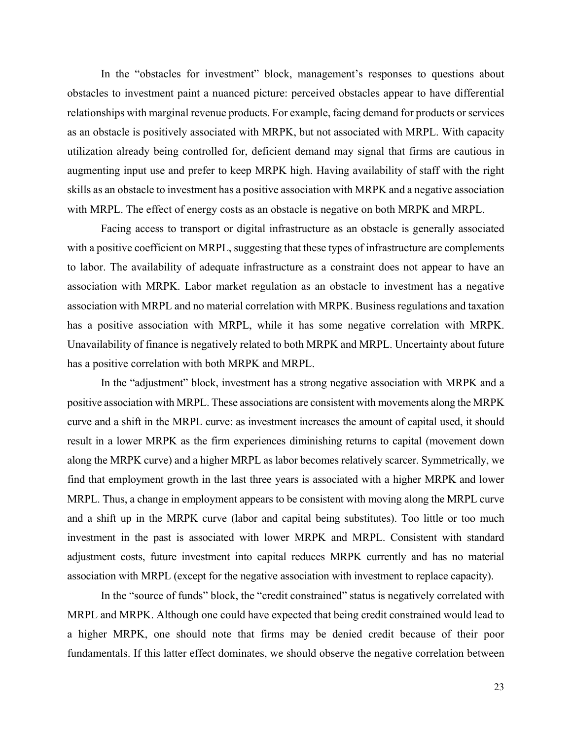In the "obstacles for investment" block, management's responses to questions about obstacles to investment paint a nuanced picture: perceived obstacles appear to have differential relationships with marginal revenue products. For example, facing demand for products or services as an obstacle is positively associated with MRPK, but not associated with MRPL. With capacity utilization already being controlled for, deficient demand may signal that firms are cautious in augmenting input use and prefer to keep MRPK high. Having availability of staff with the right skills as an obstacle to investment has a positive association with MRPK and a negative association with MRPL. The effect of energy costs as an obstacle is negative on both MRPK and MRPL.

Facing access to transport or digital infrastructure as an obstacle is generally associated with a positive coefficient on MRPL, suggesting that these types of infrastructure are complements to labor. The availability of adequate infrastructure as a constraint does not appear to have an association with MRPK. Labor market regulation as an obstacle to investment has a negative association with MRPL and no material correlation with MRPK. Business regulations and taxation has a positive association with MRPL, while it has some negative correlation with MRPK. Unavailability of finance is negatively related to both MRPK and MRPL. Uncertainty about future has a positive correlation with both MRPK and MRPL.

In the "adjustment" block, investment has a strong negative association with MRPK and a positive association with MRPL. These associations are consistent with movements along the MRPK curve and a shift in the MRPL curve: as investment increases the amount of capital used, it should result in a lower MRPK as the firm experiences diminishing returns to capital (movement down along the MRPK curve) and a higher MRPL as labor becomes relatively scarcer. Symmetrically, we find that employment growth in the last three years is associated with a higher MRPK and lower MRPL. Thus, a change in employment appears to be consistent with moving along the MRPL curve and a shift up in the MRPK curve (labor and capital being substitutes). Too little or too much investment in the past is associated with lower MRPK and MRPL. Consistent with standard adjustment costs, future investment into capital reduces MRPK currently and has no material association with MRPL (except for the negative association with investment to replace capacity).

In the "source of funds" block, the "credit constrained" status is negatively correlated with MRPL and MRPK. Although one could have expected that being credit constrained would lead to a higher MRPK, one should note that firms may be denied credit because of their poor fundamentals. If this latter effect dominates, we should observe the negative correlation between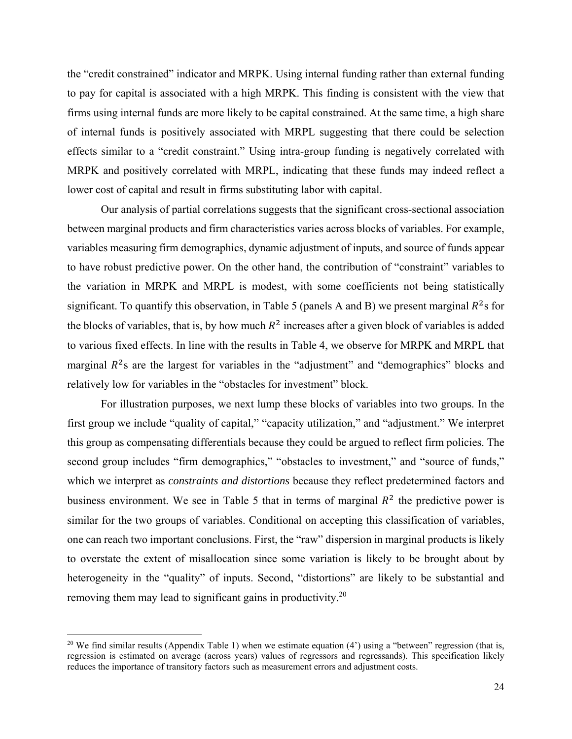the "credit constrained" indicator and MRPK. Using internal funding rather than external funding to pay for capital is associated with a high MRPK. This finding is consistent with the view that firms using internal funds are more likely to be capital constrained. At the same time, a high share of internal funds is positively associated with MRPL suggesting that there could be selection effects similar to a "credit constraint." Using intra-group funding is negatively correlated with MRPK and positively correlated with MRPL, indicating that these funds may indeed reflect a lower cost of capital and result in firms substituting labor with capital.

Our analysis of partial correlations suggests that the significant cross-sectional association between marginal products and firm characteristics varies across blocks of variables. For example, variables measuring firm demographics, dynamic adjustment of inputs, and source of funds appear to have robust predictive power. On the other hand, the contribution of "constraint" variables to the variation in MRPK and MRPL is modest, with some coefficients not being statistically significant. To quantify this observation, in Table 5 (panels A and B) we present marginal  $R^2$ s for the blocks of variables, that is, by how much  $R^2$  increases after a given block of variables is added to various fixed effects. In line with the results in Table 4, we observe for MRPK and MRPL that marginal  $R^2$ s are the largest for variables in the "adjustment" and "demographics" blocks and relatively low for variables in the "obstacles for investment" block.

For illustration purposes, we next lump these blocks of variables into two groups. In the first group we include "quality of capital," "capacity utilization," and "adjustment." We interpret this group as compensating differentials because they could be argued to reflect firm policies. The second group includes "firm demographics," "obstacles to investment," and "source of funds," which we interpret as *constraints and distortions* because they reflect predetermined factors and business environment. We see in Table 5 that in terms of marginal  $R^2$  the predictive power is similar for the two groups of variables. Conditional on accepting this classification of variables, one can reach two important conclusions. First, the "raw" dispersion in marginal products is likely to overstate the extent of misallocation since some variation is likely to be brought about by heterogeneity in the "quality" of inputs. Second, "distortions" are likely to be substantial and removing them may lead to significant gains in productivity.<sup>20</sup>

<sup>&</sup>lt;sup>20</sup> We find similar results (Appendix Table 1) when we estimate equation  $(4')$  using a "between" regression (that is, regression is estimated on average (across years) values of regressors and regressands). This specification likely reduces the importance of transitory factors such as measurement errors and adjustment costs.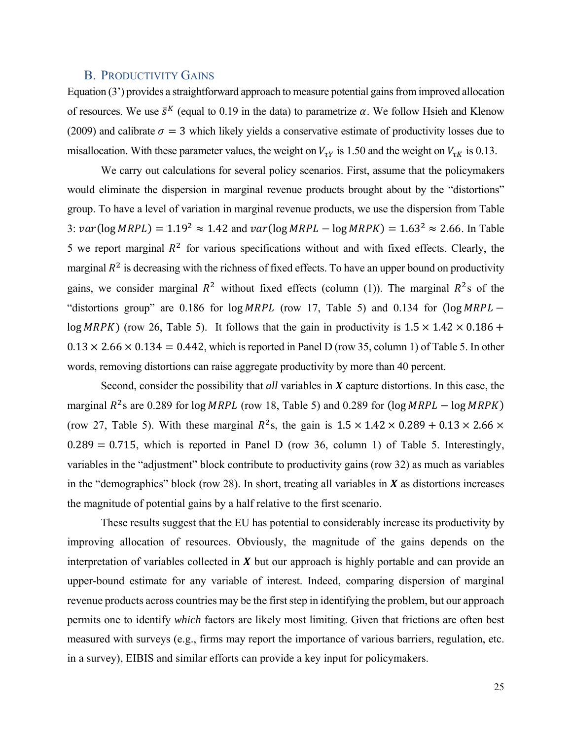#### B. PRODUCTIVITY GAINS

Equation (3') provides a straightforward approach to measure potential gains from improved allocation of resources. We use  $\bar{s}^K$  (equal to 0.19 in the data) to parametrize  $\alpha$ . We follow Hsieh and Klenow (2009) and calibrate  $\sigma = 3$  which likely yields a conservative estimate of productivity losses due to misallocation. With these parameter values, the weight on  $V_{\tau Y}$  is 1.50 and the weight on  $V_{\tau K}$  is 0.13.

We carry out calculations for several policy scenarios. First, assume that the policymakers would eliminate the dispersion in marginal revenue products brought about by the "distortions" group. To have a level of variation in marginal revenue products, we use the dispersion from Table 3:  $var(log MRPL) = 1.19<sup>2</sup> \approx 1.42$  and  $var(log MRPL - log MRPK) = 1.63<sup>2</sup> \approx 2.66$ . In Table 5 we report marginal  $R^2$  for various specifications without and with fixed effects. Clearly, the marginal  $R^2$  is decreasing with the richness of fixed effects. To have an upper bound on productivity gains, we consider marginal  $R^2$  without fixed effects (column (1)). The marginal  $R^2$ s of the "distortions group" are 0.186 for  $log MRPL$  (row 17, Table 5) and 0.134 for  $(log MRPL$ log MRPK) (row 26, Table 5). It follows that the gain in productivity is  $1.5 \times 1.42 \times 0.186 +$  $0.13 \times 2.66 \times 0.134 = 0.442$ , which is reported in Panel D (row 35, column 1) of Table 5. In other words, removing distortions can raise aggregate productivity by more than 40 percent.

 Second, consider the possibility that *all* variables in *X* capture distortions. In this case, the marginal  $R^2$ s are 0.289 for log MRPL (row 18, Table 5) and 0.289 for (log MRPL – log MRPK) (row 27, Table 5). With these marginal  $R^2$ s, the gain is  $1.5 \times 1.42 \times 0.289 + 0.13 \times 2.66 \times$  $0.289 = 0.715$ , which is reported in Panel D (row 36, column 1) of Table 5. Interestingly, variables in the "adjustment" block contribute to productivity gains (row 32) as much as variables in the "demographics" block (row 28). In short, treating all variables in  $X$  as distortions increases the magnitude of potential gains by a half relative to the first scenario.

These results suggest that the EU has potential to considerably increase its productivity by improving allocation of resources. Obviously, the magnitude of the gains depends on the interpretation of variables collected in  $\boldsymbol{X}$  but our approach is highly portable and can provide an upper-bound estimate for any variable of interest. Indeed, comparing dispersion of marginal revenue products across countries may be the first step in identifying the problem, but our approach permits one to identify *which* factors are likely most limiting. Given that frictions are often best measured with surveys (e.g., firms may report the importance of various barriers, regulation, etc. in a survey), EIBIS and similar efforts can provide a key input for policymakers.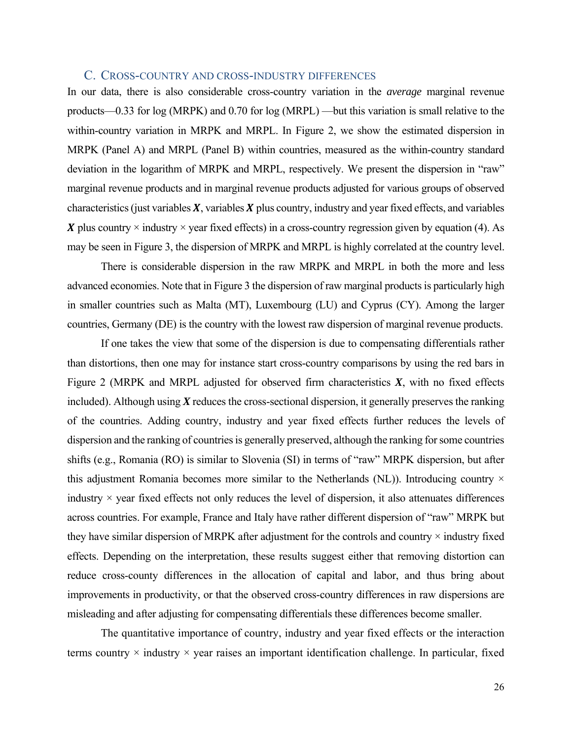#### C. CROSS-COUNTRY AND CROSS-INDUSTRY DIFFERENCES

In our data, there is also considerable cross-country variation in the *average* marginal revenue products—0.33 for log (MRPK) and 0.70 for log (MRPL) —but this variation is small relative to the within-country variation in MRPK and MRPL. In Figure 2, we show the estimated dispersion in MRPK (Panel A) and MRPL (Panel B) within countries, measured as the within-country standard deviation in the logarithm of MRPK and MRPL, respectively. We present the dispersion in "raw" marginal revenue products and in marginal revenue products adjusted for various groups of observed characteristics (just variables  $X$ , variables  $X$  plus country, industry and year fixed effects, and variables X plus country  $\times$  industry  $\times$  year fixed effects) in a cross-country regression given by equation (4). As may be seen in Figure 3, the dispersion of MRPK and MRPL is highly correlated at the country level.

There is considerable dispersion in the raw MRPK and MRPL in both the more and less advanced economies. Note that in Figure 3 the dispersion of raw marginal products is particularly high in smaller countries such as Malta (MT), Luxembourg (LU) and Cyprus (CY). Among the larger countries, Germany (DE) is the country with the lowest raw dispersion of marginal revenue products.

If one takes the view that some of the dispersion is due to compensating differentials rather than distortions, then one may for instance start cross-country comparisons by using the red bars in Figure 2 (MRPK and MRPL adjusted for observed firm characteristics *X*, with no fixed effects included). Although using  $X$  reduces the cross-sectional dispersion, it generally preserves the ranking of the countries. Adding country, industry and year fixed effects further reduces the levels of dispersion and the ranking of countries is generally preserved, although the ranking for some countries shifts (e.g., Romania (RO) is similar to Slovenia (SI) in terms of "raw" MRPK dispersion, but after this adjustment Romania becomes more similar to the Netherlands (NL)). Introducing country  $\times$ industry  $\times$  year fixed effects not only reduces the level of dispersion, it also attenuates differences across countries. For example, France and Italy have rather different dispersion of "raw" MRPK but they have similar dispersion of MRPK after adjustment for the controls and country  $\times$  industry fixed effects. Depending on the interpretation, these results suggest either that removing distortion can reduce cross-county differences in the allocation of capital and labor, and thus bring about improvements in productivity, or that the observed cross-country differences in raw dispersions are misleading and after adjusting for compensating differentials these differences become smaller.

The quantitative importance of country, industry and year fixed effects or the interaction terms country  $\times$  industry  $\times$  year raises an important identification challenge. In particular, fixed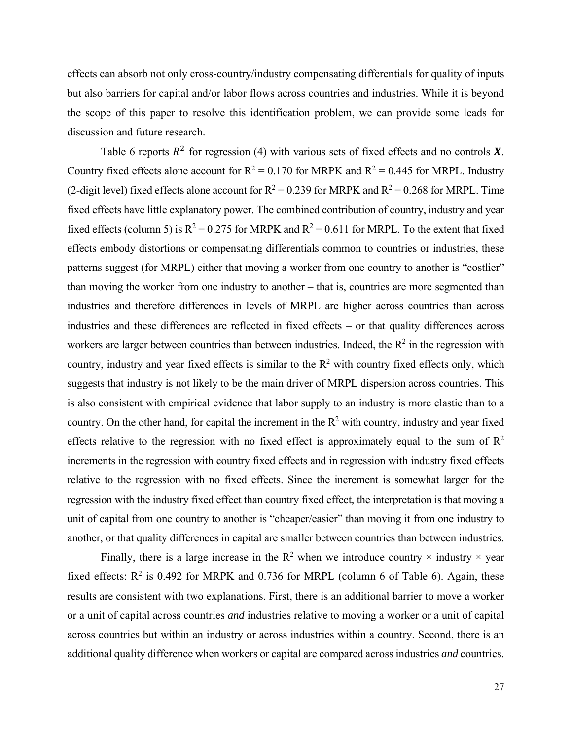effects can absorb not only cross-country/industry compensating differentials for quality of inputs but also barriers for capital and/or labor flows across countries and industries. While it is beyond the scope of this paper to resolve this identification problem, we can provide some leads for discussion and future research.

Table 6 reports  $R^2$  for regression (4) with various sets of fixed effects and no controls X. Country fixed effects alone account for  $R^2 = 0.170$  for MRPK and  $R^2 = 0.445$  for MRPL. Industry (2-digit level) fixed effects alone account for  $R^2 = 0.239$  for MRPK and  $R^2 = 0.268$  for MRPL. Time fixed effects have little explanatory power. The combined contribution of country, industry and year fixed effects (column 5) is  $R^2 = 0.275$  for MRPK and  $R^2 = 0.611$  for MRPL. To the extent that fixed effects embody distortions or compensating differentials common to countries or industries, these patterns suggest (for MRPL) either that moving a worker from one country to another is "costlier" than moving the worker from one industry to another – that is, countries are more segmented than industries and therefore differences in levels of MRPL are higher across countries than across industries and these differences are reflected in fixed effects – or that quality differences across workers are larger between countries than between industries. Indeed, the  $R^2$  in the regression with country, industry and year fixed effects is similar to the  $R^2$  with country fixed effects only, which suggests that industry is not likely to be the main driver of MRPL dispersion across countries. This is also consistent with empirical evidence that labor supply to an industry is more elastic than to a country. On the other hand, for capital the increment in the  $R^2$  with country, industry and year fixed effects relative to the regression with no fixed effect is approximately equal to the sum of  $\mathbb{R}^2$ increments in the regression with country fixed effects and in regression with industry fixed effects relative to the regression with no fixed effects. Since the increment is somewhat larger for the regression with the industry fixed effect than country fixed effect, the interpretation is that moving a unit of capital from one country to another is "cheaper/easier" than moving it from one industry to another, or that quality differences in capital are smaller between countries than between industries.

Finally, there is a large increase in the  $R^2$  when we introduce country  $\times$  industry  $\times$  year fixed effects:  $R^2$  is 0.492 for MRPK and 0.736 for MRPL (column 6 of Table 6). Again, these results are consistent with two explanations. First, there is an additional barrier to move a worker or a unit of capital across countries *and* industries relative to moving a worker or a unit of capital across countries but within an industry or across industries within a country. Second, there is an additional quality difference when workers or capital are compared across industries *and* countries.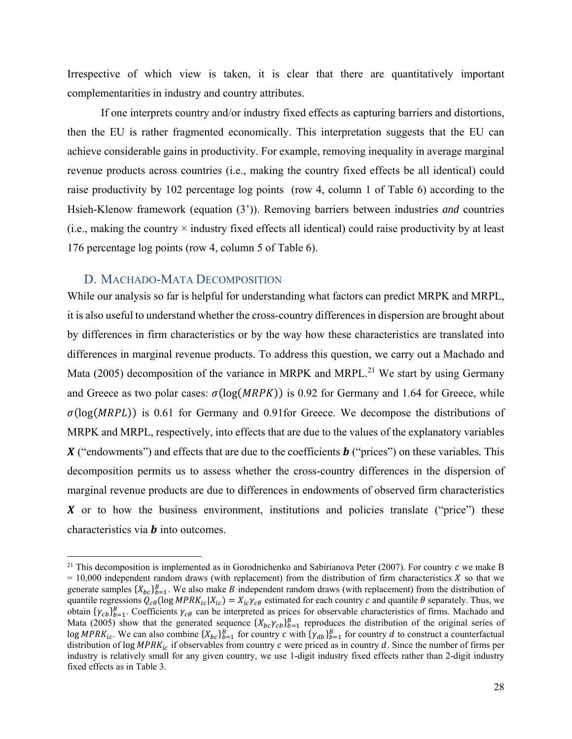Irrespective of which view is taken, it is clear that there are quantitatively important complementarities in industry and country attributes.

If one interprets country and/or industry fixed effects as capturing barriers and distortions, then the EU is rather fragmented economically. This interpretation suggests that the EU can achieve considerable gains in productivity. For example, removing inequality in average marginal revenue products across countries (i.e., making the country fixed effects be all identical) could raise productivity by 102 percentage log points (row 4, column 1 of Table 6) according to the Hsieh-Klenow framework (equation (3')). Removing barriers between industries *and* countries  $(i.e., making the country *industry fixed effects all identical*) could raise productivity by at least$ 176 percentage log points (row 4, column 5 of Table 6).

#### D. MACHADO-MATA DECOMPOSITION

While our analysis so far is helpful for understanding what factors can predict MRPK and MRPL, it is also useful to understand whether the cross-country differences in dispersion are brought about by differences in firm characteristics or by the way how these characteristics are translated into differences in marginal revenue products. To address this question, we carry out a Machado and Mata (2005) decomposition of the variance in MRPK and MRPL.<sup>21</sup> We start by using Germany and Greece as two polar cases:  $\sigma(\log(MRPK))$  is 0.92 for Germany and 1.64 for Greece, while  $\sigma(\log(MRPL))$  is 0.61 for Germany and 0.91for Greece. We decompose the distributions of MRPK and MRPL, respectively, into effects that are due to the values of the explanatory variables ("endowments") and effects that are due to the coefficients ("prices") on these variables*.* This decomposition permits us to assess whether the cross-country differences in the dispersion of marginal revenue products are due to differences in endowments of observed firm characteristics  $\boldsymbol{X}$  or to how the business environment, institutions and policies translate ("price") these characteristics via  $\boldsymbol{b}$  into outcomes.

<sup>&</sup>lt;sup>21</sup> This decomposition is implemented as in Gorodnichenko and Sabirianova Peter (2007). For country  $\epsilon$  we make B  $= 10,000$  independent random draws (with replacement) from the distribution of firm characteristics  $\chi$  so that we generate samples  $\{X_{bc}\}_{b=1}^B$ . We also make B independent random draws (with replacement) from the distribution of quantile regressions  $Q_{c\theta}$  (log MPR $K_{ic} | X_{ic}$ ) =  $X_{ic} \gamma_{c\theta}$  estimated for each country  $c$  and quantile  $\theta$  separately. Thus, we obtain  $\{\gamma_{cb}\}_{b=1}^B$ . Coefficients  $\gamma_{c\theta}$  can be interpreted as prices for observable characteristics of firms. Machado and Mata (2005) show that the generated sequence  $\{X_{bc}\gamma_{cb}\}_{b=1}^B$  reproduces the distribution of the original series of log MPRK<sub>ic</sub>. We can also combine  $\{X_{bc}\}_{b=1}^B$  for country c with  $\{\gamma_{ab}\}_{b=1}^B$  for country d to construct a counterfactual distribution of log  $MPRK_{ic}$  if observables from country  $c$  were priced as in country  $d$ . Since the number of firms per industry is relatively small for any given country, we use 1-digit industry fixed effects rather than 2-digit industry fixed effects as in Table 3.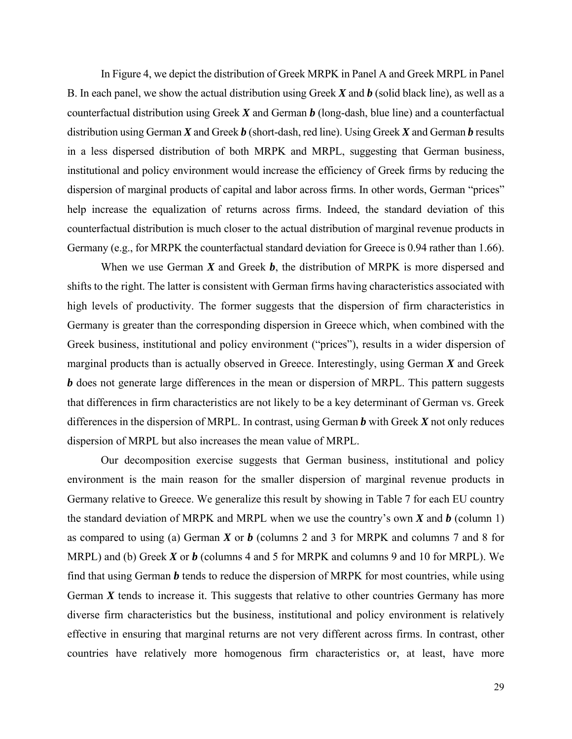In Figure 4, we depict the distribution of Greek MRPK in Panel A and Greek MRPL in Panel B. In each panel, we show the actual distribution using Greek *X* and *b* (solid black line)*,* as well as a counterfactual distribution using Greek *X* and German *b* (long-dash, blue line) and a counterfactual distribution using German *X* and Greek *b* (short-dash, red line). Using Greek *X* and German *b* results in a less dispersed distribution of both MRPK and MRPL, suggesting that German business, institutional and policy environment would increase the efficiency of Greek firms by reducing the dispersion of marginal products of capital and labor across firms. In other words, German "prices" help increase the equalization of returns across firms. Indeed, the standard deviation of this counterfactual distribution is much closer to the actual distribution of marginal revenue products in Germany (e.g., for MRPK the counterfactual standard deviation for Greece is 0.94 rather than 1.66).

When we use German *X* and Greek *b*, the distribution of MRPK is more dispersed and shifts to the right. The latter is consistent with German firms having characteristics associated with high levels of productivity. The former suggests that the dispersion of firm characteristics in Germany is greater than the corresponding dispersion in Greece which, when combined with the Greek business, institutional and policy environment ("prices"), results in a wider dispersion of marginal products than is actually observed in Greece. Interestingly, using German *X* and Greek *b* does not generate large differences in the mean or dispersion of MRPL. This pattern suggests that differences in firm characteristics are not likely to be a key determinant of German vs. Greek differences in the dispersion of MRPL. In contrast, using German *b* with Greek *X* not only reduces dispersion of MRPL but also increases the mean value of MRPL.

Our decomposition exercise suggests that German business, institutional and policy environment is the main reason for the smaller dispersion of marginal revenue products in Germany relative to Greece. We generalize this result by showing in Table 7 for each EU country the standard deviation of MRPK and MRPL when we use the country's own *X* and *b* (column 1) as compared to using (a) German *X* or *b* (columns 2 and 3 for MRPK and columns 7 and 8 for MRPL) and (b) Greek *X* or *b* (columns 4 and 5 for MRPK and columns 9 and 10 for MRPL). We find that using German *b* tends to reduce the dispersion of MRPK for most countries, while using German  $X$  tends to increase it. This suggests that relative to other countries Germany has more diverse firm characteristics but the business, institutional and policy environment is relatively effective in ensuring that marginal returns are not very different across firms. In contrast, other countries have relatively more homogenous firm characteristics or, at least, have more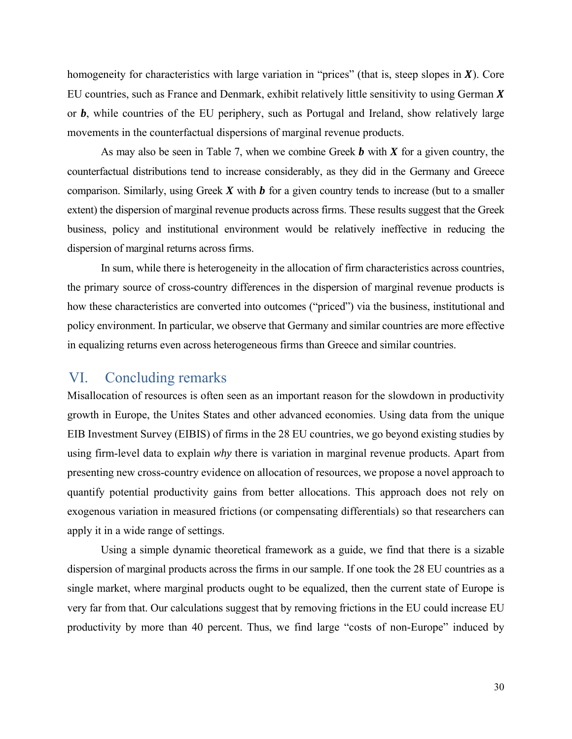homogeneity for characteristics with large variation in "prices" (that is, steep slopes in  $X$ ). Core EU countries, such as France and Denmark, exhibit relatively little sensitivity to using German  $X$ or *b*, while countries of the EU periphery, such as Portugal and Ireland, show relatively large movements in the counterfactual dispersions of marginal revenue products.

As may also be seen in Table 7, when we combine Greek *b* with *X* for a given country, the counterfactual distributions tend to increase considerably, as they did in the Germany and Greece comparison. Similarly, using Greek *X* with *b* for a given country tends to increase (but to a smaller extent) the dispersion of marginal revenue products across firms. These results suggest that the Greek business, policy and institutional environment would be relatively ineffective in reducing the dispersion of marginal returns across firms.

In sum, while there is heterogeneity in the allocation of firm characteristics across countries, the primary source of cross-country differences in the dispersion of marginal revenue products is how these characteristics are converted into outcomes ("priced") via the business, institutional and policy environment. In particular, we observe that Germany and similar countries are more effective in equalizing returns even across heterogeneous firms than Greece and similar countries.

## VI. Concluding remarks

Misallocation of resources is often seen as an important reason for the slowdown in productivity growth in Europe, the Unites States and other advanced economies. Using data from the unique EIB Investment Survey (EIBIS) of firms in the 28 EU countries, we go beyond existing studies by using firm-level data to explain *why* there is variation in marginal revenue products. Apart from presenting new cross-country evidence on allocation of resources, we propose a novel approach to quantify potential productivity gains from better allocations. This approach does not rely on exogenous variation in measured frictions (or compensating differentials) so that researchers can apply it in a wide range of settings.

Using a simple dynamic theoretical framework as a guide, we find that there is a sizable dispersion of marginal products across the firms in our sample. If one took the 28 EU countries as a single market, where marginal products ought to be equalized, then the current state of Europe is very far from that. Our calculations suggest that by removing frictions in the EU could increase EU productivity by more than 40 percent. Thus, we find large "costs of non-Europe" induced by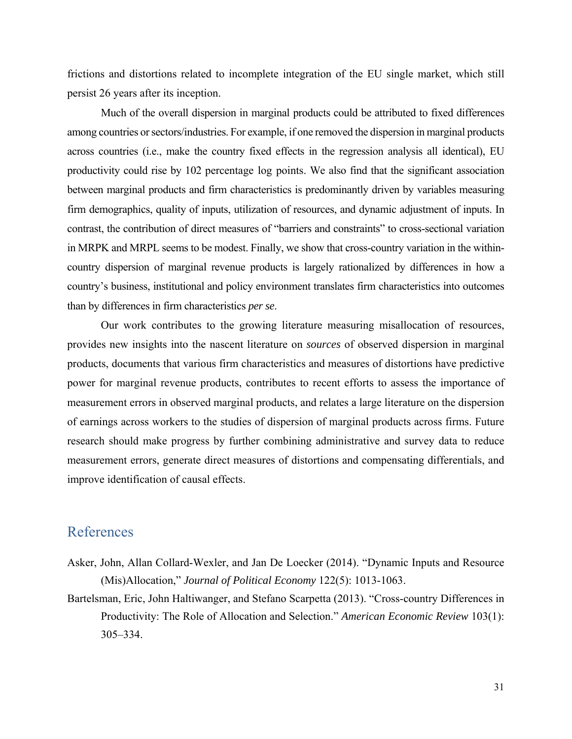frictions and distortions related to incomplete integration of the EU single market, which still persist 26 years after its inception.

Much of the overall dispersion in marginal products could be attributed to fixed differences among countries or sectors/industries. For example, if one removed the dispersion in marginal products across countries (i.e., make the country fixed effects in the regression analysis all identical), EU productivity could rise by 102 percentage log points. We also find that the significant association between marginal products and firm characteristics is predominantly driven by variables measuring firm demographics, quality of inputs, utilization of resources, and dynamic adjustment of inputs. In contrast, the contribution of direct measures of "barriers and constraints" to cross-sectional variation in MRPK and MRPL seems to be modest. Finally, we show that cross-country variation in the withincountry dispersion of marginal revenue products is largely rationalized by differences in how a country's business, institutional and policy environment translates firm characteristics into outcomes than by differences in firm characteristics *per se*.

Our work contributes to the growing literature measuring misallocation of resources, provides new insights into the nascent literature on *sources* of observed dispersion in marginal products, documents that various firm characteristics and measures of distortions have predictive power for marginal revenue products, contributes to recent efforts to assess the importance of measurement errors in observed marginal products, and relates a large literature on the dispersion of earnings across workers to the studies of dispersion of marginal products across firms. Future research should make progress by further combining administrative and survey data to reduce measurement errors, generate direct measures of distortions and compensating differentials, and improve identification of causal effects.

## References

- Asker, John, Allan Collard-Wexler, and Jan De Loecker (2014). "Dynamic Inputs and Resource (Mis)Allocation," *Journal of Political Economy* 122(5): 1013-1063.
- Bartelsman, Eric, John Haltiwanger, and Stefano Scarpetta (2013). "Cross-country Differences in Productivity: The Role of Allocation and Selection." *American Economic Review* 103(1): 305–334.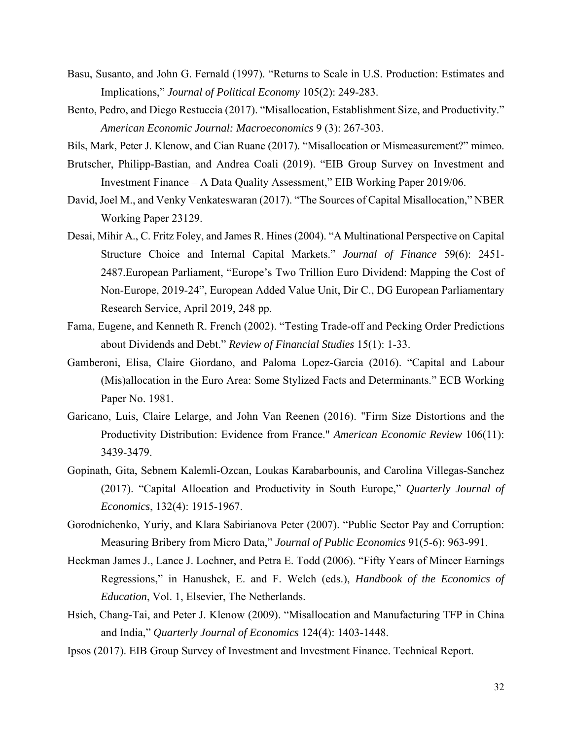- Basu, Susanto, and John G. Fernald (1997). "Returns to Scale in U.S. Production: Estimates and Implications," *Journal of Political Economy* 105(2): 249-283.
- Bento, Pedro, and Diego Restuccia (2017). "Misallocation, Establishment Size, and Productivity." *American Economic Journal: Macroeconomics* 9 (3): 267-303.

Bils, Mark, Peter J. Klenow, and Cian Ruane (2017). "Misallocation or Mismeasurement?" mimeo.

- Brutscher, Philipp-Bastian, and Andrea Coali (2019). "EIB Group Survey on Investment and Investment Finance – A Data Quality Assessment," EIB Working Paper 2019/06.
- David, Joel M., and Venky Venkateswaran (2017). "The Sources of Capital Misallocation," NBER Working Paper 23129.
- Desai, Mihir A., C. Fritz Foley, and James R. Hines (2004). "A Multinational Perspective on Capital Structure Choice and Internal Capital Markets." *Journal of Finance* 59(6): 2451- 2487.European Parliament, "Europe's Two Trillion Euro Dividend: Mapping the Cost of Non-Europe, 2019-24", European Added Value Unit, Dir C., DG European Parliamentary Research Service, April 2019, 248 pp.
- Fama, Eugene, and Kenneth R. French (2002). "Testing Trade-off and Pecking Order Predictions about Dividends and Debt." *Review of Financial Studies* 15(1): 1-33.
- Gamberoni, Elisa, Claire Giordano, and Paloma Lopez-Garcia (2016). "Capital and Labour (Mis)allocation in the Euro Area: Some Stylized Facts and Determinants." ECB Working Paper No. 1981.
- Garicano, Luis, Claire Lelarge, and John Van Reenen (2016). "Firm Size Distortions and the Productivity Distribution: Evidence from France." *American Economic Review* 106(11): 3439-3479.
- Gopinath, Gita, Sebnem Kalemli-Ozcan, Loukas Karabarbounis, and Carolina Villegas-Sanchez (2017). "Capital Allocation and Productivity in South Europe," *Quarterly Journal of Economics*, 132(4): 1915-1967.
- Gorodnichenko, Yuriy, and Klara Sabirianova Peter (2007). "Public Sector Pay and Corruption: Measuring Bribery from Micro Data," *Journal of Public Economics* 91(5-6): 963-991.
- Heckman James J., Lance J. Lochner, and Petra E. Todd (2006). "Fifty Years of Mincer Earnings Regressions," in Hanushek, E. and F. Welch (eds.), *Handbook of the Economics of Education*, Vol. 1, Elsevier, The Netherlands.
- Hsieh, Chang-Tai, and Peter J. Klenow (2009). "Misallocation and Manufacturing TFP in China and India," *Quarterly Journal of Economics* 124(4): 1403-1448.
- Ipsos (2017). EIB Group Survey of Investment and Investment Finance. Technical Report.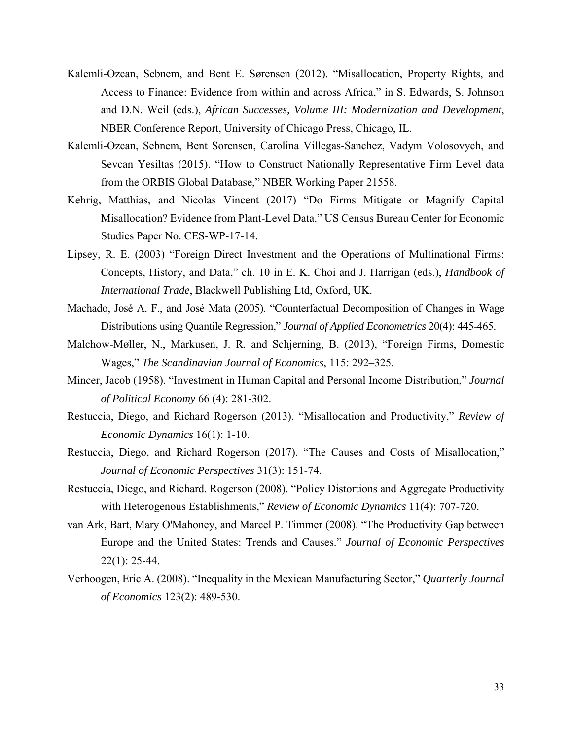- Kalemli-Ozcan, Sebnem, and Bent E. Sørensen (2012). "Misallocation, Property Rights, and Access to Finance: Evidence from within and across Africa," in S. Edwards, S. Johnson and D.N. Weil (eds.), *African Successes, Volume III: Modernization and Development*, NBER Conference Report, University of Chicago Press, Chicago, IL.
- Kalemli-Ozcan, Sebnem, Bent Sorensen, Carolina Villegas-Sanchez, Vadym Volosovych, and Sevcan Yesiltas (2015). "How to Construct Nationally Representative Firm Level data from the ORBIS Global Database," NBER Working Paper 21558.
- Kehrig, Matthias, and Nicolas Vincent (2017) "Do Firms Mitigate or Magnify Capital Misallocation? Evidence from Plant-Level Data." US Census Bureau Center for Economic Studies Paper No. CES-WP-17-14.
- Lipsey, R. E. (2003) "Foreign Direct Investment and the Operations of Multinational Firms: Concepts, History, and Data," ch. 10 in E. K. Choi and J. Harrigan (eds.), *Handbook of International Trade*, Blackwell Publishing Ltd, Oxford, UK.
- Machado, José A. F., and José Mata (2005). "Counterfactual Decomposition of Changes in Wage Distributions using Quantile Regression," *Journal of Applied Econometrics* 20(4): 445-465.
- Malchow-Møller, N., Markusen, J. R. and Schjerning, B. (2013), "Foreign Firms, Domestic Wages," *The Scandinavian Journal of Economics*, 115: 292–325.
- Mincer, Jacob (1958). "Investment in Human Capital and Personal Income Distribution," *Journal of Political Economy* 66 (4): 281-302.
- Restuccia, Diego, and Richard Rogerson (2013). "Misallocation and Productivity," *Review of Economic Dynamics* 16(1): 1-10.
- Restuccia, Diego, and Richard Rogerson (2017). "The Causes and Costs of Misallocation," *Journal of Economic Perspectives* 31(3): 151-74.
- Restuccia, Diego, and Richard. Rogerson (2008). "Policy Distortions and Aggregate Productivity with Heterogenous Establishments," *Review of Economic Dynamics* 11(4): 707-720.
- van Ark, Bart, Mary O'Mahoney, and Marcel P. Timmer (2008). "The Productivity Gap between Europe and the United States: Trends and Causes." *Journal of Economic Perspectives* 22(1): 25-44.
- Verhoogen, Eric A. (2008). "Inequality in the Mexican Manufacturing Sector," *Quarterly Journal of Economics* 123(2): 489-530.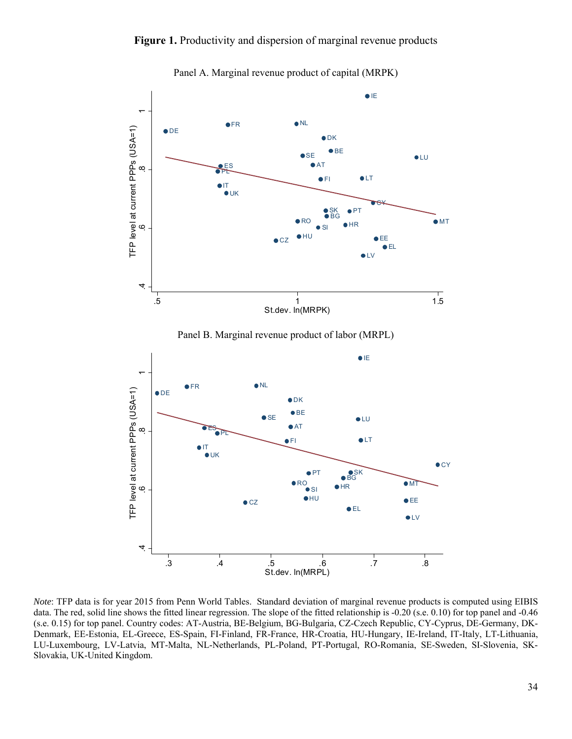#### Figure 1. Productivity and dispersion of marginal revenue products



Panel A. Marginal revenue product of capital (MRPK)

Panel B. Marginal revenue product of labor (MRPL)



*Note*: TFP data is for year 2015 from Penn World Tables. Standard deviation of marginal revenue products is computed using EIBIS data. The red, solid line shows the fitted linear regression. The slope of the fitted relationship is -0.20 (s.e. 0.10) for top panel and -0.46 (s.e. 0.15) for top panel. Country codes: AT-Austria, BE-Belgium, BG-Bulgaria, CZ-Czech Republic, CY-Cyprus, DE-Germany, DK-Denmark, EE-Estonia, EL-Greece, ES-Spain, FI-Finland, FR-France, HR-Croatia, HU-Hungary, IE-Ireland, IT-Italy, LT-Lithuania, LU-Luxembourg, LV-Latvia, MT-Malta, NL-Netherlands, PL-Poland, PT-Portugal, RO-Romania, SE-Sweden, SI-Slovenia, SK-Slovakia, UK-United Kingdom.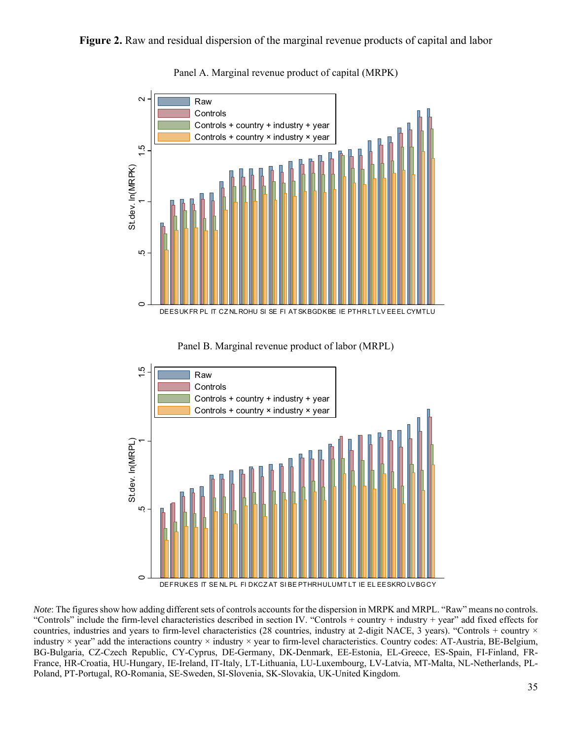#### **Figure 2.** Raw and residual dispersion of the marginal revenue products of capital and labor



Panel A. Marginal revenue product of capital (MRPK)





*Note*: The figures show how adding different sets of controls accounts for the dispersion in MRPK and MRPL. "Raw" means no controls. "Controls" include the firm-level characteristics described in section IV. "Controls + country + industry + year" add fixed effects for countries, industries and years to firm-level characteristics (28 countries, industry at 2-digit NACE, 3 years). "Controls + country × industry × year" add the interactions country × industry × year to firm-level characteristics. Country codes: AT-Austria, BE-Belgium, BG-Bulgaria, CZ-Czech Republic, CY-Cyprus, DE-Germany, DK-Denmark, EE-Estonia, EL-Greece, ES-Spain, FI-Finland, FR-France, HR-Croatia, HU-Hungary, IE-Ireland, IT-Italy, LT-Lithuania, LU-Luxembourg, LV-Latvia, MT-Malta, NL-Netherlands, PL-Poland, PT-Portugal, RO-Romania, SE-Sweden, SI-Slovenia, SK-Slovakia, UK-United Kingdom.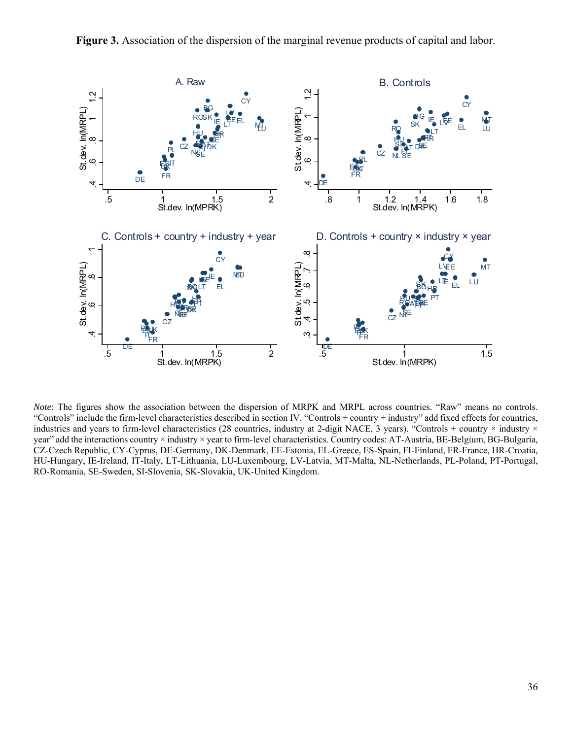



*Note*: The figures show the association between the dispersion of MRPK and MRPL across countries. "Raw" means no controls. "Controls" include the firm-level characteristics described in section IV. "Controls + country + industry" add fixed effects for countries, industries and years to firm-level characteristics (28 countries, industry at 2-digit NACE, 3 years). "Controls + country × industry × year" add the interactions country × industry × year to firm-level characteristics. Country codes: AT-Austria, BE-Belgium, BG-Bulgaria, CZ-Czech Republic, CY-Cyprus, DE-Germany, DK-Denmark, EE-Estonia, EL-Greece, ES-Spain, FI-Finland, FR-France, HR-Croatia, HU-Hungary, IE-Ireland, IT-Italy, LT-Lithuania, LU-Luxembourg, LV-Latvia, MT-Malta, NL-Netherlands, PL-Poland, PT-Portugal, RO-Romania, SE-Sweden, SI-Slovenia, SK-Slovakia, UK-United Kingdom.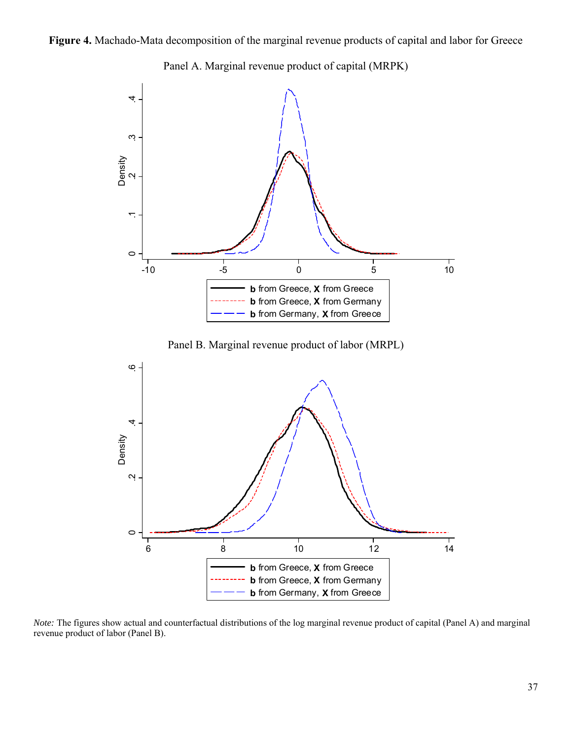









*Note:* The figures show actual and counterfactual distributions of the log marginal revenue product of capital (Panel A) and marginal revenue product of labor (Panel B).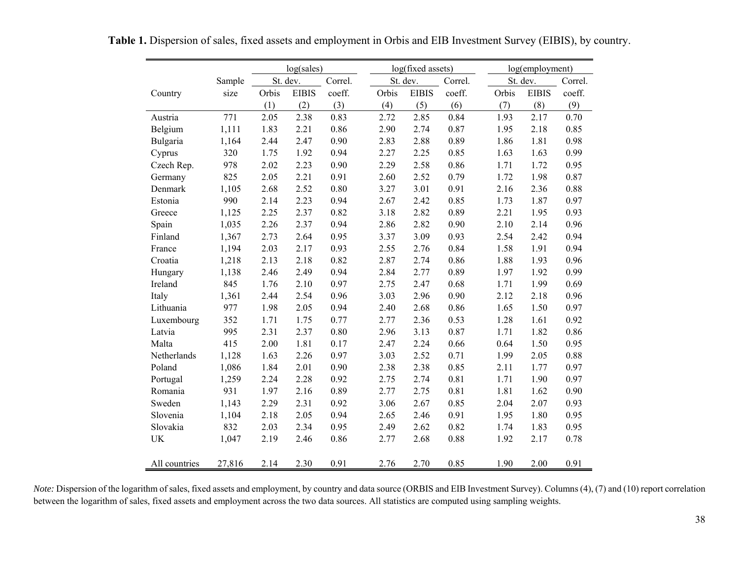|               |        |       | log(sales)<br>log(fixed assets) |         |       |              | log(employment) |       |              |         |
|---------------|--------|-------|---------------------------------|---------|-------|--------------|-----------------|-------|--------------|---------|
|               | Sample |       | St. dev.                        | Correl. |       | St. dev.     | Correl.         |       | St. dev.     | Correl. |
| Country       | size   | Orbis | <b>EIBIS</b>                    | coeff.  | Orbis | <b>EIBIS</b> | coeff.          | Orbis | <b>EIBIS</b> | coeff.  |
|               |        | (1)   | (2)                             | (3)     | (4)   | (5)          | (6)             | (7)   | (8)          | (9)     |
| Austria       | 771    | 2.05  | 2.38                            | 0.83    | 2.72  | 2.85         | 0.84            | 1.93  | 2.17         | 0.70    |
| Belgium       | 1,111  | 1.83  | 2.21                            | 0.86    | 2.90  | 2.74         | 0.87            | 1.95  | 2.18         | 0.85    |
| Bulgaria      | 1,164  | 2.44  | 2.47                            | 0.90    | 2.83  | 2.88         | 0.89            | 1.86  | 1.81         | 0.98    |
| Cyprus        | 320    | 1.75  | 1.92                            | 0.94    | 2.27  | 2.25         | 0.85            | 1.63  | 1.63         | 0.99    |
| Czech Rep.    | 978    | 2.02  | 2.23                            | 0.90    | 2.29  | 2.58         | 0.86            | 1.71  | 1.72         | 0.95    |
| Germany       | 825    | 2.05  | 2.21                            | 0.91    | 2.60  | 2.52         | 0.79            | 1.72  | 1.98         | 0.87    |
| Denmark       | 1,105  | 2.68  | 2.52                            | 0.80    | 3.27  | 3.01         | 0.91            | 2.16  | 2.36         | 0.88    |
| Estonia       | 990    | 2.14  | 2.23                            | 0.94    | 2.67  | 2.42         | 0.85            | 1.73  | 1.87         | 0.97    |
| Greece        | 1,125  | 2.25  | 2.37                            | 0.82    | 3.18  | 2.82         | 0.89            | 2.21  | 1.95         | 0.93    |
| Spain         | 1,035  | 2.26  | 2.37                            | 0.94    | 2.86  | 2.82         | 0.90            | 2.10  | 2.14         | 0.96    |
| Finland       | 1,367  | 2.73  | 2.64                            | 0.95    | 3.37  | 3.09         | 0.93            | 2.54  | 2.42         | 0.94    |
| France        | 1,194  | 2.03  | 2.17                            | 0.93    | 2.55  | 2.76         | 0.84            | 1.58  | 1.91         | 0.94    |
| Croatia       | 1,218  | 2.13  | 2.18                            | 0.82    | 2.87  | 2.74         | 0.86            | 1.88  | 1.93         | 0.96    |
| Hungary       | 1,138  | 2.46  | 2.49                            | 0.94    | 2.84  | 2.77         | 0.89            | 1.97  | 1.92         | 0.99    |
| Ireland       | 845    | 1.76  | 2.10                            | 0.97    | 2.75  | 2.47         | 0.68            | 1.71  | 1.99         | 0.69    |
| Italy         | 1,361  | 2.44  | 2.54                            | 0.96    | 3.03  | 2.96         | 0.90            | 2.12  | 2.18         | 0.96    |
| Lithuania     | 977    | 1.98  | 2.05                            | 0.94    | 2.40  | 2.68         | 0.86            | 1.65  | 1.50         | 0.97    |
| Luxembourg    | 352    | 1.71  | 1.75                            | 0.77    | 2.77  | 2.36         | 0.53            | 1.28  | 1.61         | 0.92    |
| Latvia        | 995    | 2.31  | 2.37                            | 0.80    | 2.96  | 3.13         | 0.87            | 1.71  | 1.82         | 0.86    |
| Malta         | 415    | 2.00  | 1.81                            | 0.17    | 2.47  | 2.24         | 0.66            | 0.64  | 1.50         | 0.95    |
| Netherlands   | 1,128  | 1.63  | 2.26                            | 0.97    | 3.03  | 2.52         | 0.71            | 1.99  | 2.05         | 0.88    |
| Poland        | 1,086  | 1.84  | 2.01                            | 0.90    | 2.38  | 2.38         | 0.85            | 2.11  | 1.77         | 0.97    |
| Portugal      | 1,259  | 2.24  | 2.28                            | 0.92    | 2.75  | 2.74         | 0.81            | 1.71  | 1.90         | 0.97    |
| Romania       | 931    | 1.97  | 2.16                            | 0.89    | 2.77  | 2.75         | 0.81            | 1.81  | 1.62         | 0.90    |
| Sweden        | 1,143  | 2.29  | 2.31                            | 0.92    | 3.06  | 2.67         | 0.85            | 2.04  | 2.07         | 0.93    |
| Slovenia      | 1,104  | 2.18  | 2.05                            | 0.94    | 2.65  | 2.46         | 0.91            | 1.95  | 1.80         | 0.95    |
| Slovakia      | 832    | 2.03  | 2.34                            | 0.95    | 2.49  | 2.62         | 0.82            | 1.74  | 1.83         | 0.95    |
| UK            | 1,047  | 2.19  | 2.46                            | 0.86    | 2.77  | 2.68         | 0.88            | 1.92  | 2.17         | 0.78    |
| All countries | 27,816 | 2.14  | 2.30                            | 0.91    | 2.76  | 2.70         | 0.85            | 1.90  | 2.00         | 0.91    |

**Table 1.** Dispersion of sales, fixed assets and employment in Orbis and EIB Investment Survey (EIBIS), by country.

*Note:* Dispersion of the logarithm of sales, fixed assets and employment, by country and data source (ORBIS and EIB Investment Survey). Columns (4), (7) and (10) report correlation between the logarithm of sales, fixed assets and employment across the two data sources. All statistics are computed using sampling weights.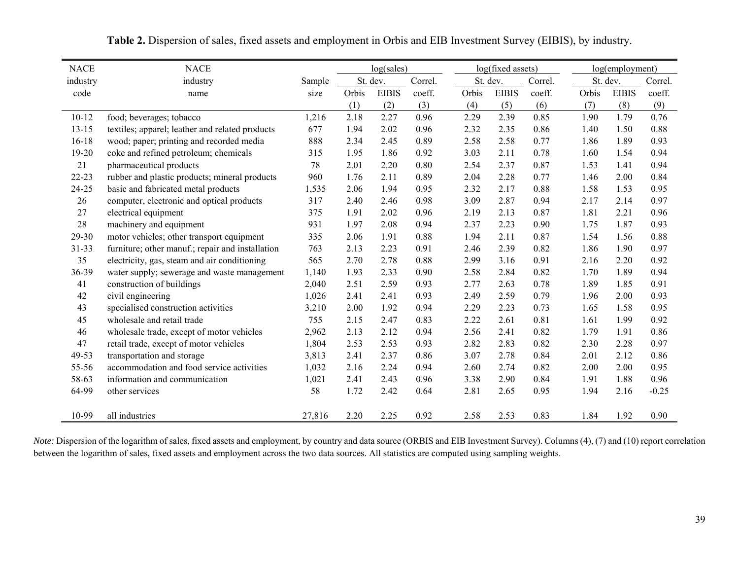| <b>NACE</b> | <b>NACE</b>                                      |        |       | log(sales)   |         |       |              | log(fixed assets) |       | log(employment) |         |
|-------------|--------------------------------------------------|--------|-------|--------------|---------|-------|--------------|-------------------|-------|-----------------|---------|
| industry    | industry                                         | Sample |       | St. dev.     | Correl. |       | St. dev.     | Correl.           |       | St. dev.        | Correl. |
| code        | name                                             | size   | Orbis | <b>EIBIS</b> | coeff.  | Orbis | <b>EIBIS</b> | coeff.            | Orbis | <b>EIBIS</b>    | coeff.  |
|             |                                                  |        | (1)   | (2)          | (3)     | (4)   | (5)          | (6)               | (7)   | (8)             | (9)     |
| $10 - 12$   | food; beverages; tobacco                         | 1,216  | 2.18  | 2.27         | 0.96    | 2.29  | 2.39         | 0.85              | 1.90  | 1.79            | 0.76    |
| $13 - 15$   | textiles; apparel; leather and related products  | 677    | 1.94  | 2.02         | 0.96    | 2.32  | 2.35         | 0.86              | 1.40  | 1.50            | 0.88    |
| $16-18$     | wood; paper; printing and recorded media         | 888    | 2.34  | 2.45         | 0.89    | 2.58  | 2.58         | 0.77              | 1.86  | 1.89            | 0.93    |
| 19-20       | coke and refined petroleum; chemicals            | 315    | 1.95  | 1.86         | 0.92    | 3.03  | 2.11         | 0.78              | 1.60  | 1.54            | 0.94    |
| 21          | pharmaceutical products                          | 78     | 2.01  | 2.20         | 0.80    | 2.54  | 2.37         | 0.87              | 1.53  | 1.41            | 0.94    |
| $22 - 23$   | rubber and plastic products; mineral products    | 960    | 1.76  | 2.11         | 0.89    | 2.04  | 2.28         | 0.77              | 1.46  | 2.00            | 0.84    |
| 24-25       | basic and fabricated metal products              | 1,535  | 2.06  | 1.94         | 0.95    | 2.32  | 2.17         | 0.88              | 1.58  | 1.53            | 0.95    |
| 26          | computer, electronic and optical products        | 317    | 2.40  | 2.46         | 0.98    | 3.09  | 2.87         | 0.94              | 2.17  | 2.14            | 0.97    |
| 27          | electrical equipment                             | 375    | 1.91  | 2.02         | 0.96    | 2.19  | 2.13         | 0.87              | 1.81  | 2.21            | 0.96    |
| 28          | machinery and equipment                          | 931    | 1.97  | 2.08         | 0.94    | 2.37  | 2.23         | 0.90              | 1.75  | 1.87            | 0.93    |
| 29-30       | motor vehicles; other transport equipment        | 335    | 2.06  | 1.91         | 0.88    | 1.94  | 2.11         | 0.87              | 1.54  | 1.56            | 0.88    |
| $31 - 33$   | furniture; other manuf.; repair and installation | 763    | 2.13  | 2.23         | 0.91    | 2.46  | 2.39         | 0.82              | 1.86  | 1.90            | 0.97    |
| 35          | electricity, gas, steam and air conditioning     | 565    | 2.70  | 2.78         | 0.88    | 2.99  | 3.16         | 0.91              | 2.16  | 2.20            | 0.92    |
| 36-39       | water supply; sewerage and waste management      | 1,140  | 1.93  | 2.33         | 0.90    | 2.58  | 2.84         | 0.82              | 1.70  | 1.89            | 0.94    |
| 41          | construction of buildings                        | 2,040  | 2.51  | 2.59         | 0.93    | 2.77  | 2.63         | 0.78              | 1.89  | 1.85            | 0.91    |
| 42          | civil engineering                                | 1,026  | 2.41  | 2.41         | 0.93    | 2.49  | 2.59         | 0.79              | 1.96  | 2.00            | 0.93    |
| 43          | specialised construction activities              | 3,210  | 2.00  | 1.92         | 0.94    | 2.29  | 2.23         | 0.73              | 1.65  | 1.58            | 0.95    |
| 45          | wholesale and retail trade                       | 755    | 2.15  | 2.47         | 0.83    | 2.22  | 2.61         | 0.81              | 1.61  | 1.99            | 0.92    |
| 46          | wholesale trade, except of motor vehicles        | 2,962  | 2.13  | 2.12         | 0.94    | 2.56  | 2.41         | 0.82              | 1.79  | 1.91            | 0.86    |
| 47          | retail trade, except of motor vehicles           | 1,804  | 2.53  | 2.53         | 0.93    | 2.82  | 2.83         | 0.82              | 2.30  | 2.28            | 0.97    |
| 49-53       | transportation and storage                       | 3,813  | 2.41  | 2.37         | 0.86    | 3.07  | 2.78         | 0.84              | 2.01  | 2.12            | 0.86    |
| 55-56       | accommodation and food service activities        | 1,032  | 2.16  | 2.24         | 0.94    | 2.60  | 2.74         | 0.82              | 2.00  | 2.00            | 0.95    |
| 58-63       | information and communication                    | 1,021  | 2.41  | 2.43         | 0.96    | 3.38  | 2.90         | 0.84              | 1.91  | 1.88            | 0.96    |
| 64-99       | other services                                   | 58     | 1.72  | 2.42         | 0.64    | 2.81  | 2.65         | 0.95              | 1.94  | 2.16            | $-0.25$ |
| 10-99       | all industries                                   | 27,816 | 2.20  | 2.25         | 0.92    | 2.58  | 2.53         | 0.83              | 1.84  | 1.92            | 0.90    |

**Table 2.** Dispersion of sales, fixed assets and employment in Orbis and EIB Investment Survey (EIBIS), by industry.

*Note:* Dispersion of the logarithm of sales, fixed assets and employment, by country and data source (ORBIS and EIB Investment Survey). Columns (4), (7) and (10) report correlation between the logarithm of sales, fixed assets and employment across the two data sources. All statistics are computed using sampling weights.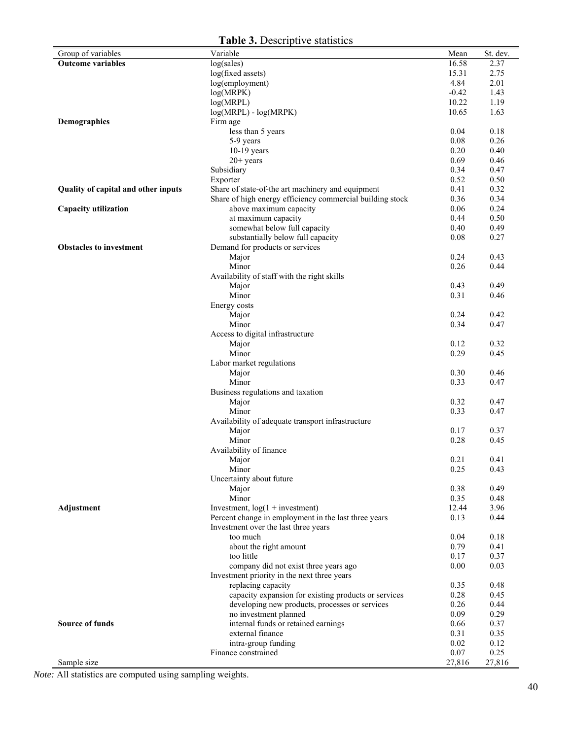| Group of variables                  | Variable                                                          | Mean         | St. dev.     |
|-------------------------------------|-------------------------------------------------------------------|--------------|--------------|
| <b>Outcome variables</b>            | log(sales)                                                        | 16.58        | 2.37         |
|                                     | log(fixed assets)                                                 | 15.31        | 2.75         |
|                                     | log(employment)                                                   | 4.84         | 2.01         |
|                                     | log(MRPK)                                                         | $-0.42$      | 1.43         |
|                                     | log(MRPL)                                                         | 10.22        | 1.19         |
|                                     | $log(MRPL) - log(MRPK)$                                           | 10.65        | 1.63         |
| Demographics                        | Firm age                                                          |              |              |
|                                     | less than 5 years                                                 | 0.04         | 0.18         |
|                                     | 5-9 years                                                         | 0.08         | 0.26         |
|                                     | $10-19$ years                                                     | 0.20         | 0.40         |
|                                     | $20+$ years                                                       | 0.69         | 0.46         |
|                                     | Subsidiary                                                        | 0.34         | 0.47         |
|                                     | Exporter                                                          | 0.52         | 0.50         |
| Quality of capital and other inputs | Share of state-of-the art machinery and equipment                 | 0.41         | 0.32         |
|                                     | Share of high energy efficiency commercial building stock         | 0.36         | 0.34         |
| Capacity utilization                | above maximum capacity                                            | 0.06         | 0.24         |
|                                     | at maximum capacity                                               | 0.44<br>0.40 | 0.50<br>0.49 |
|                                     | somewhat below full capacity<br>substantially below full capacity | 0.08         | 0.27         |
| <b>Obstacles to investment</b>      | Demand for products or services                                   |              |              |
|                                     | Major                                                             | 0.24         | 0.43         |
|                                     | Minor                                                             | 0.26         | 0.44         |
|                                     | Availability of staff with the right skills                       |              |              |
|                                     | Major                                                             | 0.43         | 0.49         |
|                                     | Minor                                                             | 0.31         | 0.46         |
|                                     | Energy costs                                                      |              |              |
|                                     | Major                                                             | 0.24         | 0.42         |
|                                     | Minor                                                             | 0.34         | 0.47         |
|                                     | Access to digital infrastructure                                  |              |              |
|                                     | Major                                                             | 0.12         | 0.32         |
|                                     | Minor                                                             | 0.29         | 0.45         |
|                                     | Labor market regulations                                          |              |              |
|                                     | Major                                                             | 0.30         | 0.46         |
|                                     | Minor                                                             | 0.33         | 0.47         |
|                                     | Business regulations and taxation                                 |              |              |
|                                     | Major                                                             | 0.32         | 0.47         |
|                                     | Minor                                                             | 0.33         | 0.47         |
|                                     | Availability of adequate transport infrastructure                 |              |              |
|                                     | Major                                                             | 0.17         | 0.37         |
|                                     | Minor                                                             | 0.28         | 0.45         |
|                                     | Availability of finance                                           |              | 0.41         |
|                                     | Major<br>Minor                                                    | 0.21<br>0.25 | 0.43         |
|                                     | Uncertainty about future                                          |              |              |
|                                     | Major                                                             | 0.38         | 0.49         |
|                                     | Minor                                                             | 0.35         | 0.48         |
| <b>Adjustment</b>                   | Investment, $log(1 + investment)$                                 | 12.44        | 3.96         |
|                                     | Percent change in employment in the last three years              | 0.13         | 0.44         |
|                                     | Investment over the last three years                              |              |              |
|                                     | too much                                                          | 0.04         | 0.18         |
|                                     | about the right amount                                            | 0.79         | 0.41         |
|                                     | too little                                                        | 0.17         | 0.37         |
|                                     | company did not exist three years ago                             | 0.00         | 0.03         |
|                                     | Investment priority in the next three years                       |              |              |
|                                     | replacing capacity                                                | 0.35         | 0.48         |
|                                     | capacity expansion for existing products or services              | 0.28         | 0.45         |
|                                     | developing new products, processes or services                    | 0.26         | 0.44         |
|                                     | no investment planned                                             | 0.09         | 0.29         |
| <b>Source of funds</b>              | internal funds or retained earnings                               | 0.66         | 0.37         |
|                                     | external finance                                                  | 0.31         | 0.35         |
|                                     | intra-group funding                                               | 0.02         | 0.12         |
|                                     | Finance constrained                                               | 0.07         | 0.25         |
| Sample size                         |                                                                   | 27,816       | 27,816       |

*Note:* All statistics are computed using sampling weights.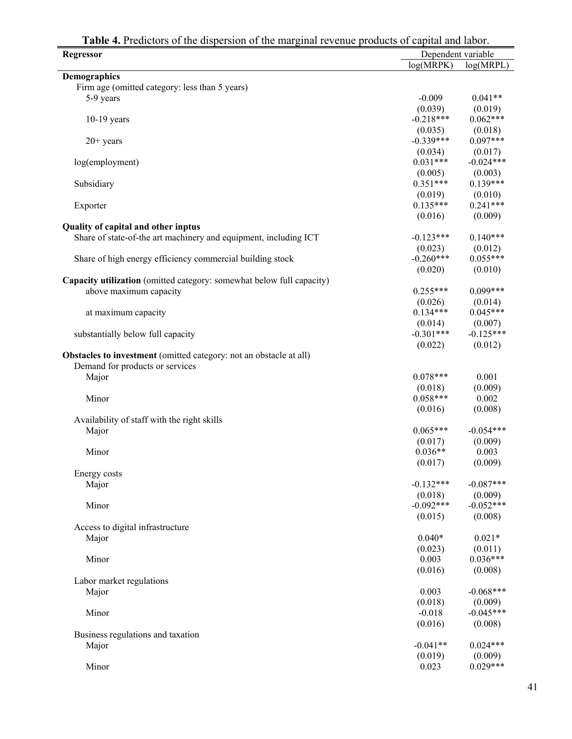| <b>Regressor</b>                                                          | Dependent variable |             |  |  |
|---------------------------------------------------------------------------|--------------------|-------------|--|--|
|                                                                           | log(MRPK)          | log(MRPL)   |  |  |
| <b>Demographics</b>                                                       |                    |             |  |  |
| Firm age (omitted category: less than 5 years)                            |                    |             |  |  |
| 5-9 years                                                                 | $-0.009$           | $0.041**$   |  |  |
|                                                                           | (0.039)            | (0.019)     |  |  |
| $10-19$ years                                                             | $-0.218***$        | $0.062***$  |  |  |
|                                                                           | (0.035)            | (0.018)     |  |  |
| $20+$ years                                                               | $-0.339***$        | $0.097***$  |  |  |
|                                                                           | (0.034)            | (0.017)     |  |  |
| log(employment)                                                           | $0.031***$         | $-0.024***$ |  |  |
|                                                                           | (0.005)            | (0.003)     |  |  |
| Subsidiary                                                                | $0.351***$         | $0.139***$  |  |  |
|                                                                           | (0.019)            | (0.010)     |  |  |
| Exporter                                                                  | $0.135***$         | $0.241***$  |  |  |
|                                                                           | (0.016)            | (0.009)     |  |  |
| Quality of capital and other inptus                                       |                    |             |  |  |
| Share of state-of-the art machinery and equipment, including ICT          | $-0.123***$        | $0.140***$  |  |  |
|                                                                           | (0.023)            | (0.012)     |  |  |
| Share of high energy efficiency commercial building stock                 | $-0.260***$        | $0.055***$  |  |  |
|                                                                           | (0.020)            | (0.010)     |  |  |
| Capacity utilization (omitted category: somewhat below full capacity)     |                    |             |  |  |
| above maximum capacity                                                    | $0.255***$         | $0.099***$  |  |  |
|                                                                           | (0.026)            | (0.014)     |  |  |
| at maximum capacity                                                       | $0.134***$         | $0.045***$  |  |  |
|                                                                           | (0.014)            | (0.007)     |  |  |
|                                                                           | $-0.301***$        | $-0.125***$ |  |  |
| substantially below full capacity                                         | (0.022)            | (0.012)     |  |  |
|                                                                           |                    |             |  |  |
| <b>Obstacles to investment</b> (omitted category: not an obstacle at all) |                    |             |  |  |
| Demand for products or services                                           | $0.078***$         |             |  |  |
| Major                                                                     |                    | 0.001       |  |  |
|                                                                           | (0.018)            | (0.009)     |  |  |
| Minor                                                                     | $0.058***$         | 0.002       |  |  |
|                                                                           | (0.016)            | (0.008)     |  |  |
| Availability of staff with the right skills                               |                    |             |  |  |
| Major                                                                     | $0.065***$         | $-0.054***$ |  |  |
|                                                                           | (0.017)            | (0.009)     |  |  |
| Minor                                                                     | $0.036**$          | 0.003       |  |  |
|                                                                           | (0.017)            | (0.009)     |  |  |
| Energy costs                                                              |                    |             |  |  |
| Major                                                                     | $-0.132***$        | $-0.087***$ |  |  |
|                                                                           | (0.018)            | (0.009)     |  |  |
| Minor                                                                     | $-0.092***$        | $-0.052***$ |  |  |
|                                                                           | (0.015)            | (0.008)     |  |  |
| Access to digital infrastructure                                          |                    |             |  |  |
| Major                                                                     | $0.040*$           | $0.021*$    |  |  |
|                                                                           | (0.023)            | (0.011)     |  |  |
| Minor                                                                     | 0.003              | $0.036***$  |  |  |
|                                                                           | (0.016)            | (0.008)     |  |  |
| Labor market regulations                                                  |                    |             |  |  |
| Major                                                                     | 0.003              | $-0.068***$ |  |  |
|                                                                           | (0.018)            | (0.009)     |  |  |
| Minor                                                                     | $-0.018$           | $-0.045***$ |  |  |
|                                                                           | (0.016)            | (0.008)     |  |  |
| Business regulations and taxation                                         |                    |             |  |  |
| Major                                                                     | $-0.041**$         | $0.024***$  |  |  |
|                                                                           | (0.019)            | (0.009)     |  |  |
| Minor                                                                     | 0.023              | $0.029***$  |  |  |

**Table 4.** Predictors of the dispersion of the marginal revenue products of capital and labor.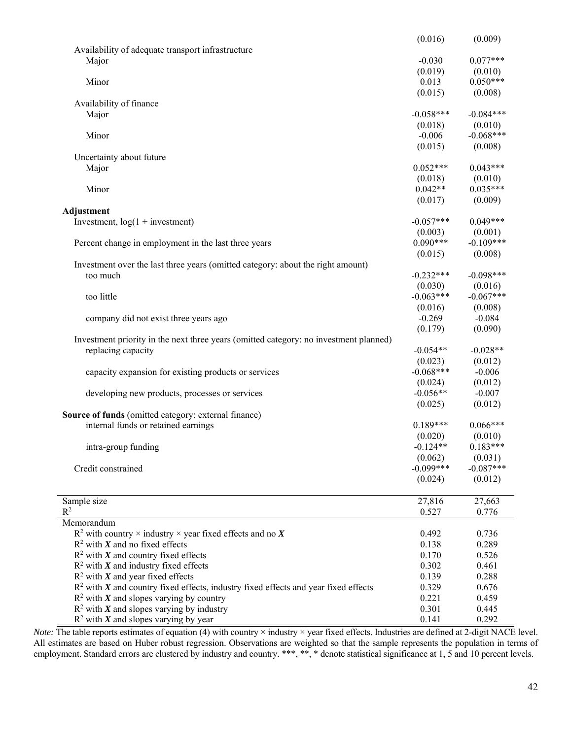|                                                                                                                | (0.016)               | (0.009)        |
|----------------------------------------------------------------------------------------------------------------|-----------------------|----------------|
| Availability of adequate transport infrastructure                                                              |                       |                |
| Major                                                                                                          | $-0.030$              | $0.077***$     |
|                                                                                                                | (0.019)               | (0.010)        |
| Minor                                                                                                          | 0.013                 | $0.050***$     |
|                                                                                                                | (0.015)               | (0.008)        |
| Availability of finance                                                                                        |                       |                |
| Major                                                                                                          | $-0.058***$           | $-0.084***$    |
|                                                                                                                | (0.018)               | (0.010)        |
| Minor                                                                                                          | $-0.006$              | $-0.068***$    |
|                                                                                                                | (0.015)               | (0.008)        |
| Uncertainty about future                                                                                       |                       |                |
| Major                                                                                                          | $0.052***$            | $0.043***$     |
|                                                                                                                | (0.018)               | (0.010)        |
| Minor                                                                                                          | $0.042**$             | $0.035***$     |
|                                                                                                                | (0.017)               | (0.009)        |
|                                                                                                                |                       |                |
| Adjustment                                                                                                     | $-0.057***$           | $0.049***$     |
| Investment, $log(1 +$ investment)                                                                              |                       |                |
|                                                                                                                | (0.003)<br>$0.090***$ | (0.001)        |
| Percent change in employment in the last three years                                                           |                       | $-0.109***$    |
|                                                                                                                | (0.015)               | (0.008)        |
| Investment over the last three years (omitted category: about the right amount)                                |                       |                |
| too much                                                                                                       | $-0.232***$           | $-0.098***$    |
|                                                                                                                | (0.030)               | (0.016)        |
| too little                                                                                                     | $-0.063***$           | $-0.067***$    |
|                                                                                                                | (0.016)               | (0.008)        |
| company did not exist three years ago                                                                          | $-0.269$              | $-0.084$       |
|                                                                                                                | (0.179)               | (0.090)        |
| Investment priority in the next three years (omitted category: no investment planned)                          |                       |                |
| replacing capacity                                                                                             | $-0.054**$            | $-0.028**$     |
|                                                                                                                | (0.023)               | (0.012)        |
| capacity expansion for existing products or services                                                           | $-0.068***$           | $-0.006$       |
|                                                                                                                | (0.024)               | (0.012)        |
| developing new products, processes or services                                                                 | $-0.056**$            | $-0.007$       |
|                                                                                                                | (0.025)               | (0.012)        |
| Source of funds (omitted category: external finance)                                                           |                       |                |
| internal funds or retained earnings                                                                            | $0.189***$            | $0.066***$     |
|                                                                                                                | (0.020)               | (0.010)        |
| intra-group funding                                                                                            | $-0.124**$            | $0.183***$     |
|                                                                                                                | (0.062)               | (0.031)        |
| Credit constrained                                                                                             | $-0.099***$           | $-0.087***$    |
|                                                                                                                | (0.024)               | (0.012)        |
|                                                                                                                |                       |                |
| Sample size                                                                                                    | 27,816                | 27,663         |
| $R^2$                                                                                                          | 0.527                 | 0.776          |
| Memorandum                                                                                                     |                       |                |
|                                                                                                                |                       |                |
| $R^2$ with country $\times$ industry $\times$ year fixed effects and no X<br>$R^2$ with X and no fixed effects | 0.492<br>0.138        | 0.736<br>0.289 |
|                                                                                                                |                       |                |
| $R^2$ with X and country fixed effects                                                                         | 0.170                 | 0.526          |
| $R^2$ with X and industry fixed effects                                                                        | 0.302                 | 0.461          |
| $R^2$ with X and year fixed effects                                                                            | 0.139                 | 0.288          |
| $R2$ with X and country fixed effects, industry fixed effects and year fixed effects                           | 0.329                 | 0.676          |
| $R^2$ with X and slopes varying by country                                                                     | 0.221                 | 0.459          |
| $R^2$ with X and slopes varying by industry                                                                    | 0.301                 | 0.445          |
| $R^2$ with X and slopes varying by year                                                                        | 0.141                 | 0.292          |

*Note:* The table reports estimates of equation (4) with country × industry × year fixed effects. Industries are defined at 2-digit NACE level. All estimates are based on Huber robust regression. Observations are weighted so that the sample represents the population in terms of employment. Standard errors are clustered by industry and country. \*\*\*, \*\*, \* denote statistical significance at 1, 5 and 10 percent levels.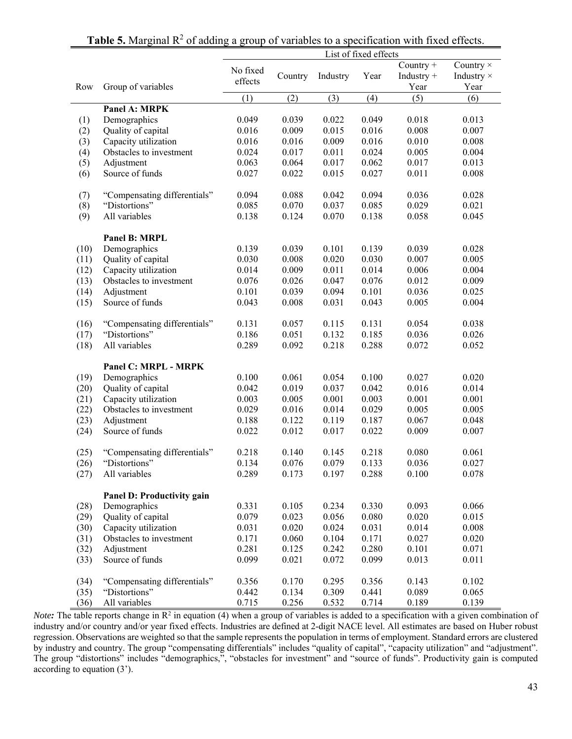|      |                              | List of fixed effects |         |           |       |                                   |                                        |  |  |  |  |
|------|------------------------------|-----------------------|---------|-----------|-------|-----------------------------------|----------------------------------------|--|--|--|--|
| Row  | Group of variables           | No fixed<br>effects   | Country | Industry  | Year  | Country +<br>Industry $+$<br>Year | Country ×<br>Industry $\times$<br>Year |  |  |  |  |
|      |                              | (1)                   | (2)     | (3)       | (4)   | (5)                               | (6)                                    |  |  |  |  |
|      | Panel A: MRPK                |                       |         |           |       |                                   |                                        |  |  |  |  |
| (1)  | Demographics                 | 0.049                 | 0.039   | 0.022     | 0.049 | 0.018                             | 0.013                                  |  |  |  |  |
| (2)  | Quality of capital           | 0.016                 | 0.009   | 0.015     | 0.016 | 0.008                             | 0.007                                  |  |  |  |  |
| (3)  | Capacity utilization         | 0.016                 | 0.016   | 0.009     | 0.016 | 0.010                             | 0.008                                  |  |  |  |  |
| (4)  | Obstacles to investment      | 0.024                 | 0.017   | 0.011     | 0.024 | 0.005                             | 0.004                                  |  |  |  |  |
| (5)  | Adjustment                   | 0.063                 | 0.064   | 0.017     | 0.062 | 0.017                             | 0.013                                  |  |  |  |  |
| (6)  | Source of funds              | 0.027                 | 0.022   | 0.015     | 0.027 | 0.011                             | 0.008                                  |  |  |  |  |
| (7)  | "Compensating differentials" | 0.094                 | 0.088   | 0.042     | 0.094 | 0.036                             | 0.028                                  |  |  |  |  |
| (8)  | "Distortions"                | 0.085                 | 0.070   | 0.037     | 0.085 | 0.029                             | 0.021                                  |  |  |  |  |
| (9)  | All variables                | 0.138                 | 0.124   | 0.070     | 0.138 | 0.058                             | 0.045                                  |  |  |  |  |
|      | Panel B: MRPL                |                       |         |           |       |                                   |                                        |  |  |  |  |
| (10) | Demographics                 | 0.139                 | 0.039   | 0.101     | 0.139 | 0.039                             | 0.028                                  |  |  |  |  |
| (11) | Quality of capital           | 0.030                 | 0.008   | 0.020     | 0.030 | 0.007                             | 0.005                                  |  |  |  |  |
| (12) | Capacity utilization         | 0.014                 | 0.009   | 0.011     | 0.014 | 0.006                             | 0.004                                  |  |  |  |  |
| (13) | Obstacles to investment      | 0.076                 | 0.026   | 0.047     | 0.076 | 0.012                             | 0.009                                  |  |  |  |  |
| (14) | Adjustment                   | 0.101                 | 0.039   | 0.094     | 0.101 | 0.036                             | 0.025                                  |  |  |  |  |
| (15) | Source of funds              | 0.043                 | 0.008   | 0.031     | 0.043 | 0.005                             | 0.004                                  |  |  |  |  |
| (16) | "Compensating differentials" | 0.131                 | 0.057   | 0.115     | 0.131 | 0.054                             | 0.038                                  |  |  |  |  |
| (17) | "Distortions"                | 0.186                 | 0.051   | 0.132     | 0.185 | 0.036                             | 0.026                                  |  |  |  |  |
| (18) | All variables                | 0.289                 | 0.092   | 0.218     | 0.288 | 0.072                             | 0.052                                  |  |  |  |  |
|      | Panel C: MRPL - MRPK         |                       |         |           |       |                                   |                                        |  |  |  |  |
| (19) | Demographics                 | 0.100                 | 0.061   | 0.054     | 0.100 | 0.027                             | 0.020                                  |  |  |  |  |
| (20) | Quality of capital           | 0.042                 | 0.019   | 0.037     | 0.042 | 0.016                             | 0.014                                  |  |  |  |  |
| (21) | Capacity utilization         | 0.003                 | 0.005   | $0.001\,$ | 0.003 | 0.001                             | 0.001                                  |  |  |  |  |
| (22) | Obstacles to investment      | 0.029                 | 0.016   | 0.014     | 0.029 | 0.005                             | 0.005                                  |  |  |  |  |
| (23) | Adjustment                   | 0.188                 | 0.122   | 0.119     | 0.187 | 0.067                             | 0.048                                  |  |  |  |  |
| (24) | Source of funds              | 0.022                 | 0.012   | 0.017     | 0.022 | 0.009                             | 0.007                                  |  |  |  |  |
| (25) | "Compensating differentials" | 0.218                 | 0.140   | 0.145     | 0.218 | 0.080                             | 0.061                                  |  |  |  |  |
| (26) | "Distortions"                | 0.134                 | 0.076   | 0.079     | 0.133 | 0.036                             | 0.027                                  |  |  |  |  |
| (27) | All variables                | 0.289                 | 0.173   | 0.197     | 0.288 | 0.100                             | 0.078                                  |  |  |  |  |
|      | Panel D: Productivity gain   |                       |         |           |       |                                   |                                        |  |  |  |  |
| (28) | Demographics                 | 0.331                 | 0.105   | 0.234     | 0.330 | 0.093                             | 0.066                                  |  |  |  |  |
| (29) | Quality of capital           | 0.079                 | 0.023   | 0.056     | 0.080 | 0.020                             | 0.015                                  |  |  |  |  |
| (30) | Capacity utilization         | 0.031                 | 0.020   | 0.024     | 0.031 | 0.014                             | 0.008                                  |  |  |  |  |
| (31) | Obstacles to investment      | 0.171                 | 0.060   | 0.104     | 0.171 | 0.027                             | 0.020                                  |  |  |  |  |
| (32) | Adjustment                   | 0.281                 | 0.125   | 0.242     | 0.280 | 0.101                             | 0.071                                  |  |  |  |  |
| (33) | Source of funds              | 0.099                 | 0.021   | 0.072     | 0.099 | 0.013                             | 0.011                                  |  |  |  |  |
| (34) | "Compensating differentials" | 0.356                 | 0.170   | 0.295     | 0.356 | 0.143                             | 0.102                                  |  |  |  |  |
| (35) | "Distortions"                | 0.442                 | 0.134   | 0.309     | 0.441 | 0.089                             | 0.065                                  |  |  |  |  |
| (36) | All variables                | 0.715                 | 0.256   | 0.532     | 0.714 | 0.189                             | 0.139                                  |  |  |  |  |

## **Table 5.** Marginal  $\mathbb{R}^2$  of adding a group of variables to a specification with fixed effects.

*Note*: The table reports change in R<sup>2</sup> in equation (4) when a group of variables is added to a specification with a given combination of industry and/or country and/or year fixed effects. Industries are defined at 2-digit NACE level. All estimates are based on Huber robust regression. Observations are weighted so that the sample represents the population in terms of employment. Standard errors are clustered by industry and country. The group "compensating differentials" includes "quality of capital", "capacity utilization" and "adjustment". The group "distortions" includes "demographics,", "obstacles for investment" and "source of funds". Productivity gain is computed according to equation (3').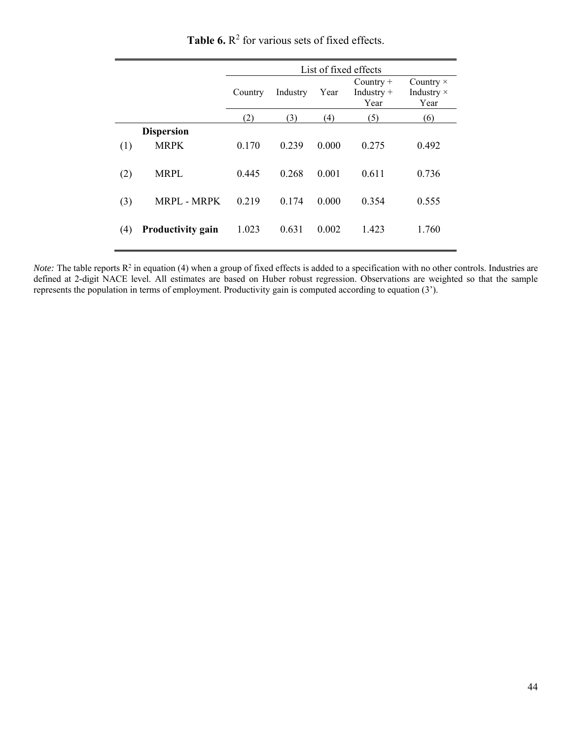|     |                                  | List of fixed effects |          |       |                                     |                                        |  |  |  |  |  |
|-----|----------------------------------|-----------------------|----------|-------|-------------------------------------|----------------------------------------|--|--|--|--|--|
|     |                                  | Country               | Industry | Year  | Country $+$<br>Industry $+$<br>Year | Country $\times$<br>Industry ×<br>Year |  |  |  |  |  |
|     |                                  | (2)                   | (3)      | (4)   | (5)                                 | (6)                                    |  |  |  |  |  |
| (1) | <b>Dispersion</b><br><b>MRPK</b> | 0.170                 | 0.239    | 0.000 | 0.275                               | 0.492                                  |  |  |  |  |  |
| (2) | <b>MRPL</b>                      | 0.445                 | 0.268    | 0.001 | 0.611                               | 0.736                                  |  |  |  |  |  |
| (3) | <b>MRPL - MRPK</b>               | 0.219                 | 0.174    | 0.000 | 0.354                               | 0.555                                  |  |  |  |  |  |
| (4) | <b>Productivity gain</b>         | 1.023                 | 0.631    | 0.002 | 1.423                               | 1.760                                  |  |  |  |  |  |

**Table 6.**  $\mathbb{R}^2$  for various sets of fixed effects.

*Note:* The table reports  $R^2$  in equation (4) when a group of fixed effects is added to a specification with no other controls. Industries are defined at 2-digit NACE level. All estimates are based on Huber robust regression. Observations are weighted so that the sample represents the population in terms of employment. Productivity gain is computed according to equation (3').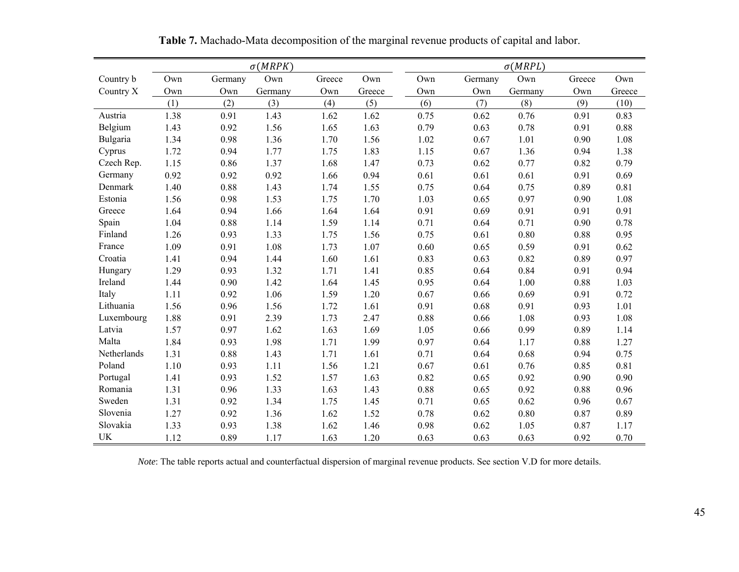|             |      |         | $\sigma(MRPK)$ |        |        |      |         | $\sigma(MRPL)$ |        |        |
|-------------|------|---------|----------------|--------|--------|------|---------|----------------|--------|--------|
| Country b   | Own  | Germany | Own            | Greece | Own    | Own  | Germany | Own            | Greece | Own    |
| Country X   | Own  | Own     | Germany        | Own    | Greece | Own  | Own     | Germany        | Own    | Greece |
|             | (1)  | (2)     | (3)            | (4)    | (5)    | (6)  | (7)     | (8)            | (9)    | (10)   |
| Austria     | 1.38 | 0.91    | 1.43           | 1.62   | 1.62   | 0.75 | 0.62    | 0.76           | 0.91   | 0.83   |
| Belgium     | 1.43 | 0.92    | 1.56           | 1.65   | 1.63   | 0.79 | 0.63    | 0.78           | 0.91   | 0.88   |
| Bulgaria    | 1.34 | 0.98    | 1.36           | 1.70   | 1.56   | 1.02 | 0.67    | 1.01           | 0.90   | 1.08   |
| Cyprus      | 1.72 | 0.94    | 1.77           | 1.75   | 1.83   | 1.15 | 0.67    | 1.36           | 0.94   | 1.38   |
| Czech Rep.  | 1.15 | 0.86    | 1.37           | 1.68   | 1.47   | 0.73 | 0.62    | 0.77           | 0.82   | 0.79   |
| Germany     | 0.92 | 0.92    | 0.92           | 1.66   | 0.94   | 0.61 | 0.61    | 0.61           | 0.91   | 0.69   |
| Denmark     | 1.40 | 0.88    | 1.43           | 1.74   | 1.55   | 0.75 | 0.64    | 0.75           | 0.89   | 0.81   |
| Estonia     | 1.56 | 0.98    | 1.53           | 1.75   | 1.70   | 1.03 | 0.65    | 0.97           | 0.90   | 1.08   |
| Greece      | 1.64 | 0.94    | 1.66           | 1.64   | 1.64   | 0.91 | 0.69    | 0.91           | 0.91   | 0.91   |
| Spain       | 1.04 | 0.88    | 1.14           | 1.59   | 1.14   | 0.71 | 0.64    | 0.71           | 0.90   | 0.78   |
| Finland     | 1.26 | 0.93    | 1.33           | 1.75   | 1.56   | 0.75 | 0.61    | 0.80           | 0.88   | 0.95   |
| France      | 1.09 | 0.91    | 1.08           | 1.73   | 1.07   | 0.60 | 0.65    | 0.59           | 0.91   | 0.62   |
| Croatia     | 1.41 | 0.94    | 1.44           | 1.60   | 1.61   | 0.83 | 0.63    | 0.82           | 0.89   | 0.97   |
| Hungary     | 1.29 | 0.93    | 1.32           | 1.71   | 1.41   | 0.85 | 0.64    | 0.84           | 0.91   | 0.94   |
| Ireland     | 1.44 | 0.90    | 1.42           | 1.64   | 1.45   | 0.95 | 0.64    | 1.00           | 0.88   | 1.03   |
| Italy       | 1.11 | 0.92    | 1.06           | 1.59   | 1.20   | 0.67 | 0.66    | 0.69           | 0.91   | 0.72   |
| Lithuania   | 1.56 | 0.96    | 1.56           | 1.72   | 1.61   | 0.91 | 0.68    | 0.91           | 0.93   | 1.01   |
| Luxembourg  | 1.88 | 0.91    | 2.39           | 1.73   | 2.47   | 0.88 | 0.66    | 1.08           | 0.93   | 1.08   |
| Latvia      | 1.57 | 0.97    | 1.62           | 1.63   | 1.69   | 1.05 | 0.66    | 0.99           | 0.89   | 1.14   |
| Malta       | 1.84 | 0.93    | 1.98           | 1.71   | 1.99   | 0.97 | 0.64    | 1.17           | 0.88   | 1.27   |
| Netherlands | 1.31 | 0.88    | 1.43           | 1.71   | 1.61   | 0.71 | 0.64    | 0.68           | 0.94   | 0.75   |
| Poland      | 1.10 | 0.93    | 1.11           | 1.56   | 1.21   | 0.67 | 0.61    | 0.76           | 0.85   | 0.81   |
| Portugal    | 1.41 | 0.93    | 1.52           | 1.57   | 1.63   | 0.82 | 0.65    | 0.92           | 0.90   | 0.90   |
| Romania     | 1.31 | 0.96    | 1.33           | 1.63   | 1.43   | 0.88 | 0.65    | 0.92           | 0.88   | 0.96   |
| Sweden      | 1.31 | 0.92    | 1.34           | 1.75   | 1.45   | 0.71 | 0.65    | 0.62           | 0.96   | 0.67   |
| Slovenia    | 1.27 | 0.92    | 1.36           | 1.62   | 1.52   | 0.78 | 0.62    | 0.80           | 0.87   | 0.89   |
| Slovakia    | 1.33 | 0.93    | 1.38           | 1.62   | 1.46   | 0.98 | 0.62    | 1.05           | 0.87   | 1.17   |
| <b>UK</b>   | 1.12 | 0.89    | 1.17           | 1.63   | 1.20   | 0.63 | 0.63    | 0.63           | 0.92   | 0.70   |

**Table 7.** Machado-Mata decomposition of the marginal revenue products of capital and labor.

*Note*: The table reports actual and counterfactual dispersion of marginal revenue products. See section V.D for more details.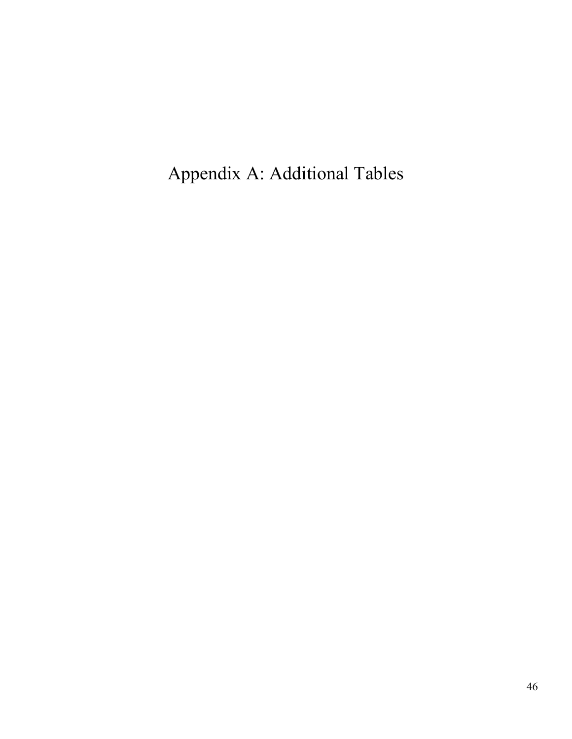Appendix A: Additional Tables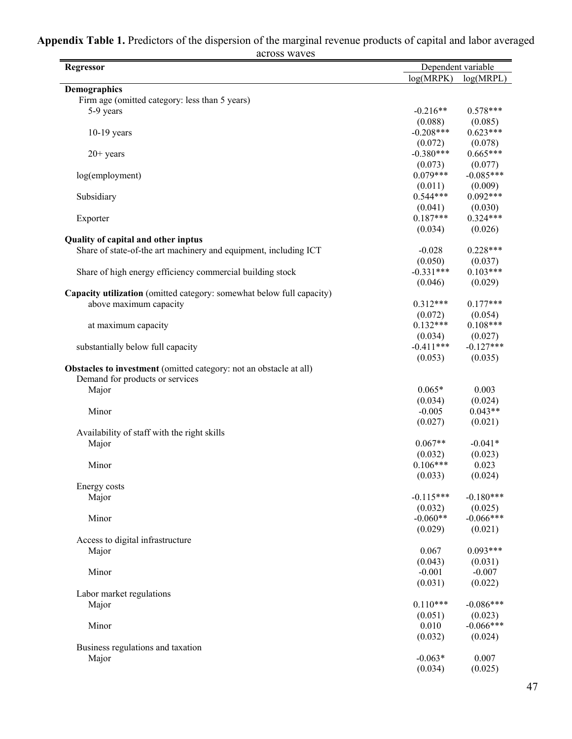| <b>Regressor</b>                                                          |             | Dependent variable |
|---------------------------------------------------------------------------|-------------|--------------------|
|                                                                           | log(MRPK)   | log(MRPL)          |
| Demographics                                                              |             |                    |
| Firm age (omitted category: less than 5 years)                            |             |                    |
| 5-9 years                                                                 | $-0.216**$  | $0.578***$         |
|                                                                           | (0.088)     | (0.085)            |
| $10-19$ years                                                             | $-0.208***$ | $0.623***$         |
|                                                                           | (0.072)     | (0.078)            |
| $20+$ years                                                               | $-0.380***$ | $0.665***$         |
|                                                                           | (0.073)     | (0.077)            |
| log(employment)                                                           | $0.079***$  | $-0.085***$        |
|                                                                           | (0.011)     | (0.009)            |
| Subsidiary                                                                | $0.544***$  | $0.092***$         |
|                                                                           | (0.041)     | (0.030)            |
| Exporter                                                                  | $0.187***$  | $0.324***$         |
|                                                                           | (0.034)     | (0.026)            |
| Quality of capital and other inptus                                       |             |                    |
| Share of state-of-the art machinery and equipment, including ICT          | $-0.028$    | $0.228***$         |
|                                                                           | (0.050)     | (0.037)            |
| Share of high energy efficiency commercial building stock                 | $-0.331***$ | $0.103***$         |
|                                                                           | (0.046)     | (0.029)            |
| Capacity utilization (omitted category: somewhat below full capacity)     |             |                    |
| above maximum capacity                                                    | $0.312***$  | $0.177***$         |
|                                                                           | (0.072)     | (0.054)            |
| at maximum capacity                                                       | $0.132***$  | $0.108***$         |
|                                                                           | (0.034)     | (0.027)            |
| substantially below full capacity                                         | $-0.411***$ | $-0.127***$        |
|                                                                           | (0.053)     | (0.035)            |
| <b>Obstacles to investment</b> (omitted category: not an obstacle at all) |             |                    |
| Demand for products or services                                           |             |                    |
| Major                                                                     | $0.065*$    | 0.003              |
|                                                                           | (0.034)     | (0.024)            |
| Minor                                                                     | $-0.005$    | $0.043**$          |
|                                                                           | (0.027)     | (0.021)            |
| Availability of staff with the right skills                               |             |                    |
| Major                                                                     | $0.067**$   | $-0.041*$          |
|                                                                           | (0.032)     | (0.023)            |
| Minor                                                                     | $0.106***$  | 0.023              |
|                                                                           | (0.033)     | (0.024)            |
| Energy costs                                                              |             |                    |
| Major                                                                     | $-0.115***$ | $-0.180***$        |
|                                                                           | (0.032)     | (0.025)            |
| Minor                                                                     | $-0.060**$  | $-0.066***$        |
|                                                                           | (0.029)     | (0.021)            |
| Access to digital infrastructure                                          |             |                    |
| Major                                                                     | 0.067       | $0.093***$         |
|                                                                           | (0.043)     | (0.031)            |
| Minor                                                                     | $-0.001$    | $-0.007$           |
|                                                                           | (0.031)     | (0.022)            |
| Labor market regulations                                                  |             |                    |
| Major                                                                     | $0.110***$  | $-0.086***$        |
|                                                                           | (0.051)     | (0.023)            |
| Minor                                                                     | 0.010       | $-0.066***$        |
|                                                                           | (0.032)     | (0.024)            |
| Business regulations and taxation                                         |             |                    |
| Major                                                                     | $-0.063*$   | 0.007              |
|                                                                           | (0.034)     | (0.025)            |
|                                                                           |             |                    |

#### **Appendix Table 1.** Predictors of the dispersion of the marginal revenue products of capital and labor averaged across waves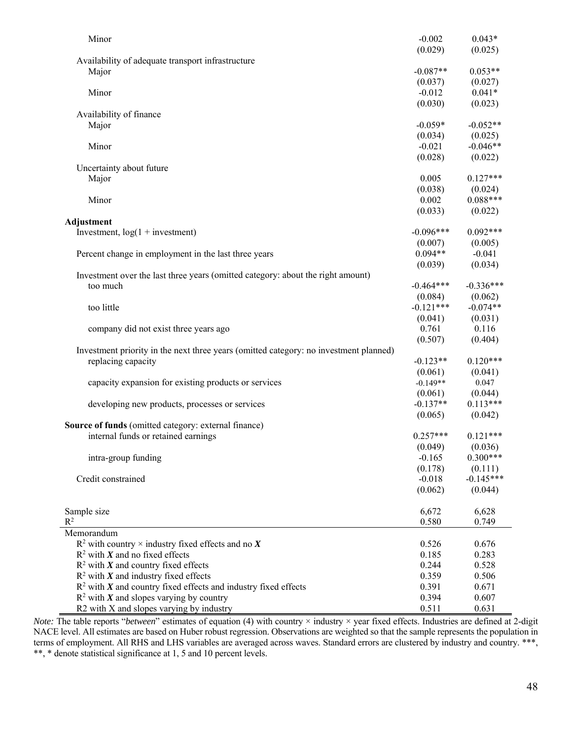| $0.043*$       |
|----------------|
|                |
| (0.025)        |
|                |
| $0.053**$      |
| (0.027)        |
| $0.041*$       |
| (0.023)        |
|                |
| $-0.052**$     |
| (0.025)        |
| $-0.046**$     |
| (0.022)        |
|                |
| $0.127***$     |
| (0.024)        |
| $0.088***$     |
| (0.022)        |
|                |
| $0.092***$     |
| (0.005)        |
| $-0.041$       |
| (0.034)        |
|                |
| $-0.336***$    |
| (0.062)        |
| $-0.074**$     |
| (0.031)        |
| 0.116          |
| (0.404)        |
|                |
| $0.120***$     |
| (0.041)        |
| 0.047          |
| (0.044)        |
| $0.113***$     |
|                |
|                |
| (0.042)        |
|                |
| $0.121***$     |
| (0.036)        |
| $0.300***$     |
| (0.111)        |
| $-0.145***$    |
| (0.044)        |
|                |
| 6,628          |
| 0.749          |
|                |
| 0.676<br>0.283 |
| 0.528          |
|                |
| 0.506<br>0.671 |
| 0.607          |
|                |

*Note:* The table reports "*between*" estimates of equation (4) with country × industry × year fixed effects. Industries are defined at 2-digit NACE level. All estimates are based on Huber robust regression. Observations are weighted so that the sample represents the population in terms of employment. All RHS and LHS variables are averaged across waves. Standard errors are clustered by industry and country. \*\*\*, \*\*, \* denote statistical significance at 1, 5 and 10 percent levels.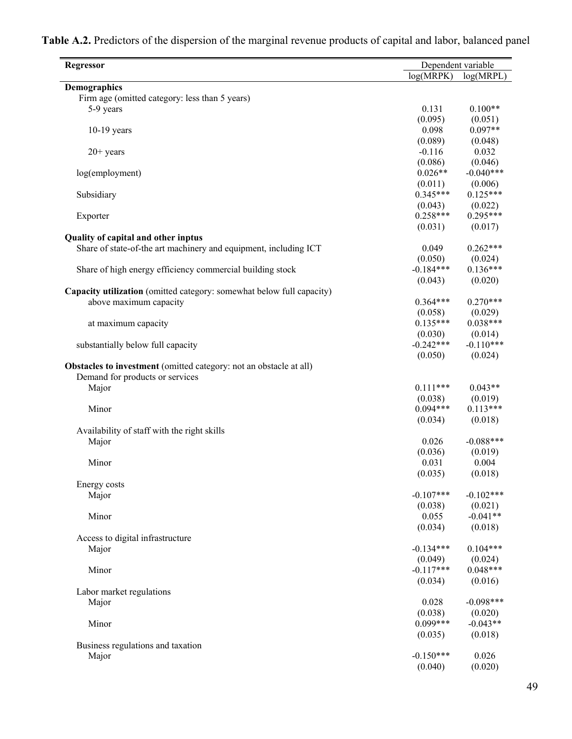| <b>Regressor</b>                                                      |             | Dependent variable |
|-----------------------------------------------------------------------|-------------|--------------------|
|                                                                       | log(MRPK)   | log(MRPL)          |
| Demographics                                                          |             |                    |
| Firm age (omitted category: less than 5 years)                        |             |                    |
| 5-9 years                                                             | 0.131       | $0.100**$          |
|                                                                       | (0.095)     | (0.051)            |
| $10-19$ years                                                         | 0.098       | $0.097**$          |
|                                                                       | (0.089)     | (0.048)            |
| $20+$ years                                                           | $-0.116$    | 0.032              |
|                                                                       | (0.086)     | (0.046)            |
| log(employment)                                                       | $0.026**$   | $-0.040***$        |
|                                                                       | (0.011)     | (0.006)            |
| Subsidiary                                                            | $0.345***$  | $0.125***$         |
|                                                                       | (0.043)     | (0.022)            |
| Exporter                                                              | $0.258***$  | $0.295***$         |
|                                                                       | (0.031)     | (0.017)            |
| Quality of capital and other inptus                                   |             |                    |
| Share of state-of-the art machinery and equipment, including ICT      | 0.049       | $0.262***$         |
|                                                                       | (0.050)     | (0.024)            |
| Share of high energy efficiency commercial building stock             | $-0.184***$ | $0.136***$         |
|                                                                       | (0.043)     | (0.020)            |
| Capacity utilization (omitted category: somewhat below full capacity) |             |                    |
| above maximum capacity                                                | $0.364***$  | $0.270***$         |
|                                                                       | (0.058)     | (0.029)            |
| at maximum capacity                                                   | $0.135***$  | $0.038***$         |
|                                                                       | (0.030)     | (0.014)            |
| substantially below full capacity                                     | $-0.242***$ | $-0.110***$        |
|                                                                       | (0.050)     | (0.024)            |
| Obstacles to investment (omitted category: not an obstacle at all)    |             |                    |
| Demand for products or services                                       |             |                    |
| Major                                                                 | $0.111***$  | $0.043**$          |
|                                                                       | (0.038)     | (0.019)            |
| Minor                                                                 | $0.094***$  | $0.113***$         |
|                                                                       | (0.034)     | (0.018)            |
| Availability of staff with the right skills                           |             |                    |
| Major                                                                 | 0.026       | $-0.088***$        |
|                                                                       | (0.036)     | (0.019)            |
| Minor                                                                 | 0.031       | 0.004              |
|                                                                       | (0.035)     | (0.018)            |
| Energy costs                                                          |             |                    |
| Major                                                                 | $-0.107***$ | $-0.102***$        |
|                                                                       | (0.038)     | (0.021)            |
| Minor                                                                 | 0.055       | $-0.041**$         |
|                                                                       | (0.034)     | (0.018)            |
| Access to digital infrastructure                                      |             |                    |
| Major                                                                 | $-0.134***$ | $0.104***$         |
|                                                                       | (0.049)     | (0.024)            |
| Minor                                                                 | $-0.117***$ | $0.048***$         |
|                                                                       | (0.034)     | (0.016)            |
| Labor market regulations                                              |             |                    |
| Major                                                                 | 0.028       | $-0.098***$        |
|                                                                       | (0.038)     | (0.020)            |
| Minor                                                                 | $0.099***$  | $-0.043**$         |
|                                                                       | (0.035)     | (0.018)            |
| Business regulations and taxation                                     |             |                    |
| Major                                                                 | $-0.150***$ | 0.026              |
|                                                                       | (0.040)     | (0.020)            |

**Table A.2.** Predictors of the dispersion of the marginal revenue products of capital and labor, balanced panel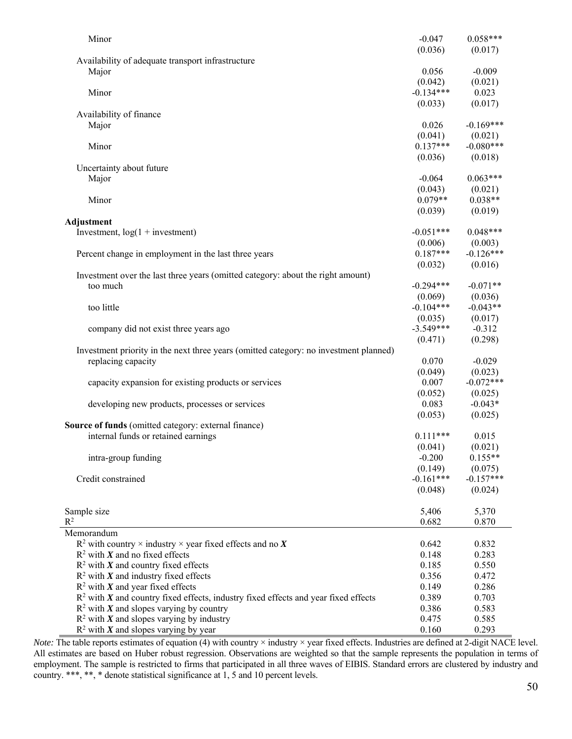| Minor                                                                                 | $-0.047$               | $0.058***$             |
|---------------------------------------------------------------------------------------|------------------------|------------------------|
|                                                                                       | (0.036)                | (0.017)                |
| Availability of adequate transport infrastructure                                     |                        |                        |
| Major                                                                                 | 0.056                  | $-0.009$               |
|                                                                                       | (0.042)                | (0.021)                |
| Minor                                                                                 | $-0.134***$            | 0.023                  |
|                                                                                       | (0.033)                | (0.017)                |
| Availability of finance                                                               |                        |                        |
| Major                                                                                 | 0.026                  | $-0.169***$            |
|                                                                                       | (0.041)                | (0.021)                |
| Minor                                                                                 | $0.137***$             | $-0.080***$            |
|                                                                                       | (0.036)                | (0.018)                |
| Uncertainty about future                                                              |                        |                        |
| Major                                                                                 | $-0.064$               | $0.063***$             |
|                                                                                       | (0.043)                | (0.021)                |
| Minor                                                                                 | $0.079**$              | $0.038**$              |
|                                                                                       | (0.039)                | (0.019)                |
| Adjustment                                                                            |                        |                        |
| Investment, $log(1 +$ investment)                                                     | $-0.051***$            | $0.048***$             |
|                                                                                       | (0.006)                | (0.003)                |
| Percent change in employment in the last three years                                  | $0.187***$             | $-0.126***$            |
|                                                                                       | (0.032)                | (0.016)                |
| Investment over the last three years (omitted category: about the right amount)       |                        |                        |
| too much                                                                              | $-0.294***$            | $-0.071**$             |
|                                                                                       | (0.069)                | (0.036)                |
| too little                                                                            | $-0.104***$            | $-0.043**$             |
|                                                                                       | (0.035)                | (0.017)                |
| company did not exist three years ago                                                 | $-3.549***$            | $-0.312$               |
|                                                                                       | (0.471)                | (0.298)                |
| Investment priority in the next three years (omitted category: no investment planned) |                        |                        |
| replacing capacity                                                                    | 0.070                  | $-0.029$               |
|                                                                                       | (0.049)                | (0.023)                |
| capacity expansion for existing products or services                                  | 0.007                  | $-0.072***$            |
|                                                                                       | (0.052)                | (0.025)                |
| developing new products, processes or services                                        | 0.083                  | $-0.043*$              |
|                                                                                       | (0.053)                | (0.025)                |
| <b>Source of funds</b> (omitted category: external finance)                           |                        |                        |
| internal funds or retained earnings                                                   | $0.111***$             | 0.015                  |
|                                                                                       | (0.041)                | (0.021)                |
| intra-group funding                                                                   | $-0.200$               | $0.155**$              |
|                                                                                       | (0.149)<br>$-0.161***$ | (0.075)<br>$-0.157***$ |
| Credit constrained                                                                    |                        |                        |
|                                                                                       | (0.048)                | (0.024)                |
|                                                                                       |                        |                        |
| Sample size<br>$R^2$                                                                  | 5,406<br>0.682         | 5,370                  |
| Memorandum                                                                            |                        | 0.870                  |
| $R^2$ with country $\times$ industry $\times$ year fixed effects and no X             |                        |                        |
| $R^2$ with X and no fixed effects                                                     | 0.642<br>0.148         | 0.832<br>0.283         |
| $R^2$ with X and country fixed effects                                                | 0.185                  | 0.550                  |
| $R^2$ with X and industry fixed effects                                               | 0.356                  | 0.472                  |
| $R^2$ with X and year fixed effects                                                   | 0.149                  | 0.286                  |
| $R2$ with X and country fixed effects, industry fixed effects and year fixed effects  | 0.389                  | 0.703                  |
| $R^2$ with X and slopes varying by country                                            | 0.386                  | 0.583                  |
| $R^2$ with X and slopes varying by industry                                           | 0.475                  | 0.585                  |
| $R^2$ with X and slopes varying by year                                               | 0.160                  | 0.293                  |
|                                                                                       |                        |                        |

*Note:* The table reports estimates of equation (4) with country × industry × year fixed effects. Industries are defined at 2-digit NACE level. All estimates are based on Huber robust regression. Observations are weighted so that the sample represents the population in terms of employment. The sample is restricted to firms that participated in all three waves of EIBIS. Standard errors are clustered by industry and country. \*\*\*, \*\*, \* denote statistical significance at 1, 5 and 10 percent levels.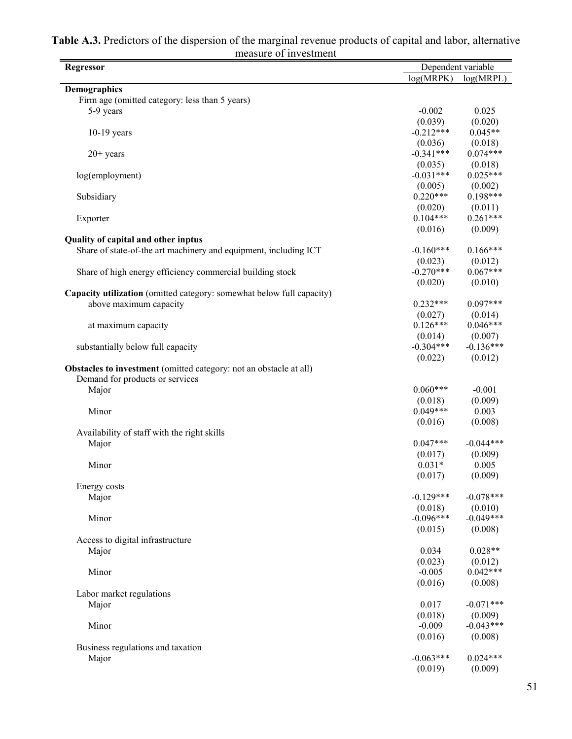| <b>Regressor</b>                                                          |                        | Dependent variable    |
|---------------------------------------------------------------------------|------------------------|-----------------------|
|                                                                           | log(MRPK)              | log(MRPL)             |
| <b>Demographics</b>                                                       |                        |                       |
| Firm age (omitted category: less than 5 years)                            |                        |                       |
| 5-9 years                                                                 | $-0.002$               | 0.025                 |
|                                                                           | (0.039)                | (0.020)               |
| $10-19$ years                                                             | $-0.212***$            | $0.045**$             |
|                                                                           | (0.036)                | (0.018)               |
| $20+$ years                                                               | $-0.341***$            | $0.074***$            |
|                                                                           | (0.035)<br>$-0.031***$ | (0.018)<br>$0.025***$ |
| log(employment)                                                           |                        |                       |
| Subsidiary                                                                | (0.005)<br>$0.220***$  | (0.002)<br>$0.198***$ |
|                                                                           | (0.020)                |                       |
| Exporter                                                                  | $0.104***$             | (0.011)<br>$0.261***$ |
|                                                                           | (0.016)                | (0.009)               |
| Quality of capital and other inptus                                       |                        |                       |
| Share of state-of-the art machinery and equipment, including ICT          | $-0.160***$            | $0.166***$            |
|                                                                           | (0.023)                | (0.012)               |
| Share of high energy efficiency commercial building stock                 | $-0.270***$            | $0.067***$            |
|                                                                           | (0.020)                | (0.010)               |
| Capacity utilization (omitted category: somewhat below full capacity)     |                        |                       |
| above maximum capacity                                                    | $0.232***$             | $0.097***$            |
|                                                                           | (0.027)                | (0.014)               |
| at maximum capacity                                                       | $0.126***$             | $0.046***$            |
|                                                                           | (0.014)                | (0.007)               |
| substantially below full capacity                                         | $-0.304***$            | $-0.136***$           |
|                                                                           | (0.022)                | (0.012)               |
| <b>Obstacles to investment</b> (omitted category: not an obstacle at all) |                        |                       |
| Demand for products or services                                           |                        |                       |
| Major                                                                     | $0.060***$             | $-0.001$              |
|                                                                           | (0.018)                | (0.009)               |
| Minor                                                                     | $0.049***$             | 0.003                 |
|                                                                           | (0.016)                | (0.008)               |
| Availability of staff with the right skills                               |                        |                       |
| Major                                                                     | $0.047***$             | $-0.044***$           |
|                                                                           | (0.017)                | (0.009)               |
| Minor                                                                     | $0.031*$               | 0.005                 |
|                                                                           | (0.017)                | (0.009)               |
| Energy costs                                                              |                        |                       |
| Major                                                                     | $-0.129***$            | $-0.078***$           |
|                                                                           | (0.018)                | (0.010)               |
| Minor                                                                     | $-0.096***$            | $-0.049***$           |
|                                                                           | (0.015)                | (0.008)               |
| Access to digital infrastructure                                          |                        |                       |
| Major                                                                     | 0.034                  | $0.028**$             |
|                                                                           | (0.023)                | (0.012)<br>$0.042***$ |
| Minor                                                                     | $-0.005$               | (0.008)               |
|                                                                           | (0.016)                |                       |
| Labor market regulations<br>Major                                         | 0.017                  | $-0.071***$           |
|                                                                           | (0.018)                | (0.009)               |
| Minor                                                                     | $-0.009$               | $-0.043***$           |
|                                                                           | (0.016)                | (0.008)               |
| Business regulations and taxation                                         |                        |                       |
| Major                                                                     | $-0.063***$            | $0.024***$            |
|                                                                           | (0.019)                | (0.009)               |
|                                                                           |                        |                       |

| Table A.3. Predictors of the dispersion of the marginal revenue products of capital and labor, alternative |
|------------------------------------------------------------------------------------------------------------|
| measure of investment                                                                                      |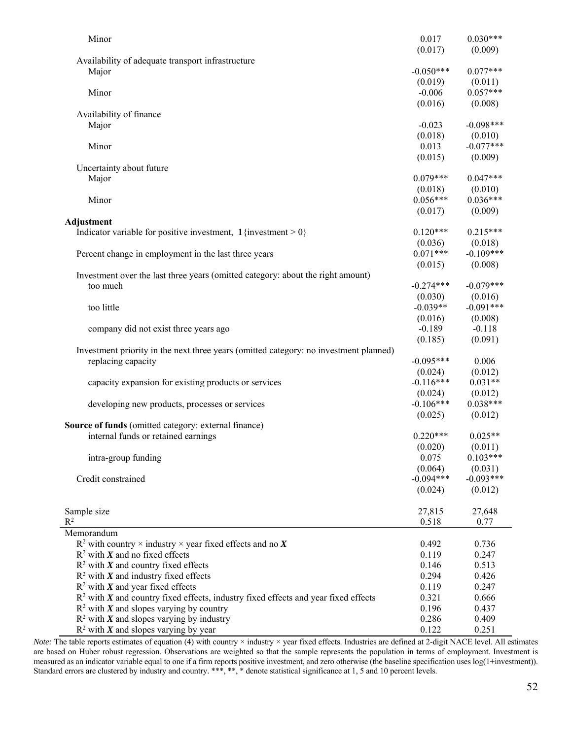| Minor                                                                                 | 0.017       | $0.030***$  |
|---------------------------------------------------------------------------------------|-------------|-------------|
|                                                                                       | (0.017)     | (0.009)     |
| Availability of adequate transport infrastructure                                     |             |             |
| Major                                                                                 | $-0.050***$ | $0.077***$  |
|                                                                                       | (0.019)     | (0.011)     |
| Minor                                                                                 | $-0.006$    | $0.057***$  |
|                                                                                       | (0.016)     | (0.008)     |
| Availability of finance                                                               |             |             |
| Major                                                                                 | $-0.023$    | $-0.098***$ |
|                                                                                       | (0.018)     | (0.010)     |
| Minor                                                                                 | 0.013       | $-0.077***$ |
|                                                                                       | (0.015)     | (0.009)     |
| Uncertainty about future                                                              |             |             |
| Major                                                                                 | $0.079***$  | $0.047***$  |
|                                                                                       | (0.018)     | (0.010)     |
| Minor                                                                                 | $0.056***$  | $0.036***$  |
|                                                                                       | (0.017)     | (0.009)     |
| Adjustment                                                                            |             |             |
| Indicator variable for positive investment, $1$ {investment > 0}                      | $0.120***$  | $0.215***$  |
|                                                                                       | (0.036)     | (0.018)     |
| Percent change in employment in the last three years                                  | $0.071***$  | $-0.109***$ |
|                                                                                       | (0.015)     | (0.008)     |
| Investment over the last three years (omitted category: about the right amount)       |             |             |
| too much                                                                              | $-0.274***$ | $-0.079***$ |
|                                                                                       | (0.030)     | (0.016)     |
| too little                                                                            | $-0.039**$  | $-0.091***$ |
|                                                                                       | (0.016)     | (0.008)     |
| company did not exist three years ago                                                 | $-0.189$    | $-0.118$    |
|                                                                                       | (0.185)     | (0.091)     |
| Investment priority in the next three years (omitted category: no investment planned) |             |             |
| replacing capacity                                                                    | $-0.095***$ | 0.006       |
|                                                                                       | (0.024)     | (0.012)     |
| capacity expansion for existing products or services                                  | $-0.116***$ | $0.031**$   |
|                                                                                       | (0.024)     | (0.012)     |
| developing new products, processes or services                                        | $-0.106***$ | $0.038***$  |
|                                                                                       | (0.025)     | (0.012)     |
| Source of funds (omitted category: external finance)                                  |             |             |
| internal funds or retained earnings                                                   | $0.220***$  | $0.025**$   |
|                                                                                       | (0.020)     | (0.011)     |
| intra-group funding                                                                   | 0.075       | $0.103***$  |
|                                                                                       | (0.064)     | (0.031)     |
| Credit constrained                                                                    | $-0.094***$ | $-0.093***$ |
|                                                                                       | (0.024)     | (0.012)     |
|                                                                                       |             |             |
| Sample size                                                                           | 27,815      | 27,648      |
| $R^2$                                                                                 | 0.518       | 0.77        |
| Memorandum                                                                            |             |             |
| $R^2$ with country $\times$ industry $\times$ year fixed effects and no X             | 0.492       | 0.736       |
| $R^2$ with X and no fixed effects                                                     | 0.119       | 0.247       |
| $R^2$ with X and country fixed effects                                                | 0.146       | 0.513       |
| $R^2$ with X and industry fixed effects                                               | 0.294       | 0.426       |
| $R^2$ with X and year fixed effects                                                   | 0.119       | 0.247       |
| $R2$ with X and country fixed effects, industry fixed effects and year fixed effects  | 0.321       | 0.666       |
| $R^2$ with X and slopes varying by country                                            | 0.196       | 0.437       |
|                                                                                       | 0.286       |             |
| $R^2$ with X and slopes varying by industry                                           |             | 0.409       |
| $R^2$ with X and slopes varying by year                                               | 0.122       | 0.251       |

*Note:* The table reports estimates of equation (4) with country × industry × year fixed effects. Industries are defined at 2-digit NACE level. All estimates are based on Huber robust regression. Observations are weighted so that the sample represents the population in terms of employment. Investment is measured as an indicator variable equal to one if a firm reports positive investment, and zero otherwise (the baseline specification uses log(1+investment)). Standard errors are clustered by industry and country. \*\*\*, \*\*, \* denote statistical significance at 1, 5 and 10 percent levels.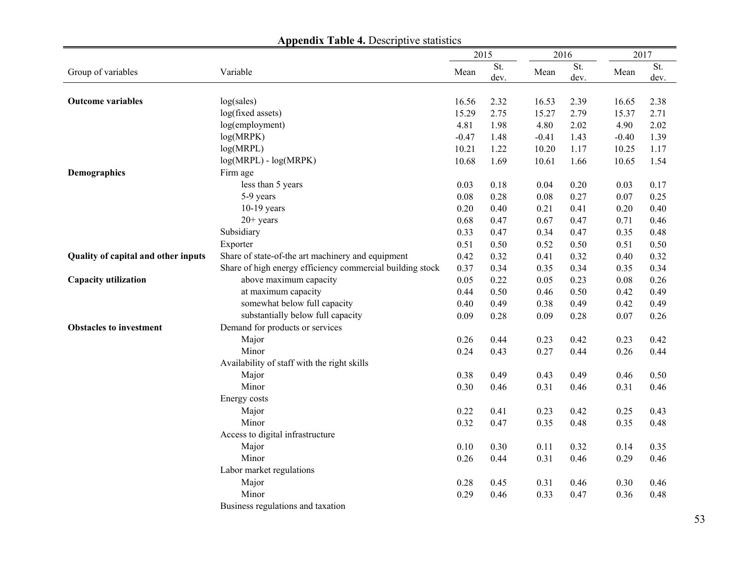|                                     |                                                           | 2015    |             | 2016    |             | 2017     |             |
|-------------------------------------|-----------------------------------------------------------|---------|-------------|---------|-------------|----------|-------------|
| Group of variables                  | Variable                                                  | Mean    | St.<br>dev. | Mean    | St.<br>dev. | Mean     | St.<br>dev. |
|                                     |                                                           |         |             |         |             |          |             |
| <b>Outcome variables</b>            | log(sales)                                                | 16.56   | 2.32        | 16.53   | 2.39        | 16.65    | 2.38        |
|                                     | log(fixed assets)                                         | 15.29   | 2.75        | 15.27   | 2.79        | 15.37    | 2.71        |
|                                     | log(employment)                                           | 4.81    | 1.98        | 4.80    | 2.02        | 4.90     | 2.02        |
|                                     | log(MRPK)                                                 | $-0.47$ | 1.48        | $-0.41$ | 1.43        | $-0.40$  | 1.39        |
|                                     | log(MRPL)                                                 | 10.21   | 1.22        | 10.20   | 1.17        | 10.25    | 1.17        |
|                                     | $log(MRPL) - log(MRPK)$                                   | 10.68   | 1.69        | 10.61   | 1.66        | 10.65    | 1.54        |
| Demographics                        | Firm age                                                  |         |             |         |             |          |             |
|                                     | less than 5 years                                         | 0.03    | 0.18        | 0.04    | 0.20        | 0.03     | 0.17        |
|                                     | 5-9 years                                                 | 0.08    | 0.28        | 0.08    | 0.27        | 0.07     | 0.25        |
|                                     | $10-19$ years                                             | 0.20    | 0.40        | 0.21    | 0.41        | 0.20     | 0.40        |
|                                     | $20+$ years                                               | 0.68    | 0.47        | 0.67    | 0.47        | 0.71     | 0.46        |
|                                     | Subsidiary                                                | 0.33    | 0.47        | 0.34    | 0.47        | 0.35     | 0.48        |
|                                     | Exporter                                                  | 0.51    | 0.50        | 0.52    | 0.50        | 0.51     | 0.50        |
| Quality of capital and other inputs | Share of state-of-the art machinery and equipment         | 0.42    | 0.32        | 0.41    | 0.32        | 0.40     | 0.32        |
|                                     | Share of high energy efficiency commercial building stock | 0.37    | 0.34        | 0.35    | 0.34        | 0.35     | 0.34        |
| Capacity utilization                | above maximum capacity                                    | 0.05    | 0.22        | 0.05    | 0.23        | 0.08     | 0.26        |
|                                     | at maximum capacity                                       | 0.44    | 0.50        | 0.46    | 0.50        | 0.42     | 0.49        |
|                                     | somewhat below full capacity                              | 0.40    | 0.49        | 0.38    | 0.49        | 0.42     | 0.49        |
|                                     | substantially below full capacity                         | 0.09    | 0.28        | 0.09    | 0.28        | $0.07\,$ | 0.26        |
| <b>Obstacles to investment</b>      | Demand for products or services                           |         |             |         |             |          |             |
|                                     | Major                                                     | 0.26    | 0.44        | 0.23    | 0.42        | 0.23     | 0.42        |
|                                     | Minor                                                     | 0.24    | 0.43        | 0.27    | 0.44        | 0.26     | 0.44        |
|                                     | Availability of staff with the right skills               |         |             |         |             |          |             |
|                                     | Major                                                     | 0.38    | 0.49        | 0.43    | 0.49        | 0.46     | 0.50        |
|                                     | Minor                                                     | 0.30    | 0.46        | 0.31    | 0.46        | 0.31     | 0.46        |
|                                     | Energy costs                                              |         |             |         |             |          |             |
|                                     | Major                                                     | 0.22    | 0.41        | 0.23    | 0.42        | 0.25     | 0.43        |
|                                     | Minor                                                     | 0.32    | 0.47        | 0.35    | 0.48        | 0.35     | 0.48        |
|                                     | Access to digital infrastructure                          |         |             |         |             |          |             |
|                                     | Major                                                     | 0.10    | 0.30        | 0.11    | 0.32        | 0.14     | 0.35        |
|                                     | Minor                                                     | 0.26    | 0.44        | 0.31    | 0.46        | 0.29     | 0.46        |
|                                     | Labor market regulations                                  |         |             |         |             |          |             |
|                                     | Major                                                     | 0.28    | 0.45        | 0.31    | 0.46        | 0.30     | 0.46        |
|                                     | Minor                                                     | 0.29    | 0.46        | 0.33    | 0.47        | 0.36     | 0.48        |
|                                     | Business regulations and taxation                         |         |             |         |             |          |             |

**Appendix Table 4. Descriptive statistics**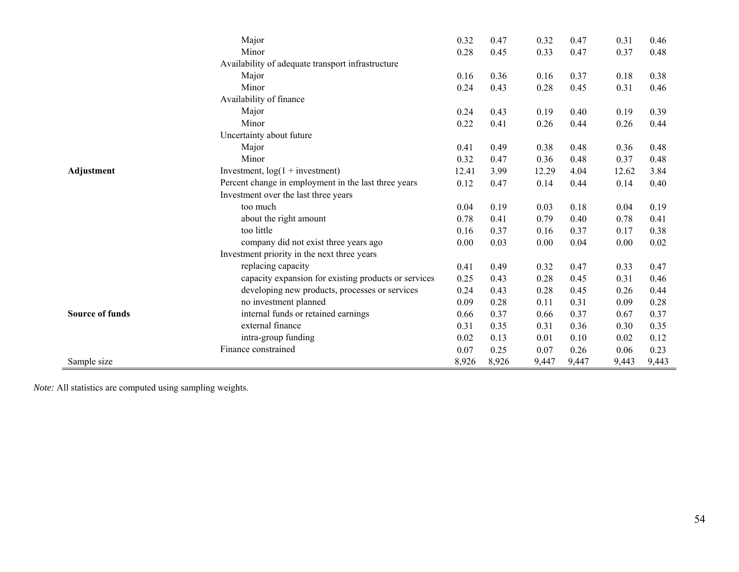|                        | Major                                                | 0.32  | 0.47  | 0.32  | 0.47  | 0.31  | 0.46  |
|------------------------|------------------------------------------------------|-------|-------|-------|-------|-------|-------|
|                        | Minor                                                | 0.28  | 0.45  | 0.33  | 0.47  | 0.37  | 0.48  |
|                        | Availability of adequate transport infrastructure    |       |       |       |       |       |       |
|                        | Major                                                | 0.16  | 0.36  | 0.16  | 0.37  | 0.18  | 0.38  |
|                        | Minor                                                | 0.24  | 0.43  | 0.28  | 0.45  | 0.31  | 0.46  |
|                        | Availability of finance                              |       |       |       |       |       |       |
|                        | Major                                                | 0.24  | 0.43  | 0.19  | 0.40  | 0.19  | 0.39  |
|                        | Minor                                                | 0.22  | 0.41  | 0.26  | 0.44  | 0.26  | 0.44  |
|                        | Uncertainty about future                             |       |       |       |       |       |       |
|                        | Major                                                | 0.41  | 0.49  | 0.38  | 0.48  | 0.36  | 0.48  |
|                        | Minor                                                | 0.32  | 0.47  | 0.36  | 0.48  | 0.37  | 0.48  |
| Adjustment             | Investment, $log(1 + investment)$                    | 12.41 | 3.99  | 12.29 | 4.04  | 12.62 | 3.84  |
|                        | Percent change in employment in the last three years | 0.12  | 0.47  | 0.14  | 0.44  | 0.14  | 0.40  |
|                        | Investment over the last three years                 |       |       |       |       |       |       |
|                        | too much                                             | 0.04  | 0.19  | 0.03  | 0.18  | 0.04  | 0.19  |
|                        | about the right amount                               | 0.78  | 0.41  | 0.79  | 0.40  | 0.78  | 0.41  |
|                        | too little                                           | 0.16  | 0.37  | 0.16  | 0.37  | 0.17  | 0.38  |
|                        | company did not exist three years ago                | 0.00  | 0.03  | 0.00  | 0.04  | 0.00  | 0.02  |
|                        | Investment priority in the next three years          |       |       |       |       |       |       |
|                        | replacing capacity                                   | 0.41  | 0.49  | 0.32  | 0.47  | 0.33  | 0.47  |
|                        | capacity expansion for existing products or services | 0.25  | 0.43  | 0.28  | 0.45  | 0.31  | 0.46  |
|                        | developing new products, processes or services       | 0.24  | 0.43  | 0.28  | 0.45  | 0.26  | 0.44  |
|                        | no investment planned                                | 0.09  | 0.28  | 0.11  | 0.31  | 0.09  | 0.28  |
| <b>Source of funds</b> | internal funds or retained earnings                  | 0.66  | 0.37  | 0.66  | 0.37  | 0.67  | 0.37  |
|                        | external finance                                     | 0.31  | 0.35  | 0.31  | 0.36  | 0.30  | 0.35  |
|                        | intra-group funding                                  | 0.02  | 0.13  | 0.01  | 0.10  | 0.02  | 0.12  |
|                        | Finance constrained                                  | 0.07  | 0.25  | 0.07  | 0.26  | 0.06  | 0.23  |
| Sample size            |                                                      | 8,926 | 8,926 | 9,447 | 9,447 | 9,443 | 9,443 |

*Note:* All statistics are computed using sampling weights.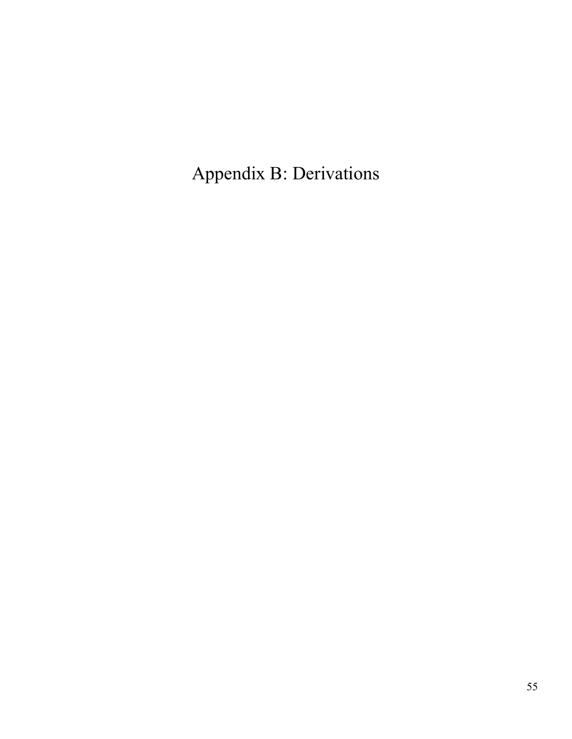Appendix B: Derivations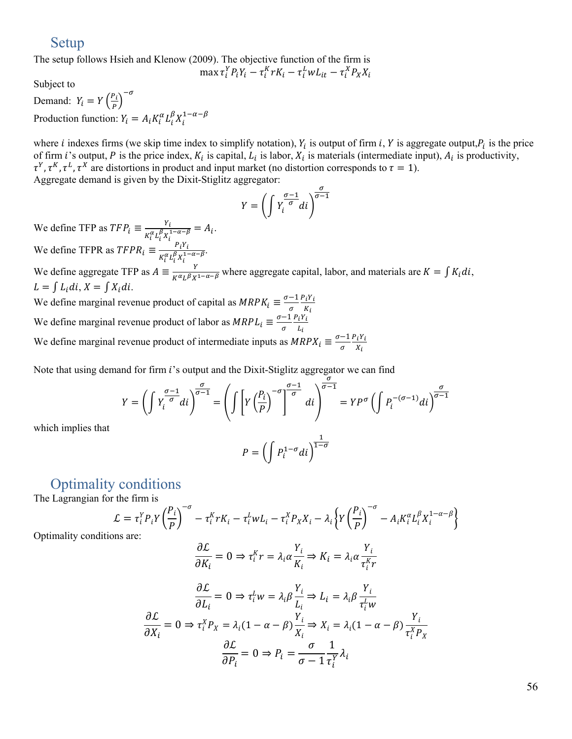# Setup

The setup follows Hsieh and Klenow (2009). The objective function of the firm is

max  $\tau_i^Y P_i Y_i - \tau_i^K r K_i - \tau_i^L w L_{it} - \tau_i^X P_X X_i$ 

Subject to

Demand:  $Y_i = Y \left(\frac{P_i}{P}\right)^{-\sigma}$ Production function:  $Y_i = A_i K_i^{\alpha} L_i^{\beta} X_i^{1-\alpha-\beta}$ 

where *i* indexes firms (we skip time index to simplify notation),  $Y_i$  is output of firm *i*,  $Y$  is aggregate output,  $P_i$  is the price of firm *i*'s output, *P* is the price index,  $K_i$  is capital,  $L_i$  is labor,  $X_i$  is materials (intermediate input),  $A_i$  is productivity,  $\tau^Y$ ,  $\tau^K$ ,  $\tau^L$ ,  $\tau^X$  are distortions in product and input market (no distortion corresponds to  $\tau = 1$ ). Aggregate demand is given by the Dixit-Stiglitz aggregator:

$$
Y = \left(\int Y_i^{\frac{\sigma - 1}{\sigma}} di\right)^{\frac{\sigma}{\sigma - 1}}
$$

We define TFP as  $TFP_i \equiv \frac{Y_i}{\sqrt{(\mu_i + \beta_i)^2}}$  $\frac{r_i}{K_i^{\alpha} L_i^{\beta} X_i^{1-\alpha-\beta}} = A_i.$ We define TFPR as  $TFPR_i \equiv \frac{P_iY_i}{\nu \alpha_i \beta_i v^{1-i}}$  $\frac{F_l I_l}{K_l^{\alpha} L_l^{\beta} X_l^{1-\alpha-\beta}}.$ 

We define aggregate TFP as  $A = \frac{Y}{K^{\alpha} L^{\beta} X^{1-\alpha-\beta}}$  where aggregate capital, labor, and materials are  $K = \int K_i \, di$ ,  $L = \int L_i \, di, X = \int X_i \, di.$ 

We define marginal revenue product of capital as  $MRPK_i \equiv \frac{\sigma-1}{\sigma}$  $\sigma$  $P_iY_i$  $K_i$ We define marginal revenue product of labor as  $MRPL_i \equiv \frac{\sigma-1}{\sigma}$  $\sigma$  $P_iY_i$  $L_i$ We define marginal revenue product of intermediate inputs as  $MRPX_i \equiv \frac{\sigma - 1}{\sigma}$  $\sigma$  $P_iY_i$  $X_i$ 

Note that using demand for firm *i*'s output and the Dixit-Stiglitz aggregator we can find  $\sigma$ 

$$
Y = \left(\int Y_i^{\frac{\sigma-1}{\sigma}} di\right)^{\frac{\sigma}{\sigma-1}} = \left(\int \left[Y\left(\frac{P_i}{P}\right)^{-\sigma}\right]^{\frac{\sigma-1}{\sigma}} di\right)^{\frac{\sigma}{\sigma-1}} = YP^{\sigma} \left(\int P_i^{-(\sigma-1)} di\right)^{\frac{\sigma}{\sigma-1}}
$$

$$
P = \left(\int P_i^{1-\sigma} di\right)^{\frac{1}{1-\sigma}}
$$

# Optimality conditions

The Lagrangian for the firm is

$$
\mathcal{L} = \tau_i^Y P_i Y \left(\frac{P_i}{P}\right)^{-\sigma} - \tau_i^X r K_i - \tau_i^L w L_i - \tau_i^X P_X X_i - \lambda_i \left\{ Y \left(\frac{P_i}{P}\right)^{-\sigma} - A_i K_i^{\alpha} L_i^{\beta} X_i^{1-\alpha-\beta} \right\}
$$

Optimality conditions are:

which implies that

$$
\frac{\partial \mathcal{L}}{\partial K_i} = 0 \Rightarrow \tau_i^K r = \lambda_i \alpha \frac{Y_i}{K_i} \Rightarrow K_i = \lambda_i \alpha \frac{Y_i}{\tau_i^K r}
$$

$$
\frac{\partial \mathcal{L}}{\partial X_i} = 0 \Rightarrow \tau_i^L w = \lambda_i \beta \frac{Y_i}{L_i} \Rightarrow L_i = \lambda_i \beta \frac{Y_i}{\tau_i^L w}
$$

$$
\frac{\partial \mathcal{L}}{\partial X_i} = 0 \Rightarrow \tau_i^X P_X = \lambda_i (1 - \alpha - \beta) \frac{Y_i}{X_i} \Rightarrow X_i = \lambda_i (1 - \alpha - \beta) \frac{Y_i}{\tau_i^X P_X}
$$

$$
\frac{\partial \mathcal{L}}{\partial P_i} = 0 \Rightarrow P_i = \frac{\sigma}{\sigma - 1} \frac{1}{\tau_i^Y} \lambda_i
$$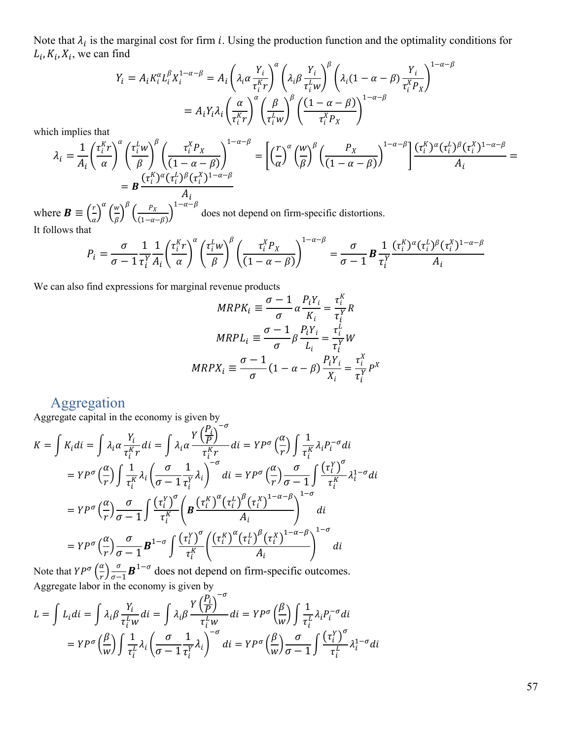Note that  $\lambda_i$  is the marginal cost for firm i. Using the production function and the optimality conditions for  $L_i$ ,  $K_i$ ,  $X_i$ , we can find 

$$
Y_i = A_i K_i^{\alpha} L_i^{\beta} X_i^{1-\alpha-\beta} = A_i \left( \lambda_i \alpha \frac{Y_i}{\tau_i^K r} \right)^{\alpha} \left( \lambda_i \beta \frac{Y_i}{\tau_i^L w} \right)^{\beta} \left( \lambda_i (1-\alpha-\beta) \frac{Y_i}{\tau_i^X p_X} \right)^{1-\alpha-\beta}
$$

$$
= A_i Y_i \lambda_i \left( \frac{\alpha}{\tau_i^K r} \right)^{\alpha} \left( \frac{\beta}{\tau_i^L w} \right)^{\beta} \left( \frac{(1-\alpha-\beta)}{\tau_i^X p_X} \right)^{1-\alpha-\beta}
$$

which implies that

$$
\lambda_i = \frac{1}{A_i} \left( \frac{\tau_i^K r}{\alpha} \right)^{\alpha} \left( \frac{\tau_i^L w}{\beta} \right)^{\beta} \left( \frac{\tau_i^X P_X}{(1 - \alpha - \beta)} \right)^{1 - \alpha - \beta} = \left[ \left( \frac{r}{\alpha} \right)^{\alpha} \left( \frac{w}{\beta} \right)^{\beta} \left( \frac{P_X}{(1 - \alpha - \beta)} \right)^{1 - \alpha - \beta} \right] \frac{(\tau_i^K)^{\alpha} (\tau_i^L)^{\beta} (\tau_i^X)^{1 - \alpha - \beta}}{A_i} =
$$
\n
$$
= B \frac{(\tau_i^K)^{\alpha} (\tau_i^L)^{\beta} (\tau_i^X)^{1 - \alpha - \beta}}{A_i}
$$

where  $\mathbf{B} \equiv \left(\frac{r}{\alpha}\right)^{\alpha} \left(\frac{w}{\beta}\right)^{\alpha}$  $\left(\frac{w}{\beta}\right)^{\beta} \left(\frac{P_X}{(1-\alpha-\beta)}\right)^{1-\alpha-\beta}$  does not depend on firm-specific distortions. It follows that

$$
P_i = \frac{\sigma}{\sigma - 1} \frac{1}{\tau_i^Y A_i} \left( \frac{\tau_i^X r}{\alpha} \right)^{\alpha} \left( \frac{\tau_i^L w}{\beta} \right)^{\beta} \left( \frac{\tau_i^X P_X}{(1 - \alpha - \beta)} \right)^{1 - \alpha - \beta} = \frac{\sigma}{\sigma - 1} \mathbf{B} \frac{1}{\tau_i^Y} \frac{(\tau_i^X)^{\alpha} (\tau_i^L)^{\beta} (\tau_i^X)^{1 - \alpha - \beta}}{A_i}
$$

We can also find expressions for marginal revenue products

$$
MRPK_i \equiv \frac{\sigma - 1}{\sigma} \alpha \frac{P_i Y_i}{K_i} = \frac{\tau_i^K}{\tau_i^Y} R
$$

$$
MRPL_i \equiv \frac{\sigma - 1}{\sigma} \beta \frac{P_i Y_i}{L_i} = \frac{\tau_i^L}{\tau_i^Y} W
$$

$$
MRPX_i \equiv \frac{\sigma - 1}{\sigma} (1 - \alpha - \beta) \frac{P_i Y_i}{X_i} = \frac{\tau_i^X}{\tau_i^Y} P^X
$$

# Aggregation

Aggregate capital in the economy is given by  $-\sigma$ 

$$
K = \int K_i \, di = \int \lambda_i \alpha \frac{Y_i}{\tau_i^K r} \, di = \int \lambda_i \alpha \frac{Y \left(\frac{P_i}{P}\right)^{-\sigma}}{\tau_i^K r} \, di = Y P^{\sigma} \left(\frac{\alpha}{r}\right) \int \frac{1}{\tau_i^K} \lambda_i P_i^{-\sigma} \, di
$$
\n
$$
= Y P^{\sigma} \left(\frac{\alpha}{r}\right) \int \frac{1}{\tau_i^K} \lambda_i \left(\frac{\sigma}{\sigma - 1} \frac{1}{\tau_i^Y} \lambda_i\right)^{-\sigma} \, di = Y P^{\sigma} \left(\frac{\alpha}{r}\right) \frac{\sigma}{\sigma - 1} \int \frac{(\tau_i^Y)^{\sigma}}{\tau_i^K} \lambda_i^{1 - \sigma} \, di
$$
\n
$$
= Y P^{\sigma} \left(\frac{\alpha}{r}\right) \frac{\sigma}{\sigma - 1} \int \frac{(\tau_i^Y)^{\sigma}}{\tau_i^K} \left(\mathbf{B} \frac{\left(\tau_i^K\right)^{\alpha} \left(\tau_i^L\right)^{\beta} \left(\tau_i^X\right)^{1 - \alpha - \beta}}{\lambda_i}\right)^{1 - \sigma} \, di
$$
\n
$$
= Y P^{\sigma} \left(\frac{\alpha}{r}\right) \frac{\sigma}{\sigma - 1} \mathbf{B}^{1 - \sigma} \int \frac{(\tau_i^Y)^{\sigma}}{\tau_i^K} \left(\frac{\left(\tau_i^K\right)^{\alpha} \left(\tau_i^L\right)^{\beta} \left(\tau_i^X\right)^{1 - \alpha - \beta}}{\lambda_i}\right)^{1 - \sigma} \, di
$$

Note that  $YP^{\sigma}\left(\frac{\alpha}{n}\right)$  $\frac{\alpha}{r}$  $\frac{\sigma}{\sigma-1}$  **B**<sup>1- $\sigma$ </sup> does not depend on firm-specific outcomes. Aggregate labor in the economy is given by

$$
L = \int L_i \, di = \int \lambda_i \beta \frac{Y_i}{\tau_i^L w} \, di = \int \lambda_i \beta \frac{Y(\frac{P_i}{P})}{\tau_i^L w} \, di = Y P^{\sigma} \left(\frac{\beta}{w}\right) \int \frac{1}{\tau_i^L} \lambda_i P_i^{-\sigma} \, di
$$
\n
$$
= Y P^{\sigma} \left(\frac{\beta}{w}\right) \int \frac{1}{\tau_i^L} \lambda_i \left(\frac{\sigma}{\sigma - 1} \frac{1}{\tau_i^Y} \lambda_i\right)^{-\sigma} \, di = Y P^{\sigma} \left(\frac{\beta}{w}\right) \frac{\sigma}{\sigma - 1} \int \frac{\left(\tau_i^Y\right)^{\sigma}}{\tau_i^L} \lambda_i^{1 - \sigma} \, di
$$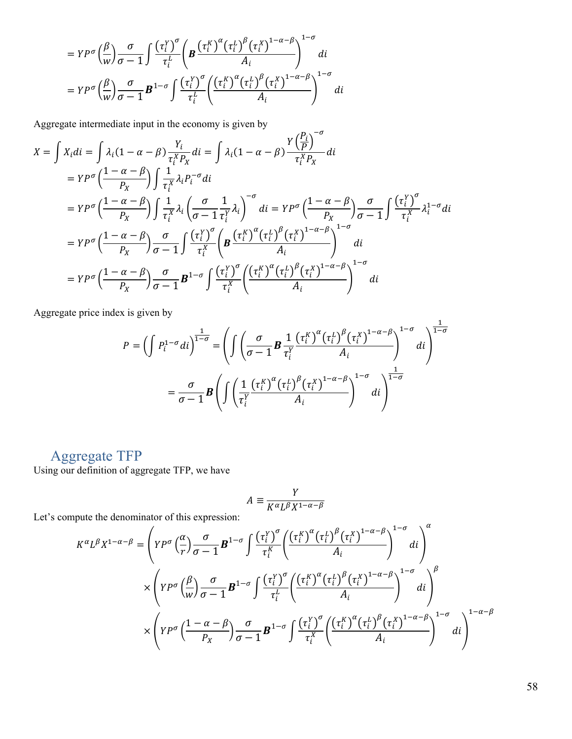$$
= Y P^{\sigma} \left(\frac{\beta}{w}\right) \frac{\sigma}{\sigma - 1} \int \frac{\left(\tau_i^{Y}\right)^{\sigma}}{\tau_i^{L}} \left(\mathbf{B} \frac{\left(\tau_i^{K}\right)^{\alpha} \left(\tau_i^{L}\right)^{\beta} \left(\tau_i^{X}\right)^{1-\alpha-\beta}}{A_i}\right)^{1-\sigma} di
$$
  

$$
= Y P^{\sigma} \left(\frac{\beta}{w}\right) \frac{\sigma}{\sigma - 1} \mathbf{B}^{1-\sigma} \int \frac{\left(\tau_i^{Y}\right)^{\sigma}}{\tau_i^{L}} \left(\frac{\left(\tau_i^{K}\right)^{\alpha} \left(\tau_i^{L}\right)^{\beta} \left(\tau_i^{X}\right)^{1-\alpha-\beta}}{A_i}\right)^{1-\sigma} di
$$

Aggregate intermediate input in the economy is given by

$$
X = \int X_i \, di = \int \lambda_i (1 - \alpha - \beta) \frac{Y_i}{\tau_i^X P_X} \, di = \int \lambda_i (1 - \alpha - \beta) \frac{Y \left(\frac{P_i}{P}\right)^{-\sigma}}{\tau_i^X P_X} \, di
$$
\n
$$
= Y P^{\sigma} \left(\frac{1 - \alpha - \beta}{P_X}\right) \int \frac{1}{\tau_i^X} \lambda_i P_i^{-\sigma} \, di
$$
\n
$$
= Y P^{\sigma} \left(\frac{1 - \alpha - \beta}{P_X}\right) \int \frac{1}{\tau_i^X} \lambda_i \left(\frac{\sigma}{\sigma - 1} \frac{1}{\tau_i^Y} \lambda_i\right)^{-\sigma} \, di = Y P^{\sigma} \left(\frac{1 - \alpha - \beta}{P_X}\right) \frac{\sigma}{\sigma - 1} \int \frac{(\tau_i^Y)^{\sigma}}{\tau_i^X} \lambda_i^{1 - \sigma} \, di
$$
\n
$$
= Y P^{\sigma} \left(\frac{1 - \alpha - \beta}{P_X}\right) \frac{\sigma}{\sigma - 1} \int \frac{(\tau_i^Y)^{\sigma}}{\tau_i^X} \left(\mathbf{B} \frac{(\tau_i^X)^{\alpha} (\tau_i^L)^{\beta} (\tau_i^X)^{1 - \alpha - \beta}}{\Lambda_i}\right)^{1 - \sigma} \, di
$$
\n
$$
= Y P^{\sigma} \left(\frac{1 - \alpha - \beta}{P_X}\right) \frac{\sigma}{\sigma - 1} \mathbf{B}^{1 - \sigma} \int \frac{(\tau_i^Y)^{\sigma}}{\tau_i^X} \left(\frac{(\tau_i^K)^{\alpha} (\tau_i^L)^{\beta} (\tau_i^X)^{1 - \alpha - \beta}}{\Lambda_i}\right)^{1 - \sigma} \, di
$$

Aggregate price index is given by

$$
P = \left(\int P_i^{1-\sigma} di\right)^{\frac{1}{1-\sigma}} = \left(\int \left(\frac{\sigma}{\sigma-1} \mathbf{B} \frac{1}{\tau_i^Y} \frac{(\tau_i^X)^{\alpha} (\tau_i^L)^{\beta} (\tau_i^X)^{1-\alpha-\beta}}{A_i}\right)^{1-\sigma} di\right)^{\frac{1}{1-\sigma}}
$$

$$
= \frac{\sigma}{\sigma-1} \mathbf{B} \left(\int \left(\frac{1}{\tau_i^Y} \frac{(\tau_i^X)^{\alpha} (\tau_i^L)^{\beta} (\tau_i^X)^{1-\alpha-\beta}}{A_i}\right)^{1-\sigma} di\right)^{\frac{1}{1-\sigma}}
$$

# Aggregate TFP

Using our definition of aggregate TFP, we have

$$
A \equiv \frac{Y}{K^{\alpha}L^{\beta}X^{1-\alpha-\beta}}
$$

Let's compute the denominator of this expression:

$$
K^{\alpha}L^{\beta}X^{1-\alpha-\beta} = \left(YP^{\sigma}\left(\frac{\alpha}{r}\right)\frac{\sigma}{\sigma-1}\mathbf{B}^{1-\sigma}\int \frac{\left(\tau_i^{Y}\right)^{\sigma}}{\tau_i^{K}} \left(\frac{\left(\tau_i^{K}\right)^{\alpha}\left(\tau_i^{L}\right)^{\beta}\left(\tau_i^{X}\right)^{1-\alpha-\beta}}{A_i}\right)^{1-\sigma} di\right)^{\alpha} \times \left(YP^{\sigma}\left(\frac{\beta}{w}\right)\frac{\sigma}{\sigma-1}\mathbf{B}^{1-\sigma}\int \frac{\left(\tau_i^{Y}\right)^{\sigma}}{\tau_i^{L}} \left(\frac{\left(\tau_i^{K}\right)^{\alpha}\left(\tau_i^{L}\right)^{\beta}\left(\tau_i^{X}\right)^{1-\alpha-\beta}}{A_i}\right)^{1-\sigma} di\right)^{\beta} \times \left(YP^{\sigma}\left(\frac{1-\alpha-\beta}{P_X}\right)\frac{\sigma}{\sigma-1}\mathbf{B}^{1-\sigma}\int \frac{\left(\tau_i^{Y}\right)^{\sigma}\left(\left(\tau_i^{K}\right)^{\alpha}\left(\tau_i^{L}\right)^{\beta}\left(\tau_i^{X}\right)^{1-\alpha-\beta}}{A_i}\right)^{1-\alpha-\beta} di\right)^{1-\alpha-\beta} d\mathbf{i} \right)^{1-\alpha-\beta}
$$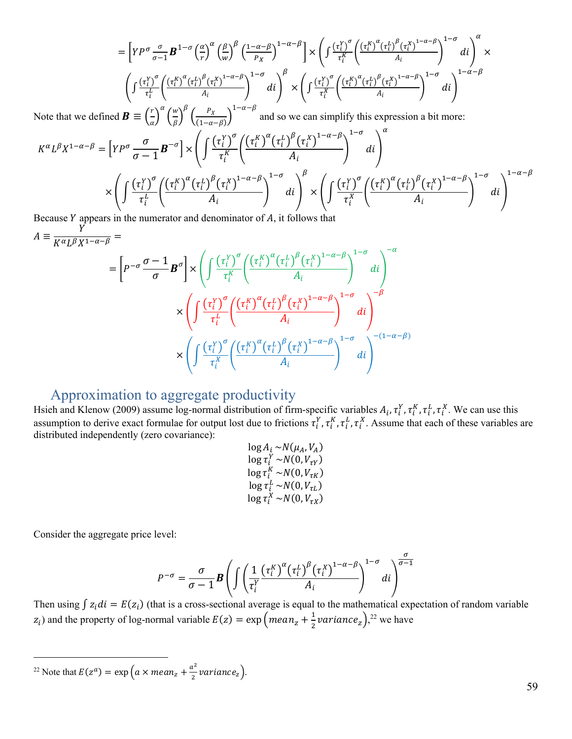$$
= \left[ Y P^{\sigma} \frac{\sigma}{\sigma-1} \mathbf{B}^{1-\sigma} \left( \frac{\alpha}{r} \right)^{\alpha} \left( \frac{\beta}{w} \right)^{\beta} \left( \frac{1-\alpha-\beta}{P_X} \right)^{1-\alpha-\beta} \right] \times \left( \int \frac{\left( \tau_i^{Y} \right)^{\sigma}}{\tau_i^{K}} \left( \frac{\left( \tau_i^{K} \right)^{\alpha} \left( \tau_i^{L} \right)^{\beta} \left( \tau_i^{X} \right)^{1-\alpha-\beta}}{A_i} \right)^{1-\sigma} di \right)^{\alpha} \times \left( \int \frac{\left( \tau_i^{Y} \right)^{\sigma}}{\tau_i^{K}} \left( \frac{\left( \tau_i^{K} \right)^{\alpha} \left( \tau_i^{L} \right)^{\beta} \left( \tau_i^{X} \right)^{1-\alpha-\beta}}{A_i} \right)^{1-\alpha-\beta} di \right)^{\beta} \times \left( \int \frac{\left( \tau_i^{Y} \right)^{\sigma}}{\tau_i^{X}} \left( \frac{\left( \tau_i^{K} \right)^{\alpha} \left( \tau_i^{L} \right)^{\beta} \left( \tau_i^{X} \right)^{1-\alpha-\beta}}{A_i} \right)^{1-\alpha-\beta} di \right)^{\beta}
$$

Note that we defined  $\boldsymbol{B} \equiv \left(\frac{r}{a}\right)^{\alpha} \left(\frac{w}{\beta}\right)^{\alpha}$  $\left(\frac{w}{\beta}\right)^{\beta} \left(\frac{P_X}{(1-\alpha-\beta)}\right)^{\beta}$  and so we can simplify this expression a bit more:  $1-\sigma \quad \setminus \alpha$ 

$$
K^{\alpha}L^{\beta}X^{1-\alpha-\beta} = \left[YP^{\sigma}\frac{\sigma}{\sigma-1}\boldsymbol{B}^{-\sigma}\right] \times \left(\int \frac{(\tau_i^Y)^{\sigma}}{\tau_i^K} \left(\frac{(\tau_i^X)^{\alpha}(\tau_i^L)^{\beta}(\tau_i^X)^{1-\alpha-\beta}}{A_i}\right)^{1-\sigma} di\right)
$$

$$
\times \left(\int \frac{(\tau_i^Y)^{\sigma}}{\tau_i^L} \left(\frac{(\tau_i^X)^{\alpha}(\tau_i^L)^{\beta}(\tau_i^X)^{1-\alpha-\beta}}{A_i}\right)^{1-\sigma} di\right)^{\beta} \times \left(\int \frac{(\tau_i^Y)^{\sigma}}{\tau_i^X} \left(\frac{(\tau_i^X)^{\alpha}(\tau_i^L)^{\beta}(\tau_i^X)^{1-\alpha-\beta}}{A_i}\right)^{1-\alpha-\beta}\right)^{1-\alpha-\beta}
$$

Because  $Y$  appears in the numerator and denominator of  $A$ , it follows that Y

$$
\equiv \frac{1}{K^{\alpha}L^{\beta}X^{1-\alpha-\beta}} = \left[ P^{-\sigma} \frac{\sigma - 1}{\sigma} B^{\sigma} \right] \times \left( \int \frac{(\tau_i^Y)^{\sigma}}{\tau_i^K} \left( \frac{(\tau_i^K)^{\alpha} (\tau_i^L)^{\beta} (\tau_i^X)^{1-\alpha-\beta}}{A_i} \right)^{1-\sigma} di \right)
$$
\n
$$
\times \left( \int \frac{(\tau_i^Y)^{\sigma}}{\tau_i^L} \left( \frac{(\tau_i^K)^{\alpha} (\tau_i^L)^{\beta} (\tau_i^X)^{1-\alpha-\beta}}{A_i} \right)^{1-\sigma} di \right)^{-\beta}
$$
\n
$$
\times \left( \int \frac{(\tau_i^Y)^{\sigma}}{\tau_i^X} \left( \frac{(\tau_i^K)^{\alpha} (\tau_i^L)^{\beta} (\tau_i^X)^{1-\alpha-\beta}}{A_i} \right)^{1-\sigma} di \right)^{-(1-\alpha-\beta)}
$$

# Approximation to aggregate productivity

Hsieh and Klenow (2009) assume log-normal distribution of firm-specific variables  $A_i$ ,  $\tau_i^Y$ ,  $\tau_i^K$ ,  $\tau_i^L$ ,  $\tau_i^X$ . We can use this assumption to derive exact formulae for output lost due to frictions  $\tau_i^Y$ ,  $\tau_i^L$ ,  $\tau_i^L$ ,  $\tau_i^X$ . Assume that each of these variables are distributed independently (zero covariance):

$$
\log A_i \sim N(\mu_A, V_A)
$$
  
\n
$$
\log \tau_i^Y \sim N(0, V_{\tau Y})
$$
  
\n
$$
\log \tau_i^K \sim N(0, V_{\tau K})
$$
  
\n
$$
\log \tau_i^L \sim N(0, V_{\tau L})
$$
  
\n
$$
\log \tau_i^X \sim N(0, V_{\tau X})
$$

Consider the aggregate price level:

 $\overline{A}$ 

$$
P^{-\sigma} = \frac{\sigma}{\sigma - 1} \boldsymbol{B} \left( \int \left( \frac{1}{\tau_i^Y} \frac{(\tau_i^X)^{\alpha} (\tau_i^L)^{\beta} (\tau_i^X)^{1-\alpha-\beta}}{A_i} \right)^{1-\sigma} di \right)^{\frac{\sigma}{\sigma - 1}}
$$

Then using  $\int z_i di = E(z_i)$  (that is a cross-sectional average is equal to the mathematical expectation of random variable  $(z_i)$  and the property of log-normal variable  $E(z) = \exp\left(mean_z + \frac{1}{2}variance_z\right)^{22}$  we have

 <sup>22</sup> Note that  $E(z^a) = \exp\left(a \times mean_z + \frac{a^2}{2} variance_z\right)$ .

59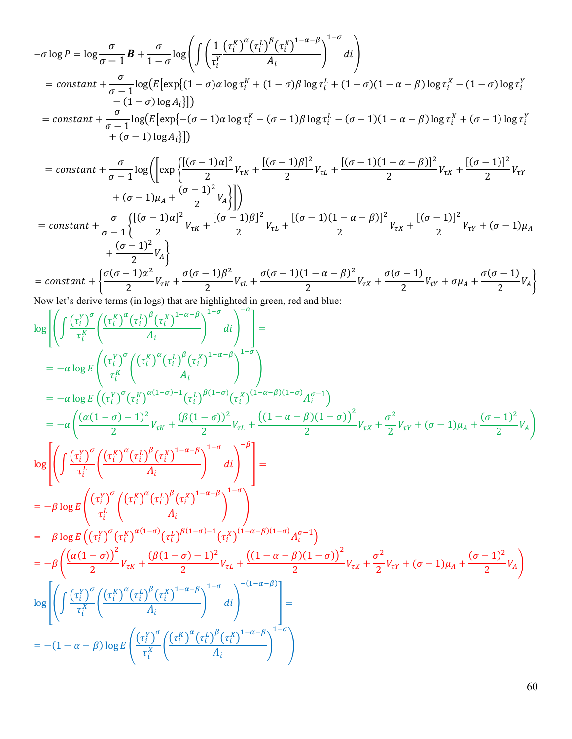$$
-\sigma \log P = \log \frac{\sigma}{\sigma - 1} \mathbf{B} + \frac{\sigma}{1 - \sigma} \log \left( \int \left( \frac{1}{\tau_i^Y} \frac{(\tau_i^X)^{\alpha} (\tau_i^Y)^{\beta} (\tau_i^X)^{1 - \alpha - \beta}}{A_i} \right)^{1 - \sigma} di \right)
$$
  
= constant  $+\frac{\sigma}{\sigma - 1} \log \left( E \left[ \exp \{ (1 - \sigma) \alpha \log \tau_i^X + (1 - \sigma) \beta \log \tau_i^L + (1 - \sigma) (1 - \alpha - \beta) \log \tau_i^X - (1 - \sigma) \log \tau_i^Y \right] - (1 - \sigma) \log A_i \} \right])$   
= constant  $+\frac{\sigma}{\sigma - 1} \log \left( E \left[ \exp \{ - (\sigma - 1) \alpha \log \tau_i^X - (\sigma - 1) \beta \log \tau_i^L - (\sigma - 1) (1 - \alpha - \beta) \log \tau_i^X + (\sigma - 1) \log \tau_i^Y \right] + (\sigma - 1) \log A_i \} \right])$ 

$$
= constant + \frac{\sigma}{\sigma - 1} \log \left( \left[ \exp \left\{ \frac{[(\sigma - 1)\alpha]^2}{2} V_{\tau K} + \frac{[(\sigma - 1)\beta]^2}{2} V_{\tau L} + \frac{[(\sigma - 1)(1 - \alpha - \beta)]^2}{2} V_{\tau K} + \frac{[(\sigma - 1)]^2}{2} V_{\tau Y} \right] \right\} \right)
$$
  

$$
+ (\sigma - 1)\mu_A + \frac{(\sigma - 1)^2}{2} V_A \right)
$$
  

$$
= constant + \frac{\sigma}{\sigma - 1} \left\{ \frac{[(\sigma - 1)\alpha]^2}{2} V_{\tau K} + \frac{[(\sigma - 1)\beta]^2}{2} V_{\tau L} + \frac{[(\sigma - 1)(1 - \alpha - \beta)]^2}{2} V_{\tau X} + \frac{[(\sigma - 1)]^2}{2} V_{\tau Y} + (\sigma - 1)\mu_A \right\}
$$
  

$$
+ \frac{(\sigma - 1)^2}{2} V_A \right\}
$$

$$
= constant + \left\{ \frac{\sigma(\sigma - 1)\alpha^2}{2}V_{\tau K} + \frac{\sigma(\sigma - 1)\beta^2}{2}V_{\tau L} + \frac{\sigma(\sigma - 1)(1 - \alpha - \beta)^2}{2}V_{\tau K} + \frac{\sigma(\sigma - 1)}{2}V_{\tau Y} + \sigma \mu_A + \frac{\sigma(\sigma - 1)}{2}V_A \right\}
$$
  
Now let's derive terms (in loss) that are highlighted in green red and blue:

Now let's derive terms (in logs) that are highlighted in green, red and blue:

$$
\log \left[ \left( \int \frac{(\tau_i^{\gamma})^{\sigma}}{\tau_i^{K}} \left( \frac{(\tau_i^{\gamma})^{\alpha} (\tau_i^{\gamma})^{\beta} (\tau_i^{\gamma})^{1-\alpha-\beta}}{A_i} \right)^{1-\sigma} \right) \right] =
$$
\n
$$
= -\alpha \log E \left( (\tau_i^{\gamma})^{\sigma} (\frac{(\tau_i^{\gamma})^{\alpha} (\tau_i^{\gamma})^{\beta} (\tau_i^{\gamma})^{1-\alpha-\beta}}{A_i} \right)^{1-\sigma} \right)
$$
\n
$$
= -\alpha \log E \left( (\tau_i^{\gamma})^{\sigma} (\tau_i^{\gamma})^{\alpha(1-\sigma)-1} (\tau_i^{\gamma})^{\beta(1-\sigma)} (\tau_i^{\gamma})^{(1-\alpha-\beta)(1-\sigma)} A_i^{\sigma-1} \right)
$$
\n
$$
= -\alpha \left( \frac{(\alpha(1-\sigma)-1)^2}{2} V_{\tau K} + \frac{(\beta(1-\sigma))^2}{2} V_{\tau L} + \frac{((1-\alpha-\beta)(1-\sigma))^2}{2} V_{\tau K} + \frac{\sigma^2}{2} V_{\tau Y} + (\sigma-1) \mu_A + \frac{(\sigma-1)^2}{2} V_A \right)
$$
\n
$$
\log \left[ \left( \int \frac{(\tau_i^{\gamma})^{\sigma}}{\tau_i^{\gamma}} \left( \frac{(\tau_i^{\gamma})^{\alpha} (\tau_i^{\gamma})^{\beta} (\tau_i^{\gamma})^{1-\alpha-\beta}}{A_i} \right)^{1-\sigma} \right) \right] =
$$
\n
$$
= -\beta \log E \left( \frac{(\tau_i^{\gamma})^{\sigma}}{\tau_i^{\gamma}} \left( \frac{(\tau_i^{\gamma})^{\alpha} (\tau_i^{\gamma})^{\beta} (\tau_i^{\gamma})^{1-\alpha-\beta}}{A_i} \right)^{1-\sigma} \right)
$$
\n
$$
= -\beta \log E \left( (\tau_i^{\gamma})^{\sigma} (\tau_i^{\gamma})^{\alpha(1-\sigma)} (\tau_i^{\gamma})^{\beta(1-\sigma)-1} (\tau_i^{\gamma})^{(1-\alpha-\beta)(1-\sigma)} A_i^{\sigma-1} \right)
$$
\n
$$
= -\beta \left( \frac{(\alpha(1-\sigma))^2}{2} V_{\tau K} + \frac{(\beta(1-\sigma)-1)^2}{2} V_{\tau L} + \frac{((1-\alpha-\beta)(1-\sigma))^2
$$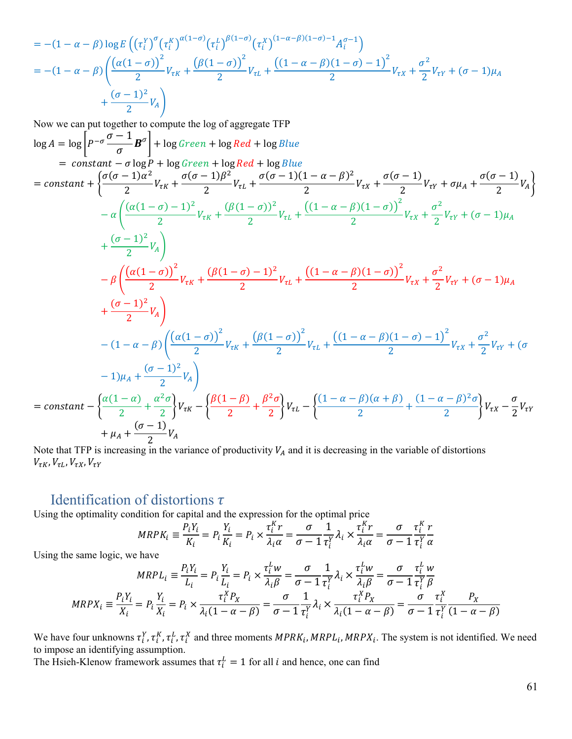$$
= -(1 - \alpha - \beta) \log E \left( \left( \tau_i^Y \right)^{\sigma} \left( \tau_i^K \right)^{\alpha (1 - \sigma)} \left( \tau_i^L \right)^{\beta (1 - \sigma)} \left( \tau_i^X \right)^{(1 - \alpha - \beta)(1 - \sigma) - 1} A_i^{\sigma - 1} \right)
$$
\n
$$
= -(1 - \alpha - \beta) \left( \frac{\left( \alpha (1 - \sigma) \right)^2}{2} V_{\tau K} + \frac{\left( \beta (1 - \sigma) \right)^2}{2} V_{\tau L} + \frac{\left( (1 - \alpha - \beta)(1 - \sigma) - 1 \right)^2}{2} V_{\tau K} + \frac{\sigma^2}{2} V_{\tau Y} + (\sigma - 1) \mu_A \right)
$$
\n
$$
+ \frac{(\sigma - 1)^2}{2} V_A \right)
$$

Now we can put together to compute the log of aggregate TFP  
\nlog A = log 
$$
\left[ P^{-\sigma} \frac{\sigma - 1}{\sigma} B^{\sigma} \right]
$$
 + log Green + log Red + log Blue  
\n= constant +  $\left\{ \frac{\sigma(\sigma - 1)\alpha^2}{2} V_{\tau K} + \frac{\sigma(\sigma - 1)\beta^2}{2} V_{\tau L} + \frac{\sigma(\sigma - 1)(1 - \alpha - \beta)^2}{2} V_{\tau K} + \frac{\sigma(\sigma - 1)}{2} V_{\tau K} + \frac{\sigma(\sigma - 1)}{2} V_{\tau K} \right\}$   
\n
$$
- \alpha \left( \frac{(\alpha(1 - \sigma) - 1)^2}{2} V_{\tau K} + \frac{(\beta(1 - \sigma))^2}{2} V_{\tau L} + \frac{((1 - \alpha - \beta)(1 - \sigma))^2}{2} V_{\tau K} + \frac{\sigma^2}{2} V_{\tau Y} + (\sigma - 1) \mu_A + \frac{(\sigma - 1)^2}{2} V_A \right)
$$
\n
$$
- \beta \left( \frac{(\alpha(1 - \sigma))^2}{2} V_{\tau K} + \frac{(\beta(1 - \sigma) - 1)^2}{2} V_{\tau L} + \frac{((1 - \alpha - \beta)(1 - \sigma))^2}{2} V_{\tau K} + \frac{\sigma^2}{2} V_{\tau Y} + (\sigma - 1) \mu_A + \frac{(\sigma - 1)^2}{2} V_A \right)
$$
\n
$$
- (1 - \alpha - \beta) \left( \frac{(\alpha(1 - \sigma))^2}{2} V_{\tau K} + \frac{(\beta(1 - \sigma))^2}{2} V_{\tau L} + \frac{((1 - \alpha - \beta)(1 - \sigma) - 1)^2}{2} V_{\tau X} + \frac{\sigma^2}{2} V_{\tau Y} + (\sigma - 1) \mu_A + \frac{(\sigma - 1)^2}{2} V_A \right)
$$
\n
$$
- (1 - \alpha - \beta) \left( \frac{(\alpha(1 - \alpha))^2}{2} V_{\tau K} + \frac{(\beta(1 - \beta))^2}{2} V_{\tau L} + \frac{((1 - \alpha - \beta)(1 - \sigma) - 1)^2}{2} V_{\tau X} + \frac{\sigma^2}{2} V_{\tau Y} + (\sigma - 1) \mu_A + \frac{(\sigma - 1)^2}{2} V_A \right)
$$
\n
$$
= constant - \left\{ \frac{\
$$

Note that TFP is increasing in the variance of productivity  $V_A$  and it is decreasing in the variable of distortions  $V_{\tau K}, V_{\tau L}, V_{\tau X}, V_{\tau Y}$ 

# Identification of distortions  $\tau$

Using the optimality condition for capital and the expression for the optimal price

$$
MRPK_i \equiv \frac{P_iY_i}{K_i} = P_i \frac{Y_i}{K_i} = P_i \times \frac{\tau_i^K r}{\lambda_i \alpha} = \frac{\sigma}{\sigma - 1} \frac{1}{\tau_i^Y} \lambda_i \times \frac{\tau_i^K r}{\lambda_i \alpha} = \frac{\sigma}{\sigma - 1} \frac{\tau_i^K r}{\tau_i^Y \alpha}
$$

 $\overline{11}$ 

Using the same logic, we have

$$
MRPL_i \equiv \frac{P_i Y_i}{L_i} = P_i \frac{Y_i}{L_i} = P_i \times \frac{\tau_i^L w}{\lambda_i \beta} = \frac{\sigma}{\sigma - 1} \frac{1}{\tau_i^Y} \lambda_i \times \frac{\tau_i^L w}{\lambda_i \beta} = \frac{\sigma}{\sigma - 1} \frac{\tau_i^L w}{\tau_i^Y \beta}
$$

$$
MRPX_i \equiv \frac{P_i Y_i}{X_i} = P_i \frac{Y_i}{X_i} = P_i \times \frac{\tau_i^X P_X}{\lambda_i (1 - \alpha - \beta)} = \frac{\sigma}{\sigma - 1} \frac{1}{\tau_i^Y} \lambda_i \times \frac{\tau_i^X P_X}{\lambda_i (1 - \alpha - \beta)} = \frac{\sigma}{\sigma - 1} \frac{\tau_i^X}{\tau_i^Y} \frac{P_X}{(1 - \alpha - \beta)}
$$

We have four unknowns  $\tau_i^Y$ ,  $\tau_i^X$ ,  $\tau_i^L$ ,  $\tau_i^X$  and three moments  $MPRK_i$ ,  $MRPL_i$ ,  $MRPX_i$ . The system is not identified. We need to impose an identifying assumption.

The Hsieh-Klenow framework assumes that  $\tau_i^L = 1$  for all *i* and hence, one can find